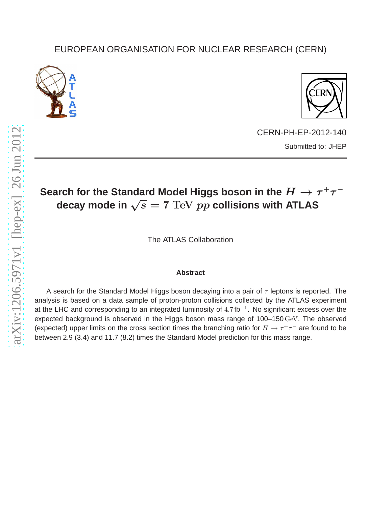## EUROPEAN ORGANISATION FOR NUCLEAR RESEARCH (CERN)





CERN-PH-EP-2012-140 Submitted to: JHEP

## Search for the Standard Model Higgs boson in the  $H \to \tau^+\tau^$ decay mode in  $\sqrt{s} = 7$  TeV pp collisions with ATLAS

The ATLAS Collaboration

## **Abstract**

A search for the Standard Model Higgs boson decaying into a pair of  $\tau$  leptons is reported. The analysis is based on a data sample of proton-proton collisions collected by the ATLAS experiment at the LHC and corresponding to an integrated luminosity of  $4.7$  fb<sup>-1</sup>. No significant excess over the expected background is observed in the Higgs boson mass range of 100–150GeV. The observed (expected) upper limits on the cross section times the branching ratio for  $H \to \tau^+\tau^-$  are found to be between 2.9 (3.4) and 11.7 (8.2) times the Standard Model prediction for this mass range.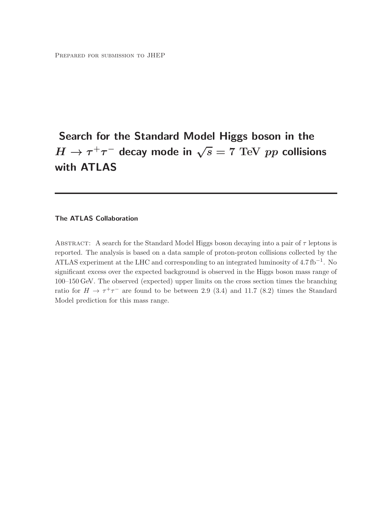# Search for the Standard Model Higgs boson in the  $H\to \tau^+\tau^-$  decay mode in  $\sqrt{s}=7\,\,{\text{TeV}}\,\,pp$  collisions with ATLAS

#### The ATLAS Collaboration

ABSTRACT: A search for the Standard Model Higgs boson decaying into a pair of  $\tau$  leptons is reported. The analysis is based on a data sample of proton-proton collisions collected by the ATLAS experiment at the LHC and corresponding to an integrated luminosity of  $4.7 \text{ fb}^{-1}$ . No significant excess over the expected background is observed in the Higgs boson mass range of 100–150 GeV. The observed (expected) upper limits on the cross section times the branching ratio for  $H \to \tau^+\tau^-$  are found to be between 2.9 (3.4) and 11.7 (8.2) times the Standard Model prediction for this mass range.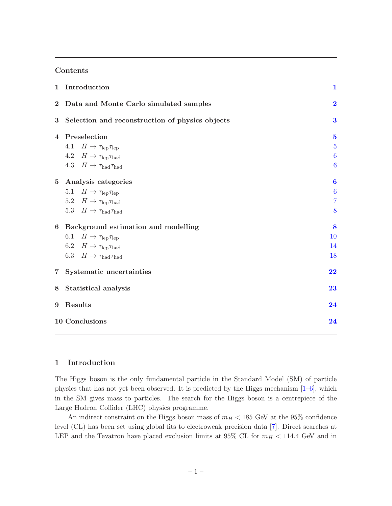#### Contents

| $\mathbf 1$    | Introduction                                    | $\mathbf{1}$            |
|----------------|-------------------------------------------------|-------------------------|
| $\bf{2}$       | Data and Monte Carlo simulated samples          | $\overline{\mathbf{2}}$ |
| 3              | Selection and reconstruction of physics objects | $\bf{3}$                |
| $\overline{4}$ | Preselection                                    | $\mathbf{5}$            |
|                | 4.1 $H \to \tau_{\rm lep} \tau_{\rm lep}$       | $\overline{5}$          |
|                | 4.2 $H \to \tau_{\rm lep} \tau_{\rm had}$       | $\boldsymbol{6}$        |
|                | 4.3 $H \to \tau_{\text{had}} \tau_{\text{had}}$ | $\boldsymbol{6}$        |
| 5 <sup>5</sup> | Analysis categories                             | 6                       |
|                | 5.1 $H \to \tau_{\rm lep} \tau_{\rm lep}$       | $\boldsymbol{6}$        |
|                | 5.2 $H \to \tau_{\rm lep} \tau_{\rm had}$       | $\overline{7}$          |
|                | 5.3 $H \to \tau_{\text{had}} \tau_{\text{had}}$ | 8                       |
| 6              | Background estimation and modelling             | 8                       |
|                | 6.1 $H \to \tau_{\rm lep} \tau_{\rm lep}$       | 10                      |
|                | 6.2 $H \to \tau_{\rm lep} \tau_{\rm had}$       | 14                      |
|                | 6.3 $H \to \tau_{\text{had}} \tau_{\text{had}}$ | 18                      |
| $7\degree$     | Systematic uncertainties                        | 22                      |
| 8              | Statistical analysis                            | 23                      |
| 9              | Results                                         | 24                      |
|                | 10 Conclusions                                  | 24                      |

#### <span id="page-2-0"></span>1 Introduction

The Higgs boson is the only fundamental particle in the Standard Model (SM) of particle physics that has not yet been observed. It is predicted by the Higgs mechanism  $[1-6]$ , which in the SM gives mass to particles. The search for the Higgs boson is a centrepiece of the Large Hadron Collider (LHC) physics programme.

An indirect constraint on the Higgs boson mass of  $m_H < 185$  GeV at the  $95\%$  confidence level (CL) has been set using global fits to electroweak precision data [\[7\]](#page-27-2). Direct searches at LEP and the Tevatron have placed exclusion limits at 95% CL for  $m_H < 114.4$  GeV and in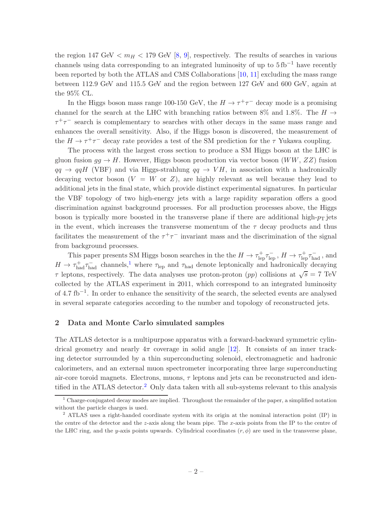the region 147 GeV  $\langle m_H \rangle$  179 GeV [\[8](#page-27-3), [9\]](#page-27-4), respectively. The results of searches in various channels using data corresponding to an integrated luminosity of up to  $5 \text{ fb}^{-1}$  have recently been reported by both the ATLAS and CMS Collaborations [\[10,](#page-27-5) [11\]](#page-28-0) excluding the mass range between 112.9 GeV and 115.5 GeV and the region between 127 GeV and 600 GeV, again at the 95% CL.

In the Higgs boson mass range 100-150 GeV, the  $H \to \tau^+ \tau^-$  decay mode is a promising channel for the search at the LHC with branching ratios between 8% and 1.8%. The  $H \rightarrow$  $\tau^+\tau^-$  search is complementary to searches with other decays in the same mass range and enhances the overall sensitivity. Also, if the Higgs boson is discovered, the measurement of the  $H \to \tau^+ \tau^-$  decay rate provides a test of the SM prediction for the  $\tau$  Yukawa coupling.

The process with the largest cross section to produce a SM Higgs boson at the LHC is gluon fusion  $gg \to H$ . However, Higgs boson production via vector boson  $(WW, ZZ)$  fusion  $qq \rightarrow qqH$  (VBF) and via Higgs-strahlung  $qq \rightarrow VH$ , in association with a hadronically decaying vector boson  $(V = W \text{ or } Z)$ , are highly relevant as well because they lead to additional jets in the final state, which provide distinct experimental signatures. In particular the VBF topology of two high-energy jets with a large rapidity separation offers a good discrimination against background processes. For all production processes above, the Higgs boson is typically more boosted in the transverse plane if there are additional high- $p<sub>T</sub>$  jets in the event, which increases the transverse momentum of the  $\tau$  decay products and thus facilitates the measurement of the  $\tau^+\tau^-$  invariant mass and the discrimination of the signal from background processes.

This paper presents SM Higgs boson searches in the the  $H \to \tau_{\rm lep}^+ \tau_{\rm lep}^-$ ,  $H \to \tau_{\rm lep}^+ \tau_{\rm had}^-$ , and  $H \to \tau_{\text{had}}^+ \tau_{\text{had}}^-$  channels,<sup>[1](#page-3-1)</sup> where  $\tau_{\text{lep}}$  and  $\tau_{\text{had}}$  denote leptonically and hadronically decaying  $\tau$  leptons, respectively. The data analyses use proton-proton (pp) collisions at  $\sqrt{s} = 7$  TeV collected by the ATLAS experiment in 2011, which correspond to an integrated luminosity of 4.7 fb−<sup>1</sup> . In order to enhance the sensitivity of the search, the selected events are analysed in several separate categories according to the number and topology of reconstructed jets.

#### <span id="page-3-0"></span>2 Data and Monte Carlo simulated samples

The ATLAS detector is a multipurpose apparatus with a forward-backward symmetric cylindrical geometry and nearly  $4\pi$  coverage in solid angle [\[12\]](#page-28-1). It consists of an inner tracking detector surrounded by a thin superconducting solenoid, electromagnetic and hadronic calorimeters, and an external muon spectrometer incorporating three large superconducting air-core toroid magnets. Electrons, muons,  $\tau$  leptons and jets can be reconstructed and iden-tified in the ATLAS detector.<sup>[2](#page-3-2)</sup> Only data taken with all sub-systems relevant to this analysis

<span id="page-3-1"></span><sup>&</sup>lt;sup>1</sup> Charge-conjugated decay modes are implied. Throughout the remainder of the paper, a simplified notation without the particle charges is used.

<span id="page-3-2"></span><sup>2</sup> ATLAS uses a right-handed coordinate system with its origin at the nominal interaction point (IP) in the centre of the detector and the z-axis along the beam pipe. The x-axis points from the IP to the centre of the LHC ring, and the y-axis points upwards. Cylindrical coordinates  $(r, \phi)$  are used in the transverse plane,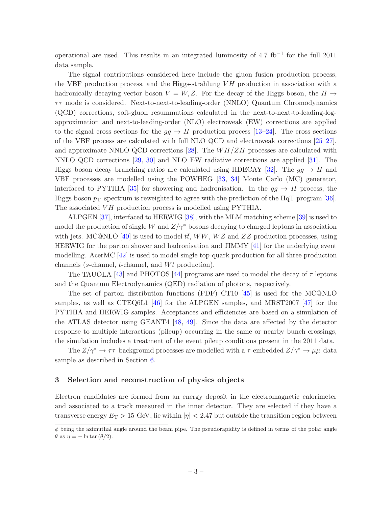operational are used. This results in an integrated luminosity of 4.7 fb−<sup>1</sup> for the full 2011 data sample.

The signal contributions considered here include the gluon fusion production process, the VBF production process, and the Higgs-strahlung  $V$ H production in association with a hadronically-decaying vector boson  $V = W, Z$ . For the decay of the Higgs boson, the  $H \rightarrow$  $\tau\tau$  mode is considered. Next-to-next-to-leading-order (NNLO) Quantum Chromodynamics (QCD) corrections, soft-gluon resummations calculated in the next-to-next-to-leading-logapproximation and next-to-leading-order (NLO) electroweak (EW) corrections are applied to the signal cross sections for the  $gg \to H$  production process [\[13](#page-28-2)[–24\]](#page-28-3). The cross sections of the VBF process are calculated with full NLO QCD and electroweak corrections [\[25](#page-28-4)[–27](#page-28-5)], and approximate NNLO QCD corrections [\[28\]](#page-28-6). The  $WH/ZH$  processes are calculated with NNLO QCD corrections [\[29,](#page-28-7) [30](#page-28-8)] and NLO EW radiative corrections are applied [\[31](#page-28-9)]. The Higgs boson decay branching ratios are calculated using HDECAY [\[32\]](#page-28-10). The  $q\bar{q} \to H$  and VBF processes are modelled using the POWHEG [\[33,](#page-28-11) [34](#page-28-12)] Monte Carlo (MC) generator, interfaced to PYTHIA [\[35\]](#page-28-13) for showering and hadronisation. In the  $gg \to H$  process, the Higgs boson  $p_T$  spectrum is reweighted to agree with the prediction of the HqT program [\[36](#page-28-14)]. The associated VH production process is modelled using PYTHIA.

ALPGEN [\[37\]](#page-28-15), interfaced to HERWIG [\[38\]](#page-29-0), with the MLM matching scheme [\[39](#page-29-1)] is used to model the production of single W and  $Z/\gamma^*$  bosons decaying to charged leptons in association with jets. MC@NLO [\[40\]](#page-29-2) is used to model  $t\bar{t}$ , WW, WZ and ZZ production processes, using HERWIG for the parton shower and hadronisation and JIMMY [\[41\]](#page-29-3) for the underlying event modelling. AcerMC [\[42\]](#page-29-4) is used to model single top-quark production for all three production channels (s-channel, t-channel, and  $Wt$  production).

The TAUOLA [\[43\]](#page-29-5) and PHOTOS [\[44](#page-29-6)] programs are used to model the decay of  $\tau$  leptons and the Quantum Electrodynamics (QED) radiation of photons, respectively.

The set of parton distribution functions (PDF) CT10 [\[45\]](#page-29-7) is used for the MC@NLO samples, as well as CTEQ6L1 [\[46](#page-29-8)] for the ALPGEN samples, and MRST2007 [\[47\]](#page-29-9) for the PYTHIA and HERWIG samples. Acceptances and efficiencies are based on a simulation of the ATLAS detector using GEANT4 [\[48](#page-29-10), [49](#page-29-11)]. Since the data are affected by the detector response to multiple interactions (pileup) occurring in the same or nearby bunch crossings, the simulation includes a treatment of the event pileup conditions present in the 2011 data.

The  $Z/\gamma^* \to \tau\tau$  background processes are modelled with a  $\tau$ -embedded  $Z/\gamma^* \to \mu\mu$  data sample as described in Section [6.](#page-9-1)

#### <span id="page-4-0"></span>3 Selection and reconstruction of physics objects

Electron candidates are formed from an energy deposit in the electromagnetic calorimeter and associated to a track measured in the inner detector. They are selected if they have a transverse energy  $E_T > 15$  GeV, lie within  $|\eta| < 2.47$  but outside the transition region between

 $\phi$  being the azimuthal angle around the beam pipe. The pseudorapidity is defined in terms of the polar angle  $\theta$  as  $\eta = -\ln \tan(\theta/2)$ .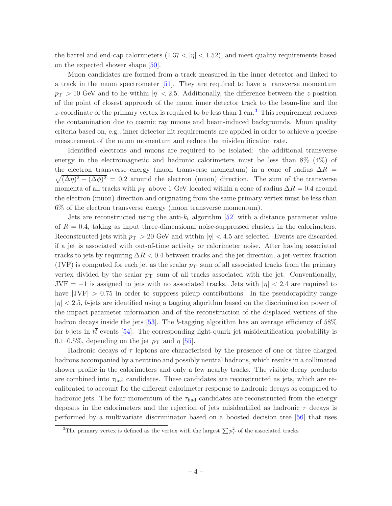the barrel and end-cap calorimeters  $(1.37 < |\eta| < 1.52)$ , and meet quality requirements based on the expected shower shape [\[50](#page-29-12)].

Muon candidates are formed from a track measured in the inner detector and linked to a track in the muon spectrometer [\[51](#page-29-13)]. They are required to have a transverse momentum  $p_{\rm T} > 10$  GeV and to lie within  $|\eta| < 2.5$ . Additionally, the difference between the z-position of the point of closest approach of the muon inner detector track to the beam-line and the z-coordinate of the primary vertex is required to be less than  $1 \text{ cm}^3$  $1 \text{ cm}^3$ . This requirement reduces the contamination due to cosmic ray muons and beam-induced backgrounds. Muon quality criteria based on, e.g., inner detector hit requirements are applied in order to achieve a precise measurement of the muon momentum and reduce the misidentification rate.

Identified electrons and muons are required to be isolated: the additional transverse energy in the electromagnetic and hadronic calorimeters must be less than 8% (4%) of the electron transverse energy (muon transverse momentum) in a cone of radius  $\Delta R$  =  $\sqrt{(\Delta \eta)^2 + (\Delta \phi)^2} = 0.2$  around the electron (muon) direction. The sum of the transverse momenta of all tracks with  $p_T$  above 1 GeV located within a cone of radius  $\Delta R = 0.4$  around the electron (muon) direction and originating from the same primary vertex must be less than 6% of the electron transverse energy (muon transverse momentum).

Jets are reconstructed using the anti- $k_t$  algorithm [\[52](#page-29-14)] with a distance parameter value of  $R = 0.4$ , taking as input three-dimensional noise-suppressed clusters in the calorimeters. Reconstructed jets with  $p_T > 20$  GeV and within  $|\eta| < 4.5$  are selected. Events are discarded if a jet is associated with out-of-time activity or calorimeter noise. After having associated tracks to jets by requiring  $\Delta R < 0.4$  between tracks and the jet direction, a jet-vertex fraction (JVF) is computed for each jet as the scalar  $p<sub>T</sub>$  sum of all associated tracks from the primary vertex divided by the scalar  $p<sub>T</sub>$  sum of all tracks associated with the jet. Conventionally, JVF =  $-1$  is assigned to jets with no associated tracks. Jets with  $|\eta| < 2.4$  are required to have  $|JVF| > 0.75$  in order to suppress pileup contributions. In the pseudorapidity range  $|\eta|$   $\langle 2.5, b$ -jets are identified using a tagging algorithm based on the discrimination power of the impact parameter information and of the reconstruction of the displaced vertices of the hadron decays inside the jets [\[53\]](#page-29-15). The b-tagging algorithm has an average efficiency of 58% for b-jets in  $t\bar{t}$  events [\[54](#page-29-16)]. The corresponding light-quark jet misidentification probability is 0.1–0.5%, depending on the jet  $p_T$  and  $\eta$  [\[55](#page-29-17)].

Hadronic decays of  $\tau$  leptons are characterised by the presence of one or three charged hadrons accompanied by a neutrino and possibly neutral hadrons, which results in a collimated shower profile in the calorimeters and only a few nearby tracks. The visible decay products are combined into  $\tau_{\text{had}}$  candidates. These candidates are reconstructed as jets, which are recalibrated to account for the different calorimeter response to hadronic decays as compared to hadronic jets. The four-momentum of the  $\tau_{\text{had}}$  candidates are reconstructed from the energy deposits in the calorimeters and the rejection of jets misidentified as hadronic  $\tau$  decays is performed by a multivariate discriminator based on a boosted decision tree [\[56](#page-29-18)] that uses

<span id="page-5-0"></span><sup>&</sup>lt;sup>3</sup>The primary vertex is defined as the vertex with the largest  $\sum p_T^2$  of the associated tracks.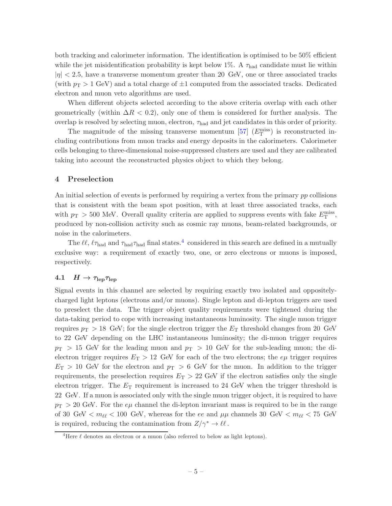both tracking and calorimeter information. The identification is optimised to be 50% efficient while the jet misidentification probability is kept below 1%. A  $\tau_{\text{had}}$  candidate must lie within  $|\eta|$  < 2.5, have a transverse momentum greater than 20 GeV, one or three associated tracks (with  $p_T > 1$  GeV) and a total charge of  $\pm 1$  computed from the associated tracks. Dedicated electron and muon veto algorithms are used.

When different objects selected according to the above criteria overlap with each other geometrically (within  $\Delta R < 0.2$ ), only one of them is considered for further analysis. The overlap is resolved by selecting muon, electron,  $\tau_{had}$  and jet candidates in this order of priority.

The magnitude of the missing transverse momentum  $[57]$   $(E_{\rm T}^{\rm miss})$  is reconstructed including contributions from muon tracks and energy deposits in the calorimeters. Calorimeter cells belonging to three-dimensional noise-suppressed clusters are used and they are calibrated taking into account the reconstructed physics object to which they belong.

#### <span id="page-6-0"></span>4 Preselection

An initial selection of events is performed by requiring a vertex from the primary pp collisions that is consistent with the beam spot position, with at least three associated tracks, each with  $p_T > 500$  MeV. Overall quality criteria are applied to suppress events with fake  $E_T^{\text{miss}}$ , produced by non-collision activity such as cosmic ray muons, beam-related backgrounds, or noise in the calorimeters.

The  $\ell\ell$ ,  $\ell\tau_{\text{had}}$  and  $\tau_{\text{had}}$  final states.<sup>[4](#page-6-2)</sup> considered in this search are defined in a mutually exclusive way: a requirement of exactly two, one, or zero electrons or muons is imposed, respectively.

## <span id="page-6-1"></span>4.1  $H \rightarrow \tau_{\rm lep} \tau_{\rm lep}$

Signal events in this channel are selected by requiring exactly two isolated and oppositelycharged light leptons (electrons and/or muons). Single lepton and di-lepton triggers are used to preselect the data. The trigger object quality requirements were tightened during the data-taking period to cope with increasing instantaneous luminosity. The single muon trigger requires  $p_T > 18$  GeV; for the single electron trigger the  $E_T$  threshold changes from 20 GeV to 22 GeV depending on the LHC instantaneous luminosity; the di-muon trigger requires  $p_{\rm T} > 15$  GeV for the leading muon and  $p_{\rm T} > 10$  GeV for the sub-leading muon; the dielectron trigger requires  $E_T > 12$  GeV for each of the two electrons; the  $e\mu$  trigger requires  $E_T > 10$  GeV for the electron and  $p_T > 6$  GeV for the muon. In addition to the trigger requirements, the preselection requires  $E_T > 22$  GeV if the electron satisfies only the single electron trigger. The  $E<sub>T</sub>$  requirement is increased to 24 GeV when the trigger threshold is 22 GeV. If a muon is associated only with the single muon trigger object, it is required to have  $p_{\rm T} > 20$  GeV. For the  $e\mu$  channel the di-lepton invariant mass is required to be in the range of 30 GeV  $\langle m_{\ell\ell} \rangle$  = 100 GeV, whereas for the ee and  $\mu\mu$  channels 30 GeV  $\langle m_{\ell\ell} \rangle$  = 75 GeV is required, reducing the contamination from  $Z/\gamma^* \to \ell \ell$ .

<span id="page-6-2"></span><sup>&</sup>lt;sup>4</sup>Here  $\ell$  denotes an electron or a muon (also referred to below as light leptons).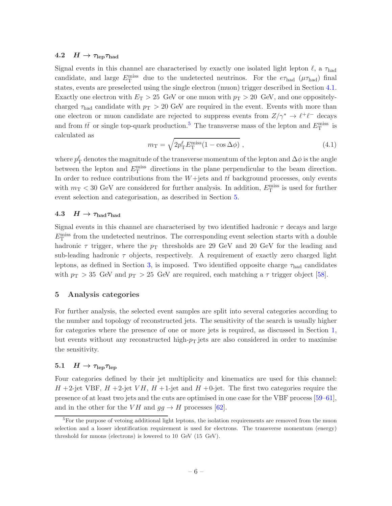#### <span id="page-7-0"></span>4.2  $H \to \tau_{\rm lep} \tau_{\rm had}$

Signal events in this channel are characterised by exactly one isolated light lepton  $\ell$ , a  $\tau_{\text{had}}$ candidate, and large  $E_{\rm T}^{\rm miss}$  due to the undetected neutrinos. For the  $e\tau_{\rm had}$  ( $\mu\tau_{\rm had}$ ) final states, events are preselected using the single electron (muon) trigger described in Section [4.1.](#page-6-1) Exactly one electron with  $E_T > 25$  GeV or one muon with  $p_T > 20$  GeV, and one oppositelycharged  $\tau_{\text{had}}$  candidate with  $p_T > 20$  GeV are required in the event. Events with more than one electron or muon candidate are rejected to suppress events from  $Z/\gamma^* \to \ell^+ \ell^-$  decays and from  $t\bar{t}$  or single top-quark production.<sup>[5](#page-7-4)</sup> The transverse mass of the lepton and  $E_{\rm T}^{\rm miss}$  is calculated as

$$
m_{\rm T} = \sqrt{2p_{\rm T}^{\ell}E_{\rm T}^{\rm miss}(1 - \cos\Delta\phi)}\,,\tag{4.1}
$$

where  $p_{\rm T}^{\ell}$  denotes the magnitude of the transverse momentum of the lepton and  $\Delta\phi$  is the angle between the lepton and  $E_{\rm T}^{\rm miss}$  directions in the plane perpendicular to the beam direction. In order to reduce contributions from the  $W+$ jets and  $t\bar{t}$  background processes, only events with  $m_T < 30$  GeV are considered for further analysis. In addition,  $E_T^{\text{miss}}$  is used for further event selection and categorisation, as described in Section [5.](#page-7-2)

#### <span id="page-7-1"></span>4.3  $H \to \tau_{\textrm{had}} \tau_{\textrm{had}}$

Signal events in this channel are characterised by two identified hadronic  $\tau$  decays and large  $E_{\rm T}^{\rm miss}$  from the undetected neutrinos. The corresponding event selection starts with a double hadronic  $\tau$  trigger, where the  $p_T$  thresholds are 29 GeV and 20 GeV for the leading and sub-leading hadronic  $\tau$  objects, respectively. A requirement of exactly zero charged light leptons, as defined in Section [3,](#page-4-0) is imposed. Two identified opposite charge  $\tau_{\text{had}}$  candidates with  $p_T > 35$  GeV and  $p_T > 25$  GeV are required, each matching a  $\tau$  trigger object [\[58](#page-29-20)].

#### <span id="page-7-2"></span>5 Analysis categories

For further analysis, the selected event samples are split into several categories according to the number and topology of reconstructed jets. The sensitivity of the search is usually higher for categories where the presence of one or more jets is required, as discussed in Section [1,](#page-2-0) but events without any reconstructed high- $p<sub>T</sub>$  jets are also considered in order to maximise the sensitivity.

## <span id="page-7-3"></span>5.1  $H \rightarrow \tau_{\rm lep} \tau_{\rm lep}$

Four categories defined by their jet multiplicity and kinematics are used for this channel:  $H$  +2-jet VBF,  $H$  +2-jet VH,  $H$  +1-jet and  $H$  +0-jet. The first two categories require the presence of at least two jets and the cuts are optimised in one case for the VBF process [\[59](#page-29-21)[–61](#page-29-22)], and in the other for the VH and  $gg \to H$  processes [\[62\]](#page-29-23).

<span id="page-7-4"></span> ${}^{5}$ For the purpose of vetoing additional light leptons, the isolation requirements are removed from the muon selection and a looser identification requirement is used for electrons. The transverse momentum (energy) threshold for muons (electrons) is lowered to 10 GeV (15 GeV).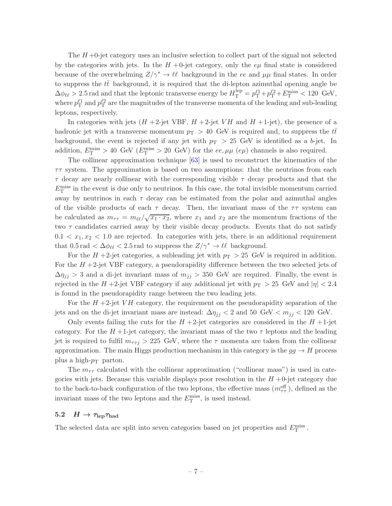The  $H + 0$ -jet category uses an inclusive selection to collect part of the signal not selected by the categories with jets. In the  $H + 0$ -jet category, only the  $e\mu$  final state is considered because of the overwhelming  $Z/\gamma^* \to \ell \ell$  background in the ee and  $\mu\mu$  final states. In order to suppress the  $t\bar{t}$  background, it is required that the di-lepton azimuthal opening angle be  $\Delta\phi_{\ell\ell} > 2.5$  rad and that the leptonic transverse energy be  $H_{\rm T}^{\rm lep} = p_{\rm T}^{\ell 1} + p_{\rm T}^{\ell 2} + E_{\rm T}^{\rm miss} < 120 \text{ GeV},$ where  $p_{\rm T}^{\ell 1}$  and  $p_{\rm T}^{\ell 2}$  are the magnitudes of the transverse momenta of the leading and sub-leading leptons, respectively.

In categories with jets  $(H+2$ -jet VBF,  $H+2$ -jet VH and  $H+1$ -jet), the presence of a hadronic jet with a transverse momentum  $p<sub>T</sub> > 40$  GeV is required and, to suppress the  $t\bar{t}$ background, the event is rejected if any jet with  $p_T > 25$  GeV is identified as a b-jet. In addition,  $E_{\rm T}^{\rm miss} > 40$  GeV ( $E_{\rm T}^{\rm miss} > 20$  GeV) for the ee,  $\mu\mu$  (e $\mu$ ) channels is also required.

The collinear approximation technique [\[63](#page-29-24)] is used to reconstruct the kinematics of the  $\tau\tau$  system. The approximation is based on two assumptions: that the neutrinos from each  $\tau$  decay are nearly collinear with the corresponding visible  $\tau$  decay products and that the  $E_{\rm T}^{\rm miss}$  in the event is due only to neutrinos. In this case, the total invisible momentum carried away by neutrinos in each  $\tau$  decay can be estimated from the polar and azimuthal angles of the visible products of each  $\tau$  decay. Then, the invariant mass of the  $\tau\tau$  system can be calculated as  $m_{\tau\tau} = m_{\ell\ell}/\sqrt{x_1 \cdot x_2}$ , where  $x_1$  and  $x_2$  are the momentum fractions of the two  $\tau$  candidates carried away by their visible decay products. Events that do not satisfy  $0.1 < x_1, x_2 < 1.0$  are rejected. In categories with jets, there is an additional requirement that  $0.5 \text{ rad} < \Delta \phi_{\ell\ell} < 2.5 \text{ rad}$  to suppress the  $Z/\gamma^* \to \ell\ell$  background.

For the  $H$  +2-jet categories, a subleading jet with  $p<sub>T</sub> > 25$  GeV is required in addition. For the  $H + 2$ -jet VBF category, a pseudorapidity difference between the two selected jets of  $\Delta \eta_{jj} > 3$  and a di-jet invariant mass of  $m_{jj} > 350$  GeV are required. Finally, the event is rejected in the H +2-jet VBF category if any additional jet with  $p_T > 25$  GeV and  $|\eta| < 2.4$ is found in the pseudorapidity range between the two leading jets.

For the  $H + 2$ -jet VH category, the requirement on the pseudorapidity separation of the jets and on the di-jet invariant mass are instead:  $\Delta \eta_{ij} < 2$  and 50 GeV  $< m_{ij} < 120$  GeV.

Only events failing the cuts for the  $H + 2$ -jet categories are considered in the  $H + 1$ -jet category. For the  $H+1$ -jet category, the invariant mass of the two  $\tau$  leptons and the leading jet is required to fulfil  $m_{\tau\tau i} > 225$  GeV, where the  $\tau$  momenta are taken from the collinear approximation. The main Higgs production mechanism in this category is the  $gg \to H$  process plus a high- $p_T$  parton.

The  $m_{\tau\tau}$  calculated with the collinear approximation ("collinear mass") is used in categories with jets. Because this variable displays poor resolution in the  $H + 0$ -jet category due to the back-to-back configuration of the two leptons, the effective mass  $(m_{\tau\tau}^{\text{eff}})$ , defined as the invariant mass of the two leptons and the  $E_{\rm T}^{\rm miss}$ , is used instead.

#### <span id="page-8-0"></span>5.2  $H \to \tau_{\rm lep} \tau_{\rm had}$

The selected data are split into seven categories based on jet properties and  $E_{\rm T}^{\rm miss}$ .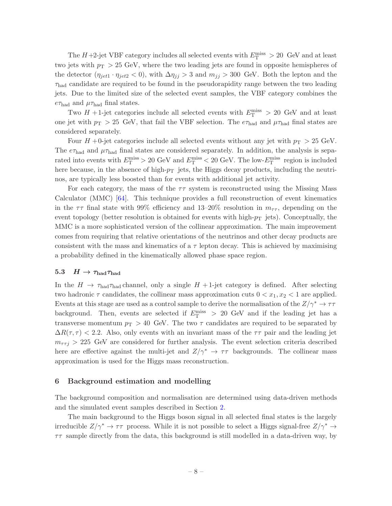The  $H$ +2-jet VBF category includes all selected events with  $E_{\rm T}^{\rm miss} > 20\,$  GeV and at least two jets with  $p_T > 25$  GeV, where the two leading jets are found in opposite hemispheres of the detector  $(\eta_{jet1} \cdot \eta_{jet2} < 0)$ , with  $\Delta \eta_{jj} > 3$  and  $m_{jj} > 300$  GeV. Both the lepton and the  $\tau_{\text{had}}$  candidate are required to be found in the pseudorapidity range between the two leading jets. Due to the limited size of the selected event samples, the VBF category combines the  $e\tau_{\text{had}}$  and  $\mu\tau_{\text{had}}$  final states.

Two  $H$  +1-jet categories include all selected events with  $E_{\rm T}^{\rm miss} > 20$  GeV and at least one jet with  $p_T > 25$  GeV, that fail the VBF selection. The  $e\tau_{\text{had}}$  and  $\mu\tau_{\text{had}}$  final states are considered separately.

Four  $H + 0$ -jet categories include all selected events without any jet with  $p_T > 25$  GeV. The  $e\tau_{\text{had}}$  and  $\mu\tau_{\text{had}}$  final states are considered separately. In addition, the analysis is separated into events with  $E_{\rm T}^{\rm miss} > 20$  GeV and  $E_{\rm T}^{\rm miss} < 20$  GeV. The low- $E_{\rm T}^{\rm miss}$  region is included here because, in the absence of high- $p<sub>T</sub>$  jets, the Higgs decay products, including the neutrinos, are typically less boosted than for events with additional jet activity.

For each category, the mass of the  $\tau\tau$  system is reconstructed using the Missing Mass Calculator (MMC) [\[64](#page-29-25)]. This technique provides a full reconstruction of event kinematics in the  $\tau\tau$  final state with 99% efficiency and 13–20% resolution in  $m_{\tau\tau}$ , depending on the event topology (better resolution is obtained for events with high- $p<sub>T</sub>$  jets). Conceptually, the MMC is a more sophisticated version of the collinear approximation. The main improvement comes from requiring that relative orientations of the neutrinos and other decay products are consistent with the mass and kinematics of a  $\tau$  lepton decay. This is achieved by maximising a probability defined in the kinematically allowed phase space region.

#### <span id="page-9-0"></span>5.3  $H \to \tau_{\text{had}} \tau_{\text{had}}$

In the  $H \to \tau_{\text{had}} \tau_{\text{had}}$  channel, only a single  $H + 1$ -jet category is defined. After selecting two hadronic  $\tau$  candidates, the collinear mass approximation cuts  $0 < x_1, x_2 < 1$  are applied. Events at this stage are used as a control sample to derive the normalisation of the  $Z/\gamma^* \to \tau\tau$ background. Then, events are selected if  $E_{\rm T}^{\rm miss} > 20$  GeV and if the leading jet has a transverse momentum  $p_T > 40$  GeV. The two  $\tau$  candidates are required to be separated by  $\Delta R(\tau, \tau)$  < 2.2. Also, only events with an invariant mass of the  $\tau\tau$  pair and the leading jet  $m_{\tau\tau j} > 225$  GeV are considered for further analysis. The event selection criteria described here are effective against the multi-jet and  $Z/\gamma^* \rightarrow \tau\tau$  backgrounds. The collinear mass approximation is used for the Higgs mass reconstruction.

#### <span id="page-9-1"></span>6 Background estimation and modelling

The background composition and normalisation are determined using data-driven methods and the simulated event samples described in Section [2.](#page-3-0)

The main background to the Higgs boson signal in all selected final states is the largely irreducible  $Z/\gamma^* \to \tau\tau$  process. While it is not possible to select a Higgs signal-free  $Z/\gamma^* \to$  $\tau\tau$  sample directly from the data, this background is still modelled in a data-driven way, by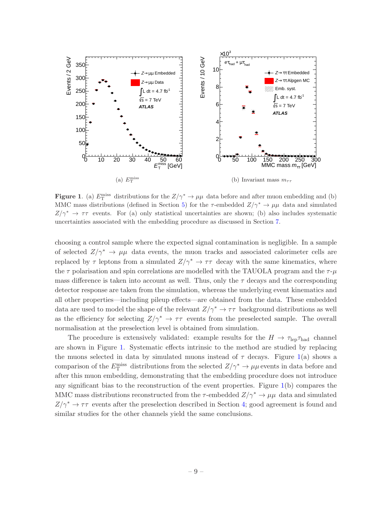

<span id="page-10-0"></span>**Figure 1.** (a)  $E_T^{\text{miss}}$  distributions for the  $Z/\gamma^* \to \mu\mu$  data before and after muon embedding and (b) MMC mass distributions (defined in Section [5\)](#page-7-2) for the  $\tau$ -embedded  $Z/\gamma^* \to \mu\mu$  data and simulated  $Z/\gamma^* \to \tau\tau$  events. For (a) only statistical uncertainties are shown; (b) also includes systematic uncertainties associated with the embedding procedure as discussed in Section [7.](#page-23-0)

choosing a control sample where the expected signal contamination is negligible. In a sample of selected  $Z/\gamma^* \to \mu\mu$  data events, the muon tracks and associated calorimeter cells are replaced by  $\tau$  leptons from a simulated  $Z/\gamma^* \to \tau\tau$  decay with the same kinematics, where the  $\tau$  polarisation and spin correlations are modelled with the TAUOLA program and the  $\tau$ - $\mu$ mass difference is taken into account as well. Thus, only the  $\tau$  decays and the corresponding detector response are taken from the simulation, whereas the underlying event kinematics and all other properties—including pileup effects—are obtained from the data. These embedded data are used to model the shape of the relevant  $Z/\gamma^* \to \tau\tau$  background distributions as well as the efficiency for selecting  $Z/\gamma^* \to \tau\tau$  events from the preselected sample. The overall normalisation at the preselection level is obtained from simulation.

The procedure is extensively validated: example results for the  $H \to \tau_{\rm lep} \tau_{\rm had}$  channel are shown in Figure [1.](#page-10-0) Systematic effects intrinsic to the method are studied by replacing the muons selected in data by simulated muons instead of  $\tau$  decays. Figure [1\(](#page-10-0)a) shows a comparison of the  $E_{\rm T}^{\rm miss}$  distributions from the selected  $Z/\gamma^* \to \mu\mu$  events in data before and after this muon embedding, demonstrating that the embedding procedure does not introduce any significant bias to the reconstruction of the event properties. Figure [1\(](#page-10-0)b) compares the MMC mass distributions reconstructed from the  $\tau$ -embedded  $Z/\gamma^* \to \mu\mu$  data and simulated  $Z/\gamma^* \rightarrow \tau\tau$  events after the preselection described in Section [4;](#page-6-0) good agreement is found and similar studies for the other channels yield the same conclusions.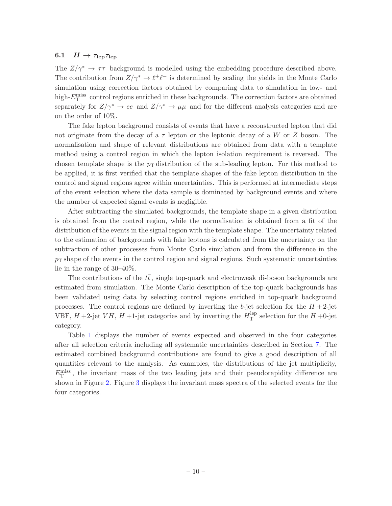#### <span id="page-11-0"></span>6.1  $H \rightarrow \tau_{\rm lep} \tau_{\rm lep}$

The  $Z/\gamma^* \to \tau\tau$  background is modelled using the embedding procedure described above. The contribution from  $Z/\gamma^* \to \ell^+ \ell^-$  is determined by scaling the yields in the Monte Carlo simulation using correction factors obtained by comparing data to simulation in low- and high- $E_{\rm T}^{\rm miss}$  control regions enriched in these backgrounds. The correction factors are obtained separately for  $Z/\gamma^* \to ee$  and  $Z/\gamma^* \to \mu\mu$  and for the different analysis categories and are on the order of 10%.

The fake lepton background consists of events that have a reconstructed lepton that did not originate from the decay of a  $\tau$  lepton or the leptonic decay of a W or Z boson. The normalisation and shape of relevant distributions are obtained from data with a template method using a control region in which the lepton isolation requirement is reversed. The chosen template shape is the  $p_T$  distribution of the sub-leading lepton. For this method to be applied, it is first verified that the template shapes of the fake lepton distribution in the control and signal regions agree within uncertainties. This is performed at intermediate steps of the event selection where the data sample is dominated by background events and where the number of expected signal events is negligible.

After subtracting the simulated backgrounds, the template shape in a given distribution is obtained from the control region, while the normalisation is obtained from a fit of the distribution of the events in the signal region with the template shape. The uncertainty related to the estimation of backgrounds with fake leptons is calculated from the uncertainty on the subtraction of other processes from Monte Carlo simulation and from the difference in the  $p<sub>T</sub>$  shape of the events in the control region and signal regions. Such systematic uncertainties lie in the range of 30–40%.

The contributions of the  $t\bar{t}$ , single top-quark and electroweak di-boson backgrounds are estimated from simulation. The Monte Carlo description of the top-quark backgrounds has been validated using data by selecting control regions enriched in top-quark background processes. The control regions are defined by inverting the b-jet selection for the  $H + 2$ -jet VBF,  $H$  +2-jet  $VH$ ,  $H$  +1-jet categories and by inverting the  $H_T^{\text{lep}}$  $T<sup>1ep</sup>$  selection for the  $H + 0$ -jet category.

Table [1](#page-12-0) displays the number of events expected and observed in the four categories after all selection criteria including all systematic uncertainties described in Section [7.](#page-23-0) The estimated combined background contributions are found to give a good description of all quantities relevant to the analysis. As examples, the distributions of the jet multiplicity,  $E_{\rm T}^{\rm miss}$ , the invariant mass of the two leading jets and their pseudorapidity difference are shown in Figure [2.](#page-13-0) Figure [3](#page-14-0) displays the invariant mass spectra of the selected events for the four categories.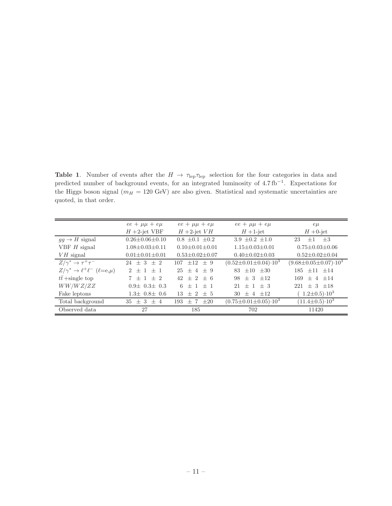<span id="page-12-0"></span>Table 1. Number of events after the  $H \to \tau_{\rm lep} \tau_{\rm lep}$  selection for the four categories in data and predicted number of background events, for an integrated luminosity of 4.7 fb<sup>-1</sup>. Expectations for the Higgs boson signal ( $m_H = 120$  GeV) are also given. Statistical and systematic uncertainties are quoted, in that order.

|                                                   | $ee + \mu\mu + e\mu$     | $ee + \mu\mu + e\mu$     | $ee + \mu\mu + e\mu$                  | $e\mu$                                |
|---------------------------------------------------|--------------------------|--------------------------|---------------------------------------|---------------------------------------|
|                                                   | $H+2$ -jet VBF           | $H+2$ -jet $VH$          | $H+1$ -jet                            | $H + 0$ -jet                          |
| $qq \rightarrow H$ signal                         | $0.26 + 0.06 + 0.10$     | $0.8 \pm 0.1 \pm 0.2$    | $3.9 + 0.2 + 1.0$                     | 23<br>$\pm 3$<br>$+1$                 |
| VBF $H$ signal                                    | $1.08 + 0.03 + 0.11$     | $0.10+0.01+0.01$         | $1.15 + 0.03 + 0.01$                  | $0.75 + 0.03 + 0.06$                  |
| $VH$ signal                                       | $0.01 \pm 0.01 \pm 0.01$ | $0.53 \pm 0.02 \pm 0.07$ | $0.40 \pm 0.02 \pm 0.03$              | $0.52 \pm 0.02 \pm 0.04$              |
| $Z/\gamma^* \to \tau^+\tau^-$                     | $24 + 3 + 2$             | $107 \pm 12 \pm 9$       | $(0.52 \pm 0.01 \pm 0.04) \cdot 10^3$ | $(9.68 \pm 0.05 \pm 0.07) \cdot 10^3$ |
| $Z/\gamma^* \to \ell^+ \ell^-$ ( $\ell = e,\mu$ ) | $2 + 1 + 1$              | $25 + 4 + 9$             | $+10^{-}$<br>$+30$<br>83              | $+11$ +14<br>185                      |
| $t\bar{t}$ + single top                           | $7 + 1 + 2$              | $+2+6$<br>42             | 98<br>$\pm$ 3<br>$+12$                | $+4$ + 14<br>169                      |
| WW/WZ/ZZ                                          | $0.9\pm 0.3\pm 0.3$      | $+1$ + 1<br>6            | $+1+3$<br>21                          | $\pm$ 3 $\pm$ 18<br>221               |
| Fake leptons                                      | $1.3\pm 0.8\pm 0.6$      | $+2$<br>13<br>$+5$       | $+12$<br>30-<br>$+4$                  | $1.2 \pm 0.5$ ) $\cdot 10^3$          |
| Total background                                  | $35 + 3 + 4$             | $+20$<br>$\pm$ 7<br>193  | $(0.75 \pm 0.01 \pm 0.05) \cdot 10^3$ | $(11.4 \pm 0.5) \cdot 10^3$           |
| Observed data                                     | 27                       | 185                      | 702                                   | 11420                                 |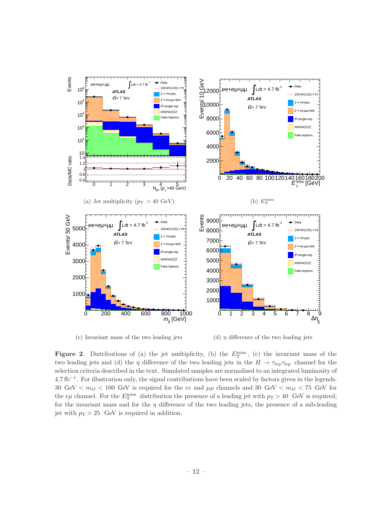

<span id="page-13-0"></span>(c) Invariant mass of the two leading jets

(d)  $\eta$  difference of the two leading jets

**Figure 2.** Distributions of (a) the jet multiplicity, (b) the  $E_T^{\text{miss}}$ , (c) the invariant mass of the two leading jets and (d) the  $\eta$  difference of the two leading jets in the  $H \to \tau_{\rm lep} \tau_{\rm lep}$  channel for the selection criteria described in the text. Simulated samples are normalised to an integrated luminosity of 4.7 fb<sup>-1</sup>. For illustration only, the signal contributions have been scaled by factors given in the legends. 30 GeV  $\langle m_{\ell\ell} \rangle$  = 100 GeV is required for the ee and  $\mu\mu$  channels and 30 GeV  $\langle m_{\ell\ell} \rangle$  = 75 GeV for the  $e\mu$  channel. For the  $E_T^{\text{miss}}$  distribution the presence of a leading jet with  $p_T > 40$  GeV is required; for the invariant mass and for the  $\eta$  difference of the two leading jets, the presence of a sub-leading jet with  $p_T > 25$  GeV is required in addition.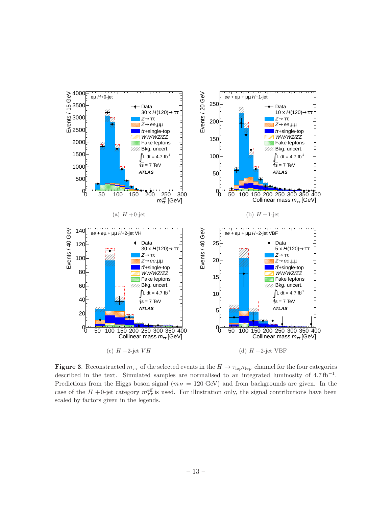

<span id="page-14-0"></span>**Figure 3.** Reconstructed  $m_{\tau\tau}$  of the selected events in the  $H \to \tau_{\rm lep} \tau_{\rm lep}$  channel for the four categories described in the text. Simulated samples are normalised to an integrated luminosity of  $4.7 \text{ fb}^{-1}$ . Predictions from the Higgs boson signal ( $m_H = 120$  GeV) and from backgrounds are given. In the case of the  $H$  +0-jet category  $m_{\tau\tau}^{\text{eff}}$  is used. For illustration only, the signal contributions have been scaled by factors given in the legends.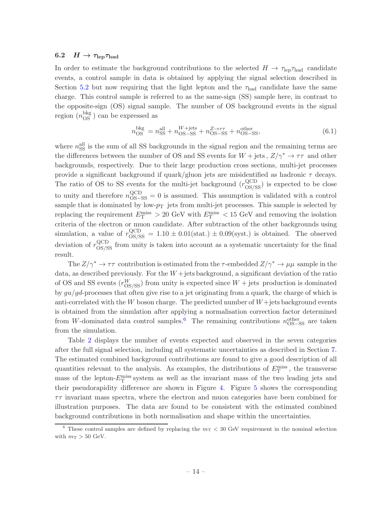#### <span id="page-15-0"></span>6.2  $H \to \tau_{\rm lep} \tau_{\rm had}$

In order to estimate the background contributions to the selected  $H \to \tau_{\rm lep} \tau_{\rm had}$  candidate events, a control sample in data is obtained by applying the signal selection described in Section [5.2](#page-8-0) but now requiring that the light lepton and the  $\tau_{\text{had}}$  candidate have the same charge. This control sample is referred to as the same-sign (SS) sample here, in contrast to the opposite-sign (OS) signal sample. The number of OS background events in the signal region  $(n_{\text{OS}}^{\text{bkg}})$  can be expressed as

$$
n_{\rm OS}^{\rm bkg} = n_{\rm SS}^{\rm all} + n_{\rm OS-SS}^{W + \rm jets} + n_{\rm OS-SS}^{Z \to \tau\tau} + n_{\rm OS-SS}^{\rm other},\tag{6.1}
$$

where  $n_{\rm SS}^{\rm all}$  is the sum of all SS backgrounds in the signal region and the remaining terms are the differences between the number of OS and SS events for  $W + \text{jets}$ ,  $Z/\gamma^* \rightarrow \tau\tau$  and other backgrounds, respectively. Due to their large production cross sections, multi-jet processes provide a significant background if quark/gluon jets are misidentified as hadronic  $\tau$  decays. The ratio of OS to SS events for the multi-jet background  $(r_{OS/SS}^{QCD})$  is expected to be close to unity and therefore  $n_{\text{OS-SS}}^{\text{QCD}} = 0$  is assumed. This assumption is validated with a control sample that is dominated by low- $p_T$  jets from multi-jet processes. This sample is selected by replacing the requirement  $E_{\rm T}^{\rm miss} > 20$  GeV with  $E_{\rm T}^{\rm miss} < 15$  GeV and removing the isolation criteria of the electron or muon candidate. After subtraction of the other backgrounds using simulation, a value of  $r_{OS/SS}^{QCD} = 1.10 \pm 0.01(\text{stat.}) \pm 0.09(\text{syst.})$  is obtained. The observed deviation of  $r_{\rm OS/SS}^{\rm QCD}$  from unity is taken into account as a systematic uncertainty for the final result.

The  $Z/\gamma^* \to \tau\tau$  contribution is estimated from the  $\tau$ -embedded  $Z/\gamma^* \to \mu\mu$  sample in the data, as described previously. For the  $W +$  jets background, a significant deviation of the ratio of OS and SS events  $(r_{\text{OS/SS}}^W)$  from unity is expected since  $W + \text{jets}$  production is dominated by  $qu/qd$ -processes that often give rise to a jet originating from a quark, the charge of which is anti-correlated with the W boson charge. The predicted number of  $W+$ jets background events is obtained from the simulation after applying a normalisation correction factor determined from W-dominated data control samples.<sup>[6](#page-15-1)</sup> The remaining contributions  $n_{\text{OS-SS}}^{\text{other}}$  are taken from the simulation.

Table [2](#page-16-0) displays the number of events expected and observed in the seven categories after the full signal selection, including all systematic uncertainties as described in Section [7.](#page-23-0) The estimated combined background contributions are found to give a good description of all quantities relevant to the analysis. As examples, the distributions of  $E_{\rm T}^{\rm miss}$ , the transverse mass of the lepton- $E_{\rm T}^{\rm miss}$  system as well as the invariant mass of the two leading jets and their pseudorapidity difference are shown in Figure [4.](#page-17-0) Figure [5](#page-18-0) shows the corresponding  $\tau\tau$  invariant mass spectra, where the electron and muon categories have been combined for illustration purposes. The data are found to be consistent with the estimated combined background contributions in both normalisation and shape within the uncertainties.

<span id="page-15-1"></span><sup>&</sup>lt;sup>6</sup> These control samples are defined by replacing the  $m<sub>T</sub>$  < 30 GeV requirement in the nominal selection with  $m_T > 50$  GeV.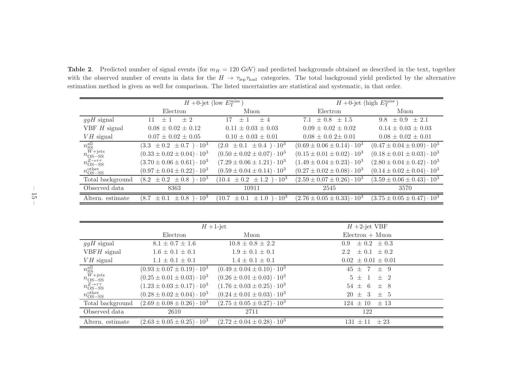Table 2. Predicted number of signal events (for  $m_H = 120$  GeV) and predicted backgrounds obtained as described in the text, together with the observed number of events in data for the  $H \to \tau_{\rm lep} \tau_{\rm had}$  categories. The total background yield predicted by the alternative<br>estimation mathed is given as well for comparison. The listed uncertainties are s estimation method is <sup>g</sup>iven as well for comparison. The listed uncertainties are statistical and systematic, in that order.

|                                                                                       | $H+0$ -jet (low $E_{\rm T}^{\rm miss}$ )    |                                               | $H+0$ -jet (high $E_{\rm T}^{\rm miss}$ ) |                                                  |
|---------------------------------------------------------------------------------------|---------------------------------------------|-----------------------------------------------|-------------------------------------------|--------------------------------------------------|
|                                                                                       | Electron                                    | Muon                                          | Electron                                  | Muon                                             |
| $ggH$ signal                                                                          | $+2$<br>$+$ 1                               | 17<br>$+4$<br>$+1$                            | 7.1 $\pm$ 0.8<br>$+1.5$                   | $\pm 0.9 \pm 2.1$<br>9.8                         |
| VBF $H$ signal                                                                        | $0.08 \pm 0.02 \pm 0.12$                    | $0.11 \pm 0.03 \pm 0.03$                      | $0.09 \pm 0.02 \pm 0.02$                  | $0.14 \pm 0.03 \pm 0.03$                         |
| $VH$ signal                                                                           | $0.07 \pm 0.02 \pm 0.05$                    | $0.10 \pm 0.03 \pm 0.01$                      | $0.08 \pm 0.02 \pm 0.01$                  | $0.08 \pm 0.02 \pm 0.01$                         |
| $\begin{array}{l} n_\text{SS}^\text{all} \\ n_\text{OS-SS}^\text{W+jets} \end{array}$ | $(3.3 \pm 0.2 \pm 0.7) \cdot 10^3$          | $(2.0 \pm 0.1 \pm 0.4) \cdot 10^3$            | $(0.69 \pm 0.06 \pm 0.14) \cdot 10^3$     | $(0.47 \pm 0.04 \pm 0.09) \cdot 10^3$            |
|                                                                                       | $(0.33 \pm 0.02 \pm 0.04) \cdot 10^3$       | $(0.50 \pm 0.02 \pm 0.07) \cdot 10^3$         | $(0.15 \pm 0.01 \pm 0.02) \cdot 10^3$     | $(0.18 \pm 0.01 \pm 0.03) \cdot 10^3$            |
| $n_{\text{OS-SS}}^{Z\rightarrow\tau\tau}$                                             | $(3.70 \pm 0.06 \pm 0.61) \cdot 10^3$       | $(7.29 \pm 0.06 \pm 1.21) \cdot 10^3$         | $(1.49 \pm 0.04 \pm 0.23) \cdot 10^3$     | $(2.80 \pm 0.04 \pm 0.42) \cdot 10^3$            |
| $n_{\text{OS-SS}}^{\text{other}}$                                                     | $(0.97 \pm 0.04 \pm 0.22) \cdot 10^3$       | $(0.59 \pm 0.04 \pm 0.14) \cdot 10^3$         | $(0.27 \pm 0.02 \pm 0.08) \cdot 10^3$     | $(0.14 \pm 0.02 \pm 0.04) \cdot 10^3$            |
| Total background                                                                      | $(8.2 \pm 0.2 \pm 0.8) \cdot 10^3$          | $(10.4 \pm 0.2 \pm 1.2) \cdot 10^3$           | $(2.59 \pm 0.07 \pm 0.26) \cdot 10^3$     | $(3.59 \pm 0.06 \pm 0.43) \cdot 10^3$            |
| Observed data                                                                         | 8363                                        | 10911                                         | 2545                                      | 3570                                             |
| Altern. estimate                                                                      | $1\cdot 10^3$<br>(8.7)<br>$\pm 0.1 \pm 0.8$ | $\pm 1.0$ ) $\cdot 10^3$<br>10.7<br>$\pm 0.1$ | $(2.76 \pm 0.05 \pm 0.33) \cdot 10^3$     | $(3.75 \pm 0.05 \pm 0.47) \cdot \overline{10^3}$ |

<span id="page-16-0"></span>

|                                                                                       | $H+1$ -jet                            |                                       | $H$ +2-jet VBF                        |
|---------------------------------------------------------------------------------------|---------------------------------------|---------------------------------------|---------------------------------------|
|                                                                                       | Electron                              | Muon                                  | $Electron + Muon$                     |
| $ggH$ signal                                                                          | $8.1 \pm 0.7 \pm 1.6$                 | $10.8 \pm 0.8 \pm 2.2$                | $\pm 0.2 \pm 0.3$<br>0.9 <sup>°</sup> |
| $VBFH$ signal                                                                         | $1.6 \pm 0.1 \pm 0.1$                 | $1.9 \pm 0.1 \pm 0.1$                 | $\pm 0.1 \pm 0.2$<br>2.2              |
| $VH$ signal                                                                           | $1.1 \pm 0.1 \pm 0.1$                 | $1.4 \pm 0.1 \pm 0.1$                 | $0.02 \pm 0.01 \pm 0.01$              |
| $\begin{array}{l} n_\text{SS}^\text{all} \\ n_\text{OS-SS}^\text{W+jets} \end{array}$ | $(0.93 \pm 0.07 \pm 0.19) \cdot 10^3$ | $(0.49 \pm 0.04 \pm 0.10) \cdot 10^3$ | $45 \pm 7$<br>$\pm$ 9                 |
|                                                                                       | $(0.25 \pm 0.01 \pm 0.03) \cdot 10^3$ | $(0.26 \pm 0.01 \pm 0.03) \cdot 10^3$ | $\pm$ 2<br>$5 \pm 1$                  |
| $n_{\text{OS-SS}}^{Z\rightarrow\tau\tau}$                                             | $(1.23 \pm 0.03 \pm 0.17) \cdot 10^3$ | $(1.76 \pm 0.03 \pm 0.25) \cdot 10^3$ | $54 \pm 6$<br>$\pm$ 8                 |
| $n_{\text{OS-SS}}^{\text{other}}$                                                     | $(0.28 \pm 0.02 \pm 0.04) \cdot 10^3$ | $(0.24 \pm 0.01 \pm 0.03) \cdot 10^3$ | $20 \pm 3$<br>$\pm$ 5                 |
| Total background                                                                      | $(2.69 \pm 0.08 \pm 0.26) \cdot 10^3$ | $(2.75 \pm 0.05 \pm 0.27) \cdot 10^3$ | $124 \pm 10$<br>$\pm$ 13              |
| Observed data                                                                         | 2610                                  | 2711                                  | 122                                   |
| Altern. estimate                                                                      | $(2.63 \pm 0.05 \pm 0.25) \cdot 10^3$ | $(2.72 \pm 0.04 \pm 0.28) \cdot 10^3$ | 131<br>$\pm 23$<br>$\pm 11$           |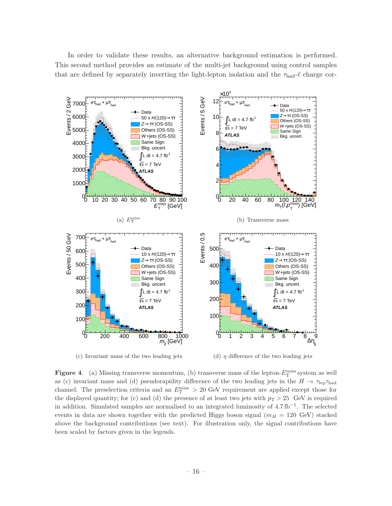In order to validate these results, an alternative background estimation is performed. This second method provides an estimate of the multi-jet background using control samples that are defined by separately inverting the light-lepton isolation and the  $\tau_{\text{had}}\text{-}\ell$  charge cor-



<span id="page-17-0"></span>(c) Invariant mass of the two leading jets

(d)  $\eta$  difference of the two leading jets

**Figure 4.** (a) Missing transverse momentum, (b) transverse mass of the lepton- $E_T^{\text{miss}}$  system as well as (c) invariant mass and (d) pseudorapidity difference of the two leading jets in the  $H \to \tau_{\rm lep} \tau_{\rm had}$ channel. The preselection criteria and an  $E_{\rm T}^{\rm miss} > 20$  GeV requirement are applied except those for the displayed quantity; for (c) and (d) the presence of at least two jets with  $p_T > 25$  GeV is required in addition. Simulated samples are normalised to an integrated luminosity of 4.7 fb<sup>−</sup><sup>1</sup> . The selected events in data are shown together with the predicted Higgs boson signal  $(m_H = 120 \text{ GeV})$  stacked above the background contributions (see text). For illustration only, the signal contributions have been scaled by factors given in the legends.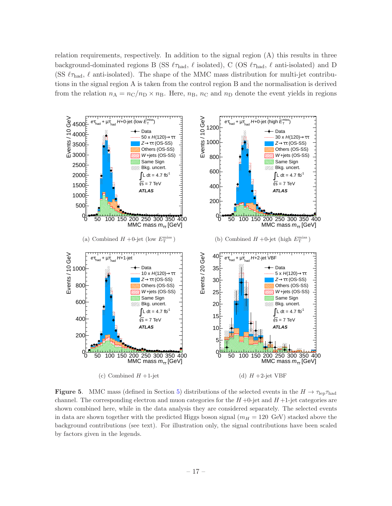relation requirements, respectively. In addition to the signal region (A) this results in three background-dominated regions B (SS  $\ell\tau_{\text{had}}$ ,  $\ell$  isolated), C (OS  $\ell\tau_{\text{had}}$ ,  $\ell$  anti-isolated) and D (SS  $\ell_{\text{Thad}}$ ,  $\ell$  anti-isolated). The shape of the MMC mass distribution for multi-jet contributions in the signal region A is taken from the control region B and the normalisation is derived from the relation  $n_A = n_C/n_D \times n_B$ . Here,  $n_B$ ,  $n_C$  and  $n_D$  denote the event yields in regions



<span id="page-18-0"></span>**Figure 5.** MMC mass (defined in Section [5\)](#page-7-2) distributions of the selected events in the  $H \to \tau_{\rm lep} \tau_{\rm had}$ channel. The corresponding electron and muon categories for the  $H$  +0-jet and  $H$  +1-jet categories are shown combined here, while in the data analysis they are considered separately. The selected events in data are shown together with the predicted Higgs boson signal  $(m_H = 120 \text{ GeV})$  stacked above the background contributions (see text). For illustration only, the signal contributions have been scaled by factors given in the legends.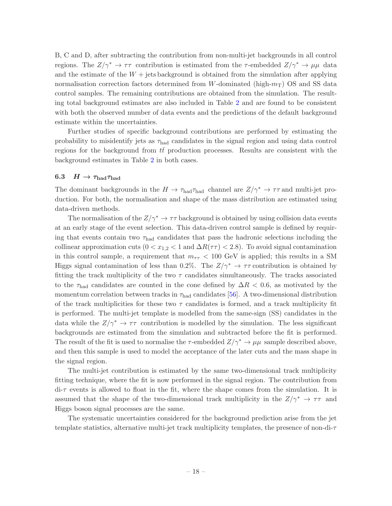B, C and D, after subtracting the contribution from non-multi-jet backgrounds in all control regions. The  $Z/\gamma^* \to \tau\tau$  contribution is estimated from the  $\tau$ -embedded  $Z/\gamma^* \to \mu\mu$  data and the estimate of the  $W +$  jets background is obtained from the simulation after applying normalisation correction factors determined from W-dominated (high- $m<sub>T</sub>$ ) OS and SS data control samples. The remaining contributions are obtained from the simulation. The resulting total background estimates are also included in Table [2](#page-16-0) and are found to be consistent with both the observed number of data events and the predictions of the default background estimate within the uncertainties.

Further studies of specific background contributions are performed by estimating the probability to misidentify jets as  $\tau_{\text{had}}$  candidates in the signal region and using data control regions for the background from  $t\bar{t}$  production processes. Results are consistent with the background estimates in Table [2](#page-16-0) in both cases.

#### <span id="page-19-0"></span>6.3  $H \to \tau_{\text{had}} \tau_{\text{had}}$

The dominant backgrounds in the  $H \to \tau_{\text{had}} \tau_{\text{had}}$  channel are  $Z/\gamma^* \to \tau \tau$  and multi-jet production. For both, the normalisation and shape of the mass distribution are estimated using data-driven methods.

The normalisation of the  $Z/\gamma^* \to \tau\tau$  background is obtained by using collision data events at an early stage of the event selection. This data-driven control sample is defined by requiring that events contain two  $\tau_{\text{had}}$  candidates that pass the hadronic selections including the collinear approximation cuts ( $0 < x_{1,2} < 1$  and  $\Delta R(\tau \tau) < 2.8$ ). To avoid signal contamination in this control sample, a requirement that  $m_{\tau\tau} < 100 \text{ GeV}$  is applied; this results in a SM Higgs signal contamination of less than 0.2%. The  $Z/\gamma^* \to \tau\tau$  contribution is obtained by fitting the track multiplicity of the two  $\tau$  candidates simultaneously. The tracks associated to the  $\tau_{\text{had}}$  candidates are counted in the cone defined by  $\Delta R$  < 0.6, as motivated by the momentum correlation between tracks in  $\tau_{\text{had}}$  candidates [\[56](#page-29-18)]. A two-dimensional distribution of the track multiplicities for these two  $\tau$  candidates is formed, and a track multiplicity fit is performed. The multi-jet template is modelled from the same-sign (SS) candidates in the data while the  $Z/\gamma^* \to \tau\tau$  contribution is modelled by the simulation. The less significant backgrounds are estimated from the simulation and subtracted before the fit is performed. The result of the fit is used to normalise the  $\tau$ -embedded  $Z/\gamma^* \to \mu\mu$  sample described above, and then this sample is used to model the acceptance of the later cuts and the mass shape in the signal region.

The multi-jet contribution is estimated by the same two-dimensional track multiplicity fitting technique, where the fit is now performed in the signal region. The contribution from di-τ events is allowed to float in the fit, where the shape comes from the simulation. It is assumed that the shape of the two-dimensional track multiplicity in the  $Z/\gamma^* \to \tau\tau$  and Higgs boson signal processes are the same.

The systematic uncertainties considered for the background prediction arise from the jet template statistics, alternative multi-jet track multiplicity templates, the presence of non-di-τ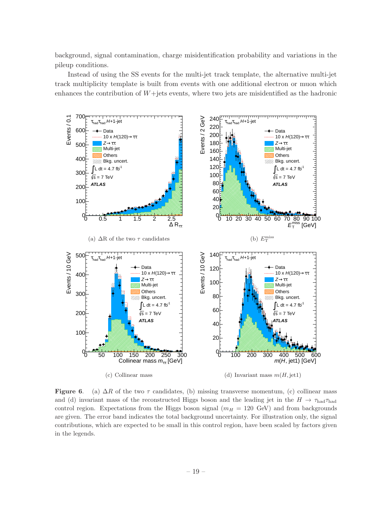background, signal contamination, charge misidentification probability and variations in the pileup conditions.

Instead of using the SS events for the multi-jet track template, the alternative multi-jet track multiplicity template is built from events with one additional electron or muon which enhances the contribution of  $W +$ jets events, where two jets are misidentified as the hadronic



<span id="page-20-0"></span>**Figure 6.** (a)  $\Delta R$  of the two  $\tau$  candidates, (b) missing transverse momentum, (c) collinear mass and (d) invariant mass of the reconstructed Higgs boson and the leading jet in the  $H \to \tau_{had}\tau_{had}$ control region. Expectations from the Higgs boson signal ( $m_H = 120$  GeV) and from backgrounds are given. The error band indicates the total background uncertainty. For illustration only, the signal contributions, which are expected to be small in this control region, have been scaled by factors given in the legends.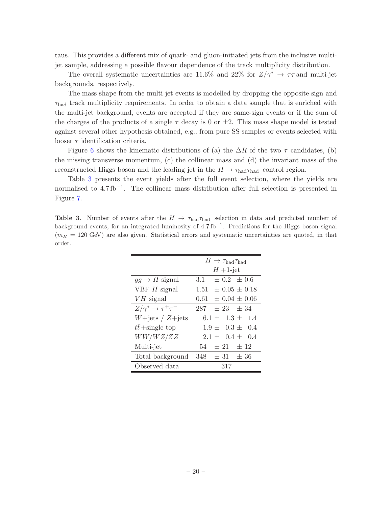taus. This provides a different mix of quark- and gluon-initiated jets from the inclusive multijet sample, addressing a possible flavour dependence of the track multiplicity distribution.

The overall systematic uncertainties are 11.6% and 22% for  $Z/\gamma^* \rightarrow \tau \tau$  and multi-jet backgrounds, respectively.

The mass shape from the multi-jet events is modelled by dropping the opposite-sign and  $\tau_{\text{had}}$  track multiplicity requirements. In order to obtain a data sample that is enriched with the multi-jet background, events are accepted if they are same-sign events or if the sum of the charges of the products of a single  $\tau$  decay is 0 or  $\pm 2$ . This mass shape model is tested against several other hypothesis obtained, e.g., from pure SS samples or events selected with looser  $\tau$  identification criteria.

Figure [6](#page-20-0) shows the kinematic distributions of (a) the  $\Delta R$  of the two  $\tau$  candidates, (b) the missing transverse momentum, (c) the collinear mass and (d) the invariant mass of the reconstructed Higgs boson and the leading jet in the  $H \to \tau_{\text{had}} \tau_{\text{had}}$  control region.

Table [3](#page-21-0) presents the event yields after the full event selection, where the yields are normalised to 4.7fb<sup>-1</sup>. The collinear mass distribution after full selection is presented in Figure [7.](#page-22-0)

<span id="page-21-0"></span>**Table 3.** Number of events after the  $H \to \tau_{\text{had}} \tau_{\text{had}}$  selection in data and predicted number of background events, for an integrated luminosity of 4.7 fb<sup>-1</sup>. Predictions for the Higgs boson signal  $(m_H = 120 \text{ GeV})$  are also given. Statistical errors and systematic uncertainties are quoted, in that order.

|                                   | $H \to \tau_{\text{had}} \tau_{\text{had}}$ |
|-----------------------------------|---------------------------------------------|
|                                   | $H+1$ -jet                                  |
| $gg \to H$ signal                 | 3.1 $\pm$ 0.2 $\pm$ 0.6                     |
| VBF $H$ signal                    | $1.51 \pm 0.05 \pm 0.18$                    |
| $VH$ signal                       | $0.61 \pm 0.04 \pm 0.06$                    |
| $Z/\gamma^* \to \tau^+\tau^-$     | $287 \pm 23 \pm 34$                         |
| $W+{\text{jets}}/Z+{\text{jets}}$ | $6.1 \pm 1.3 \pm 1.4$                       |
| $tt + single$ top                 | $1.9 \pm 0.3 \pm 0.4$                       |
| WW/WZ/ZZ                          | $2.1 \pm 0.4 \pm 0.4$                       |
| Multi-jet                         | $54 \pm 21 \pm 12$                          |
| Total background                  | $348 \pm 31 \pm 36$                         |
| Observed data                     | 317                                         |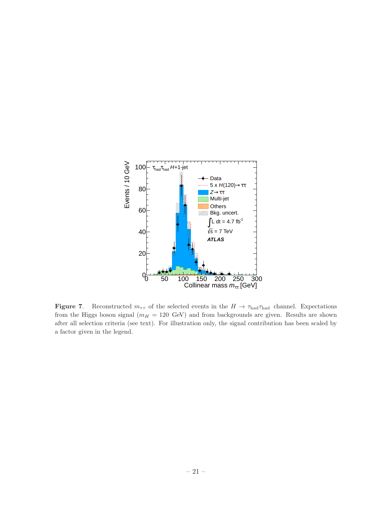

<span id="page-22-0"></span>**Figure 7.** Reconstructed  $m_{\tau\tau}$  of the selected events in the  $H \to \tau_{\text{had}} \tau_{\text{had}}$  channel. Expectations from the Higgs boson signal ( $m_H = 120$  GeV) and from backgrounds are given. Results are shown after all selection criteria (see text). For illustration only, the signal contribution has been scaled by a factor given in the legend.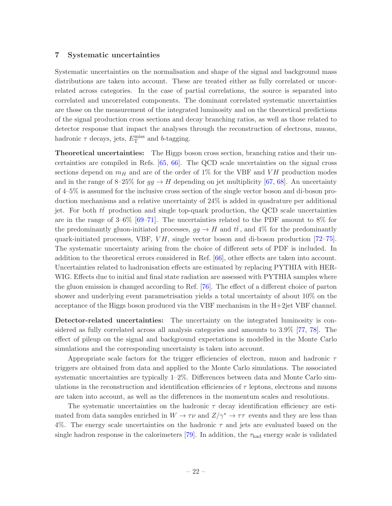#### <span id="page-23-0"></span>7 Systematic uncertainties

Systematic uncertainties on the normalisation and shape of the signal and background mass distributions are taken into account. These are treated either as fully correlated or uncorrelated across categories. In the case of partial correlations, the source is separated into correlated and uncorrelated components. The dominant correlated systematic uncertainties are those on the measurement of the integrated luminosity and on the theoretical predictions of the signal production cross sections and decay branching ratios, as well as those related to detector response that impact the analyses through the reconstruction of electrons, muons, hadronic  $\tau$  decays, jets,  $E_{\rm T}^{\rm miss}$  and b-tagging.

Theoretical uncertainties: The Higgs boson cross section, branching ratios and their uncertainties are compiled in Refs. [\[65](#page-29-26), [66](#page-29-27)]. The QCD scale uncertainties on the signal cross sections depend on  $m_H$  and are of the order of 1% for the VBF and VH production modes and in the range of 8–25% for  $gg \to H$  depending on jet multiplicity [\[67](#page-29-28), [68\]](#page-29-29). An uncertainty of 4–5% is assumed for the inclusive cross section of the single vector boson and di-boson production mechanisms and a relative uncertainty of 24% is added in quadrature per additional jet. For both  $t\bar{t}$  production and single top-quark production, the QCD scale uncertainties are in the range of  $3-6\%$  [\[69](#page-30-0)[–71\]](#page-30-1). The uncertainties related to the PDF amount to 8% for the predominantly gluon-initiated processes,  $gg \to H$  and  $t\bar{t}$ , and 4% for the predominantly quark-initiated processes, VBF,  $VH$ , single vector boson and di-boson production  $[72-75]$ . The systematic uncertainty arising from the choice of different sets of PDF is included. In addition to the theoretical errors considered in Ref. [\[66\]](#page-29-27), other effects are taken into account. Uncertainties related to hadronisation effects are estimated by replacing PYTHIA with HER-WIG. Effects due to initial and final state radiation are assessed with PYTHIA samples where the gluon emission is changed according to Ref. [\[76\]](#page-30-4). The effect of a different choice of parton shower and underlying event parametrisation yields a total uncertainty of about 10% on the acceptance of the Higgs boson produced via the VBF mechanism in the H+2jet VBF channel.

Detector-related uncertainties: The uncertainty on the integrated luminosity is considered as fully correlated across all analysis categories and amounts to 3.9% [\[77,](#page-30-5) [78\]](#page-30-6). The effect of pileup on the signal and background expectations is modelled in the Monte Carlo simulations and the corresponding uncertainty is taken into account.

Appropriate scale factors for the trigger efficiencies of electron, muon and hadronic  $\tau$ triggers are obtained from data and applied to the Monte Carlo simulations. The associated systematic uncertainties are typically 1–2%. Differences between data and Monte Carlo simulations in the reconstruction and identification efficiencies of  $\tau$  leptons, electrons and muons are taken into account, as well as the differences in the momentum scales and resolutions.

The systematic uncertainties on the hadronic  $\tau$  decay identification efficiency are estimated from data samples enriched in  $W \to \tau \nu$  and  $Z/\gamma^* \to \tau \tau$  events and they are less than 4%. The energy scale uncertainties on the hadronic  $\tau$  and jets are evaluated based on the single hadron response in the calorimeters [\[79\]](#page-30-7). In addition, the  $\tau_{\text{had}}$  energy scale is validated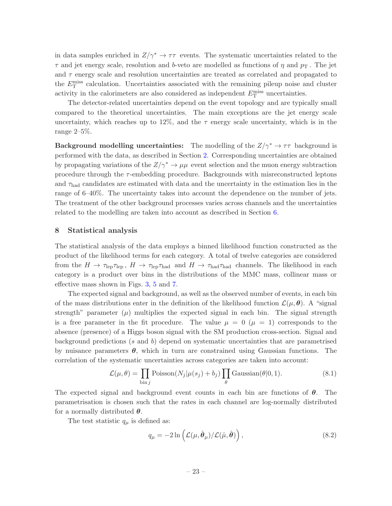in data samples enriched in  $Z/\gamma^* \to \tau\tau$  events. The systematic uncertainties related to the  $\tau$  and jet energy scale, resolution and b-veto are modelled as functions of  $\eta$  and  $p<sub>T</sub>$ . The jet and  $\tau$  energy scale and resolution uncertainties are treated as correlated and propagated to the  $E_{\rm T}^{\rm miss}$  calculation. Uncertainties associated with the remaining pileup noise and cluster activity in the calorimeters are also considered as independent  $E_{\rm T}^{\rm miss}$  uncertainties.

The detector-related uncertainties depend on the event topology and are typically small compared to the theoretical uncertainties. The main exceptions are the jet energy scale uncertainty, which reaches up to 12%, and the  $\tau$  energy scale uncertainty, which is in the range 2–5%.

**Background modelling uncertainties:** The modelling of the  $Z/\gamma^* \to \tau\tau$  background is performed with the data, as described in Section [2.](#page-3-0) Corresponding uncertainties are obtained by propagating variations of the  $Z/\gamma^* \to \mu\mu$  event selection and the muon energy subtraction procedure through the  $\tau$ -embedding procedure. Backgrounds with misreconstructed leptons and  $\tau_{\text{had}}$  candidates are estimated with data and the uncertainty in the estimation lies in the range of 6–40%. The uncertainty takes into account the dependence on the number of jets. The treatment of the other background processes varies across channels and the uncertainties related to the modelling are taken into account as described in Section [6.](#page-9-1)

#### <span id="page-24-0"></span>8 Statistical analysis

The statistical analysis of the data employs a binned likelihood function constructed as the product of the likelihood terms for each category. A total of twelve categories are considered from the  $H \to \tau_{\rm lep} \tau_{\rm lep}$ ,  $H \to \tau_{\rm lep} \tau_{\rm had}$  and  $H \to \tau_{\rm had} \tau_{\rm had}$  channels. The likelihood in each category is a product over bins in the distributions of the MMC mass, collinear mass or effective mass shown in Figs. [3,](#page-14-0) [5](#page-18-0) and [7.](#page-22-0)

The expected signal and background, as well as the observed number of events, in each bin of the mass distributions enter in the definition of the likelihood function  $\mathcal{L}(\mu, \theta)$ . A "signal" strength" parameter  $(\mu)$  multiplies the expected signal in each bin. The signal strength is a free parameter in the fit procedure. The value  $\mu = 0$  ( $\mu = 1$ ) corresponds to the absence (presence) of a Higgs boson signal with the SM production cross-section. Signal and background predictions (s and b) depend on systematic uncertainties that are parametrised by nuisance parameters  $\theta$ , which in turn are constrained using Gaussian functions. The correlation of the systematic uncertainties across categories are taken into account:

$$
\mathcal{L}(\mu,\theta) = \prod_{\text{bin }j} \text{Poisson}(N_j|\mu(s_j) + b_j) \prod_{\theta} \text{Gaussian}(\theta|0,1). \tag{8.1}
$$

The expected signal and background event counts in each bin are functions of  $\theta$ . The parametrisation is chosen such that the rates in each channel are log-normally distributed for a normally distributed  $\theta$ .

The test statistic  $q_{\mu}$  is defined as:

$$
q_{\mu} = -2\ln\left(\mathcal{L}(\mu, \hat{\boldsymbol{\theta}}_{\mu})/\mathcal{L}(\hat{\mu}, \hat{\boldsymbol{\theta}})\right),
$$
\n(8.2)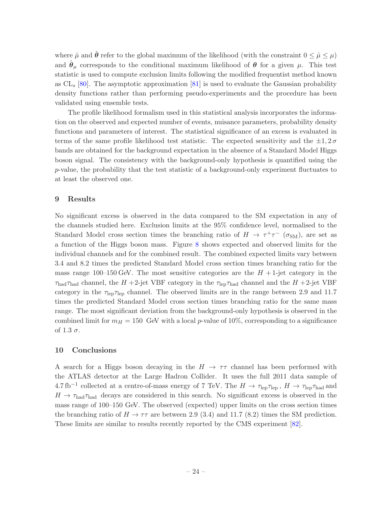where  $\hat{\mu}$  and  $\hat{\theta}$  refer to the global maximum of the likelihood (with the constraint  $0 \leq \hat{\mu} \leq \mu$ ) and  $\hat{\theta}_{\mu}$  corresponds to the conditional maximum likelihood of  $\theta$  for a given  $\mu$ . This test statistic is used to compute exclusion limits following the modified frequentist method known as  $CL_s$  [\[80](#page-30-8)]. The asymptotic approximation [\[81](#page-30-9)] is used to evaluate the Gaussian probability density functions rather than performing pseudo-experiments and the procedure has been validated using ensemble tests.

The profile likelihood formalism used in this statistical analysis incorporates the information on the observed and expected number of events, nuisance parameters, probability density functions and parameters of interest. The statistical significance of an excess is evaluated in terms of the same profile likelihood test statistic. The expected sensitivity and the  $\pm 1, 2\sigma$ bands are obtained for the background expectation in the absence of a Standard Model Higgs boson signal. The consistency with the background-only hypothesis is quantified using the p-value, the probability that the test statistic of a background-only experiment fluctuates to at least the observed one.

#### <span id="page-25-0"></span>9 Results

No significant excess is observed in the data compared to the SM expectation in any of the channels studied here. Exclusion limits at the 95% confidence level, normalised to the Standard Model cross section times the branching ratio of  $H \to \tau^+\tau^-$  ( $\sigma_{\rm SM}$ ), are set as a function of the Higgs boson mass. Figure [8](#page-26-0) shows expected and observed limits for the individual channels and for the combined result. The combined expected limits vary between 3.4 and 8.2 times the predicted Standard Model cross section times branching ratio for the mass range 100–150 GeV. The most sensitive categories are the  $H + 1$ -jet category in the  $\tau_{\text{had}}\tau_{\text{had}}$  channel, the H +2-jet VBF category in the  $\tau_{\text{lep}}\tau_{\text{had}}$  channel and the H +2-jet VBF category in the  $\tau_{\rm lep} \tau_{\rm lep}$  channel. The observed limits are in the range between 2.9 and 11.7 times the predicted Standard Model cross section times branching ratio for the same mass range. The most significant deviation from the background-only hypothesis is observed in the combined limit for  $m_H = 150$  GeV with a local p-value of 10%, corresponding to a significance of 1.3  $\sigma$ .

#### <span id="page-25-1"></span>10 Conclusions

A search for a Higgs boson decaying in the  $H \to \tau\tau$  channel has been performed with the ATLAS detector at the Large Hadron Collider. It uses the full 2011 data sample of 4.7 fb<sup>-1</sup> collected at a centre-of-mass energy of 7 TeV. The  $H \to \tau_{\rm lep} \tau_{\rm lep}$ ,  $H \to \tau_{\rm lep} \tau_{\rm had}$  and  $H \to \tau_{\text{had}} \tau_{\text{had}}$  decays are considered in this search. No significant excess is observed in the mass range of 100–150 GeV. The observed (expected) upper limits on the cross section times the branching ratio of  $H \to \tau\tau$  are between 2.9 (3.4) and 11.7 (8.2) times the SM prediction. These limits are similar to results recently reported by the CMS experiment [\[82](#page-30-10)].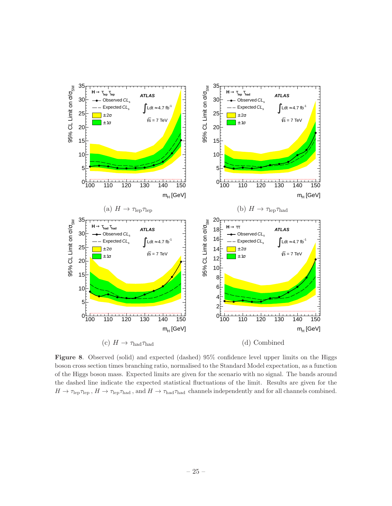

<span id="page-26-0"></span>Figure 8. Observed (solid) and expected (dashed) 95% confidence level upper limits on the Higgs boson cross section times branching ratio, normalised to the Standard Model expectation, as a function of the Higgs boson mass. Expected limits are given for the scenario with no signal. The bands around the dashed line indicate the expected statistical fluctuations of the limit. Results are given for the  $H \to \tau_{\rm lep} \tau_{\rm lep}$ ,  $H \to \tau_{\rm lep} \tau_{\rm had}$ , and  $H \to \tau_{\rm had} \tau_{\rm had}$  channels independently and for all channels combined.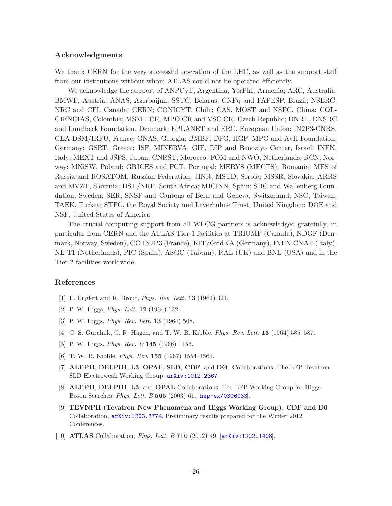#### Acknowledgments

We thank CERN for the very successful operation of the LHC, as well as the support staff from our institutions without whom ATLAS could not be operated efficiently.

We acknowledge the support of ANPCyT, Argentina; YerPhI, Armenia; ARC, Australia; BMWF, Austria; ANAS, Azerbaijan; SSTC, Belarus; CNPq and FAPESP, Brazil; NSERC, NRC and CFI, Canada; CERN; CONICYT, Chile; CAS, MOST and NSFC, China; COL-CIENCIAS, Colombia; MSMT CR, MPO CR and VSC CR, Czech Republic; DNRF, DNSRC and Lundbeck Foundation, Denmark; EPLANET and ERC, European Union; IN2P3-CNRS, CEA-DSM/IRFU, France; GNAS, Georgia; BMBF, DFG, HGF, MPG and AvH Foundation, Germany; GSRT, Greece; ISF, MINERVA, GIF, DIP and Benoziyo Center, Israel; INFN, Italy; MEXT and JSPS, Japan; CNRST, Morocco; FOM and NWO, Netherlands; RCN, Norway; MNiSW, Poland; GRICES and FCT, Portugal; MERYS (MECTS), Romania; MES of Russia and ROSATOM, Russian Federation; JINR; MSTD, Serbia; MSSR, Slovakia; ARRS and MVZT, Slovenia; DST/NRF, South Africa; MICINN, Spain; SRC and Wallenberg Foundation, Sweden; SER, SNSF and Cantons of Bern and Geneva, Switzerland; NSC, Taiwan; TAEK, Turkey; STFC, the Royal Society and Leverhulme Trust, United Kingdom; DOE and NSF, United States of America.

The crucial computing support from all WLCG partners is acknowledged gratefully, in particular from CERN and the ATLAS Tier-1 facilities at TRIUMF (Canada), NDGF (Denmark, Norway, Sweden), CC-IN2P3 (France), KIT/GridKA (Germany), INFN-CNAF (Italy), NL-T1 (Netherlands), PIC (Spain), ASGC (Taiwan), RAL (UK) and BNL (USA) and in the Tier-2 facilities worldwide.

#### References

- <span id="page-27-0"></span>[1] F. Englert and R. Brout, Phys. Rev. Lett. 13 (1964) 321.
- [2] P. W. Higgs, *Phys. Lett.* **12** (1964) 132.
- [3] P. W. Higgs, Phys. Rev. Lett. 13 (1964) 508.
- [4] G. S. Guralnik, C. R. Hagen, and T. W. B. Kibble, Phys. Rev. Lett. 13 (1964) 585–587.
- [5] P. W. Higgs, *Phys. Rev. D* **145** (1966) 1156.
- <span id="page-27-1"></span>[6] T. W. B. Kibble, Phys. Rev. 155 (1967) 1554–1561.
- <span id="page-27-2"></span>[7] ALEPH, DELPHI, L3, OPAL, SLD, CDF, and DØ Collaborations, The LEP Tevatron SLD Electroweak Working Group, [arXiv:1012.2367](http://xxx.lanl.gov/abs/1012.2367).
- <span id="page-27-3"></span>[8] ALEPH, DELPHI, L3, and OPAL Collaborations, The LEP Working Group for Higgs Boson Searches, Phys. Lett. B 565 (2003) 61, [[hep-ex/0306033](http://xxx.lanl.gov/abs/hep-ex/0306033)].
- <span id="page-27-4"></span>[9] TEVNPH (Tevatron New Phenomena and Higgs Working Group), CDF and D0 Collaboration, [arXiv:1203.3774](http://xxx.lanl.gov/abs/1203.3774). Preliminary results prepared for the Winter 2012 Conferences.
- <span id="page-27-5"></span>[10] **ATLAS** Collaboration, *Phys. Lett. B* 710 (2012) 49,  $\left[ \ar{\text{Xiv}} : 1202.1408 \right]$ .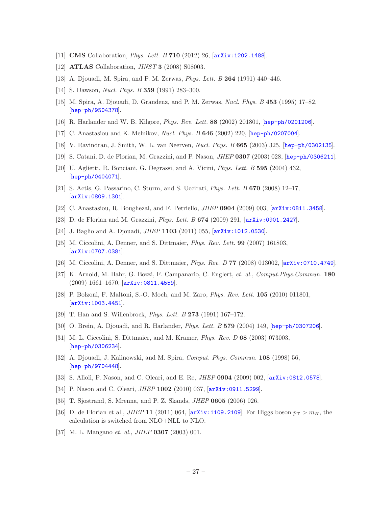- <span id="page-28-0"></span>[11] **CMS** Collaboration, *Phys. Lett. B* 710 (2012) 26,  $\left[$ [arXiv:1202.1488](http://xxx.lanl.gov/abs/1202.1488).
- <span id="page-28-1"></span>[12] **ATLAS** Collaboration, *JINST* **3** (2008) S08003.
- <span id="page-28-2"></span>[13] A. Djouadi, M. Spira, and P. M. Zerwas, Phys. Lett. B 264 (1991) 440–446.
- [14] S. Dawson, *Nucl. Phys. B* **359** (1991) 283-300.
- [15] M. Spira, A. Djouadi, D. Graudenz, and P. M. Zerwas, Nucl. Phys. B 453 (1995) 17–82, [[hep-ph/9504378](http://xxx.lanl.gov/abs/hep-ph/9504378)].
- [16] R. Harlander and W. B. Kilgore, Phys. Rev. Lett. 88 (2002) 201801, [[hep-ph/0201206](http://xxx.lanl.gov/abs/hep-ph/0201206)].
- [17] C. Anastasiou and K. Melnikov, Nucl. Phys. B 646 (2002) 220, [[hep-ph/0207004](http://xxx.lanl.gov/abs/hep-ph/0207004)].
- [18] V. Ravindran, J. Smith, W. L. van Neerven, Nucl. Phys. B 665 (2003) 325, [[hep-ph/0302135](http://xxx.lanl.gov/abs/hep-ph/0302135)].
- [19] S. Catani, D. de Florian, M. Grazzini, and P. Nason, JHEP 0307 (2003) 028, [[hep-ph/0306211](http://xxx.lanl.gov/abs/hep-ph/0306211)].
- [20] U. Aglietti, R. Bonciani, G. Degrassi, and A. Vicini, Phys. Lett. B 595 (2004) 432, [[hep-ph/0404071](http://xxx.lanl.gov/abs/hep-ph/0404071)].
- [21] S. Actis, G. Passarino, C. Sturm, and S. Uccirati, Phys. Lett. B 670 (2008) 12–17, [[arXiv:0809.1301](http://xxx.lanl.gov/abs/0809.1301)].
- [22] C. Anastasiou, R. Boughezal, and F. Petriello, JHEP 0904 (2009) 003, [[arXiv:0811.3458](http://xxx.lanl.gov/abs/0811.3458)].
- [23] D. de Florian and M. Grazzini, Phys. Lett. B 674 (2009) 291, [[arXiv:0901.2427](http://xxx.lanl.gov/abs/0901.2427)].
- <span id="page-28-3"></span>[24] J. Baglio and A. Djouadi, *JHEP* 1103 (2011) 055, [[arXiv:1012.0530](http://xxx.lanl.gov/abs/1012.0530)].
- <span id="page-28-4"></span>[25] M. Ciccolini, A. Denner, and S. Dittmaier, Phys. Rev. Lett. 99 (2007) 161803, [[arXiv:0707.0381](http://xxx.lanl.gov/abs/0707.0381)].
- [26] M. Ciccolini, A. Denner, and S. Dittmaier, *Phys. Rev. D* **77** (2008) 013002,  $\left[$ [arXiv:0710.4749](http://xxx.lanl.gov/abs/0710.4749).
- <span id="page-28-5"></span>[27] K. Arnold, M. Bahr, G. Bozzi, F. Campanario, C. Englert, et. al., Comput.Phys.Commun. 180  $(2009)$  1661–1670,  $\overline{arXiv:0811.4559}$  $\overline{arXiv:0811.4559}$  $\overline{arXiv:0811.4559}$ .
- <span id="page-28-6"></span>[28] P. Bolzoni, F. Maltoni, S.-O. Moch, and M. Zaro, Phys. Rev. Lett. 105 (2010) 011801, [[arXiv:1003.4451](http://xxx.lanl.gov/abs/1003.4451)].
- <span id="page-28-7"></span>[29] T. Han and S. Willenbrock, Phys. Lett. B 273 (1991) 167–172.
- <span id="page-28-8"></span>[30] O. Brein, A. Djouadi, and R. Harlander, Phys. Lett. B 579 (2004) 149, [[hep-ph/0307206](http://xxx.lanl.gov/abs/hep-ph/0307206)].
- <span id="page-28-9"></span>[31] M. L. Ciccolini, S. Dittmaier, and M. Kramer, Phys. Rev. D 68 (2003) 073003, [[hep-ph/0306234](http://xxx.lanl.gov/abs/hep-ph/0306234)].
- <span id="page-28-10"></span>[32] A. Djouadi, J. Kalinowski, and M. Spira, Comput. Phys. Commun. 108 (1998) 56, [[hep-ph/9704448](http://xxx.lanl.gov/abs/hep-ph/9704448)].
- <span id="page-28-11"></span>[33] S. Alioli, P. Nason, and C. Oleari, and E. Re, *JHEP* 0904 (2009) 002, [[arXiv:0812.0578](http://xxx.lanl.gov/abs/0812.0578)].
- <span id="page-28-12"></span>[34] P. Nason and C. Oleari, *JHEP* 1002 (2010) 037,  $\ar{xiv:}$  0911.5299.
- <span id="page-28-13"></span>[35] T. Sjostrand, S. Mrenna, and P. Z. Skands, JHEP 0605 (2006) 026.
- <span id="page-28-14"></span>[36] D. de Florian et al., *JHEP* 11 (2011) 064,  $[\text{arXiv}:1109.2109]$ . For Higgs boson  $p_T > m_H$ , the calculation is switched from NLO+NLL to NLO.
- <span id="page-28-15"></span>[37] M. L. Mangano et. al., JHEP 0307 (2003) 001.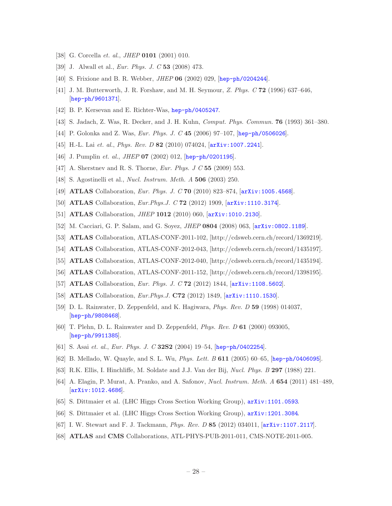- <span id="page-29-0"></span>[38] G. Corcella *et. al., JHEP* **0101** (2001) 010.
- <span id="page-29-1"></span>[39] J. Alwall et al., Eur. Phys. J. C 53 (2008) 473.
- <span id="page-29-2"></span>[40] S. Frixione and B. R. Webber, JHEP 06 (2002) 029, [[hep-ph/0204244](http://xxx.lanl.gov/abs/hep-ph/0204244)].
- <span id="page-29-3"></span>[41] J. M. Butterworth, J. R. Forshaw, and M. H. Seymour, Z. Phys. C 72 (1996) 637–646, [[hep-ph/9601371](http://xxx.lanl.gov/abs/hep-ph/9601371)].
- <span id="page-29-4"></span>[42] B. P. Kersevan and E. Richter-Was, [hep-ph/0405247](http://xxx.lanl.gov/abs/hep-ph/0405247).
- <span id="page-29-5"></span>[43] S. Jadach, Z. Was, R. Decker, and J. H. Kuhn, Comput. Phys. Commun. 76 (1993) 361–380.
- <span id="page-29-6"></span>[44] P. Golonka and Z. Was, *Eur. Phys. J. C* 45 (2006) 97-107, [[hep-ph/0506026](http://xxx.lanl.gov/abs/hep-ph/0506026)].
- <span id="page-29-7"></span>[45] H.-L. Lai et. al., *Phys. Rev. D* 82 (2010) 074024, [[arXiv:1007.2241](http://xxx.lanl.gov/abs/1007.2241)].
- <span id="page-29-8"></span>[46] J. Pumplin *et. al., JHEP* **07** (2002) 012, [[hep-ph/0201195](http://xxx.lanl.gov/abs/hep-ph/0201195)].
- <span id="page-29-9"></span>[47] A. Sherstnev and R. S. Thorne, *Eur. Phys. J C* 55 (2009) 553.
- <span id="page-29-10"></span>[48] S. Agostinelli et al., *Nucl. Instrum. Meth. A* **506** (2003) 250.
- <span id="page-29-11"></span>[49] ATLAS Collaboration, Eur. Phys. J. C 70 (2010) 823–874, [[arXiv:1005.4568](http://xxx.lanl.gov/abs/1005.4568)].
- <span id="page-29-12"></span>[50] **ATLAS** Collaboration, *Eur.Phys.J.* C **72** (2012) 1909,  $\left[ \text{arXiv:1110.3174} \right]$  $\left[ \text{arXiv:1110.3174} \right]$  $\left[ \text{arXiv:1110.3174} \right]$ .
- <span id="page-29-13"></span>[51] ATLAS Collaboration, *JHEP* 1012 (2010) 060, [arXiv: 1010.2130].
- <span id="page-29-14"></span>[52] M. Cacciari, G. P. Salam, and G. Soyez, JHEP 0804 (2008) 063, [[arXiv:0802.1189](http://xxx.lanl.gov/abs/0802.1189)].
- <span id="page-29-15"></span>[53] ATLAS Collaboration, ATLAS-CONF-2011-102, [http://cdsweb.cern.ch/record/1369219].
- <span id="page-29-16"></span>[54] ATLAS Collaboration, ATLAS-CONF-2012-043, [http://cdsweb.cern.ch/record/1435197].
- <span id="page-29-17"></span>[55] ATLAS Collaboration, ATLAS-CONF-2012-040, [http://cdsweb.cern.ch/record/1435194].
- <span id="page-29-18"></span>[56] ATLAS Collaboration, ATLAS-CONF-2011-152, [http://cdsweb.cern.ch/record/1398195].
- <span id="page-29-19"></span>[57] ATLAS Collaboration, Eur. Phys. J. C 72 (2012) 1844,  $arXiv:1108.5602$ .
- <span id="page-29-20"></span>[58] ATLAS Collaboration, *Eur.Phys.J.* **C72** (2012) 1849,  $arXiv:1110.1530$ .
- <span id="page-29-21"></span>[59] D. L. Rainwater, D. Zeppenfeld, and K. Hagiwara, Phys. Rev. D 59 (1998) 014037, [[hep-ph/9808468](http://xxx.lanl.gov/abs/hep-ph/9808468)].
- [60] T. Plehn, D. L. Rainwater and D. Zeppenfeld, Phys. Rev. D 61 (2000) 093005, [[hep-ph/9911385](http://xxx.lanl.gov/abs/hep-ph/9911385)].
- <span id="page-29-22"></span>[61] S. Asai et. al., Eur. Phys. J. C 32S2 (2004) 19-54, [[hep-ph/0402254](http://xxx.lanl.gov/abs/hep-ph/0402254)].
- <span id="page-29-23"></span>[62] B. Mellado, W. Quayle, and S. L. Wu, Phys. Lett. B 611 (2005) 60–65, [[hep-ph/0406095](http://xxx.lanl.gov/abs/hep-ph/0406095)].
- <span id="page-29-24"></span>[63] R.K. Ellis, I. Hinchliffe, M. Soldate and J.J. Van der Bij, Nucl. Phys. B 297 (1988) 221.
- <span id="page-29-25"></span>[64] A. Elagin, P. Murat, A. Pranko, and A. Safonov, Nucl. Instrum. Meth. A 654 (2011) 481–489, [[arXiv:1012.4686](http://xxx.lanl.gov/abs/1012.4686)].
- <span id="page-29-26"></span>[65] S. Dittmaier et al. (LHC Higgs Cross Section Working Group), [arXiv:1101.0593](http://xxx.lanl.gov/abs/1101.0593).
- <span id="page-29-27"></span>[66] S. Dittmaier et al. (LHC Higgs Cross Section Working Group), [arXiv:1201.3084](http://xxx.lanl.gov/abs/1201.3084).
- <span id="page-29-28"></span>[67] I. W. Stewart and F. J. Tackmann, Phys. Rev. D 85 (2012) 034011, [[arXiv:1107.2117](http://xxx.lanl.gov/abs/1107.2117)].
- <span id="page-29-29"></span>[68] ATLAS and CMS Collaborations, ATL-PHYS-PUB-2011-011, CMS-NOTE-2011-005.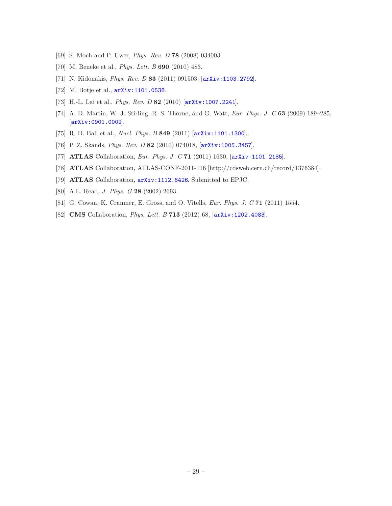- <span id="page-30-0"></span>[69] S. Moch and P. Uwer, Phys. Rev. D 78 (2008) 034003.
- [70] M. Beneke et al., *Phys. Lett. B* **690** (2010) 483.
- <span id="page-30-1"></span>[71] N. Kidonakis, Phys. Rev. D 83 (2011) 091503, [[arXiv:1103.2792](http://xxx.lanl.gov/abs/1103.2792)].
- <span id="page-30-2"></span>[72] M. Botje et al., [arXiv:1101.0538](http://xxx.lanl.gov/abs/1101.0538).
- [73] H.-L. Lai et al., Phys. Rev. D 82 (2010) [[arXiv:1007.2241](http://xxx.lanl.gov/abs/1007.2241)].
- [74] A. D. Martin, W. J. Stirling, R. S. Thorne, and G. Watt, Eur. Phys. J. C 63 (2009) 189–285, [[arXiv:0901.0002](http://xxx.lanl.gov/abs/0901.0002)].
- <span id="page-30-3"></span>[75] R. D. Ball et al., *Nucl. Phys. B* 849 (2011) [[arXiv:1101.1300](http://xxx.lanl.gov/abs/1101.1300)].
- <span id="page-30-4"></span>[76] P. Z. Skands, Phys. Rev. D 82 (2010) 074018, [[arXiv:1005.3457](http://xxx.lanl.gov/abs/1005.3457)].
- <span id="page-30-5"></span>[77] **ATLAS** Collaboration, *Eur. Phys. J. C* **71** (2011) 1630,  $\left[$ [arXiv:1101.2185](http://xxx.lanl.gov/abs/1101.2185).
- <span id="page-30-6"></span>[78] ATLAS Collaboration, ATLAS-CONF-2011-116 [http://cdsweb.cern.ch/record/1376384].
- <span id="page-30-7"></span>[79] ATLAS Collaboration, [arXiv:1112.6426](http://xxx.lanl.gov/abs/1112.6426). Submitted to EPJC.
- <span id="page-30-8"></span>[80] A.L. Read, *J. Phys. G* **28** (2002) 2693.
- <span id="page-30-9"></span>[81] G. Cowan, K. Cranmer, E. Gross, and O. Vitells, Eur. Phys. J. C 71 (2011) 1554.
- <span id="page-30-10"></span>[82] **CMS** Collaboration, *Phys. Lett. B* 713 (2012) 68,  $\overline{arXiv:1202.4083}$  $\overline{arXiv:1202.4083}$  $\overline{arXiv:1202.4083}$ .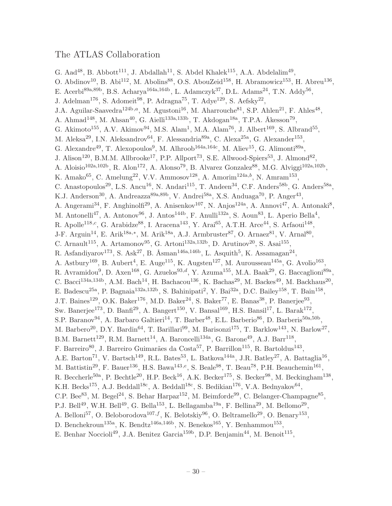## The ATLAS Collaboration

G. Aad<sup>48</sup>, B. Abbott<sup>111</sup>, J. Abdallah<sup>11</sup>, S. Abdel Khalek<sup>115</sup>, A.A. Abdelalim<sup>49</sup>,

- O. Abdinov<sup>10</sup>, B. Abi<sup>112</sup>, M. Abolins<sup>88</sup>, O.S. AbouZeid<sup>158</sup>, H. Abramowicz<sup>153</sup>, H. Abreu<sup>136</sup>,
- E. Acerbi<sup>89a,89b</sup>, B.S. Acharya<sup>164a,164b</sup>, L. Adamczyk<sup>37</sup>, D.L. Adams<sup>24</sup>, T.N. Addy<sup>56</sup>,
- J. Adelman<sup>176</sup>, S. Adomeit<sup>98</sup>, P. Adragna<sup>75</sup>, T. Adye<sup>129</sup>, S. Aefsky<sup>22</sup>,
- J.A. Aguilar-Saavedra<sup>124b,a</sup>, M. Agustoni<sup>16</sup>, M. Aharrouche<sup>81</sup>, S.P. Ahlen<sup>21</sup>, F. Ahles<sup>48</sup>,
- A. Ahmad<sup>148</sup>, M. Ahsan<sup>40</sup>, G. Aielli<sup>133a,133b</sup>, T. Akdogan<sup>18a</sup>, T.P.A. Åkesson<sup>79</sup>,
- G. Akimoto<sup>155</sup>, A.V. Akimov<sup>94</sup>, M.S. Alam<sup>1</sup>, M.A. Alam<sup>76</sup>, J. Albert<sup>169</sup>, S. Albrand<sup>55</sup>,
- M. Aleksa<sup>29</sup>, I.N. Aleksandrov<sup>64</sup>, F. Alessandria<sup>89a</sup>, C. Alexa<sup>25a</sup>, G. Alexander<sup>153</sup>,
- G. Alexandre<sup>49</sup>, T. Alexopoulos<sup>9</sup>, M. Alhroob<sup>164a,164c</sup>, M. Aliev<sup>15</sup>, G. Alimonti<sup>89a</sup>,
- J. Alison<sup>120</sup>, B.M.M. Allbrooke<sup>17</sup>, P.P. Allport<sup>73</sup>, S.E. Allwood-Spiers<sup>53</sup>, J. Almond<sup>82</sup>,
- A. Aloisio<sup>102a,102b</sup>, R. Alon<sup>172</sup>, A. Alonso<sup>79</sup>, B. Alvarez Gonzalez<sup>88</sup>, M.G. Alviggi<sup>102a,102b</sup>,
- K. Amako<sup>65</sup>, C. Amelung<sup>22</sup>, V.V. Ammosov<sup>128</sup>, A. Amorim<sup>124a,b</sup>, N. Amram<sup>153</sup>,
- C. Anastopoulos<sup>29</sup>, L.S. Ancu<sup>16</sup>, N. Andari<sup>115</sup>, T. Andeen<sup>34</sup>, C.F. Anders<sup>58b</sup>, G. Anders<sup>58a</sup>,
- K.J. Anderson<sup>30</sup>, A. Andreazza<sup>89a,89b</sup>, V. Andrei<sup>58a</sup>, X.S. Anduaga<sup>70</sup>, P. Anger<sup>43</sup>,
- A. Angerami<sup>34</sup>, F. Anghinolfi<sup>29</sup>, A. Anisenkov<sup>107</sup>, N. Anjos<sup>124a</sup>, A. Annovi<sup>47</sup>, A. Antonaki<sup>8</sup>,
- M. Antonelli<sup>47</sup>, A. Antonov<sup>96</sup>, J. Antos<sup>144b</sup>, F. Anulli<sup>132a</sup>, S. Aoun<sup>83</sup>, L. Aperio Bella<sup>4</sup>,
- R. Apolle<sup>118,c</sup>, G. Arabidze<sup>88</sup>, I. Aracena<sup>143</sup>, Y. Arai<sup>65</sup>, A.T.H. Arce<sup>44</sup>, S. Arfaoui<sup>148</sup>,
- J-F. Arguin<sup>14</sup>, E. Arik<sup>18a,\*</sup>, M. Arik<sup>18a</sup>, A.J. Armbruster<sup>87</sup>, O. Arnaez<sup>81</sup>, V. Arnal<sup>80</sup>,
- C. Arnault<sup>115</sup>, A. Artamonov<sup>95</sup>, G. Artoni<sup>132a,132b</sup>, D. Arutinov<sup>20</sup>, S. Asai<sup>155</sup>,
- R. Asfandiyarov<sup>173</sup>, S. Ask<sup>27</sup>, B. Åsman<sup>146a,146b</sup>, L. Asquith<sup>5</sup>, K. Assamagan<sup>24</sup>,
- A. Astbury<sup>169</sup>, B. Aubert<sup>4</sup>, E. Auge<sup>115</sup>, K. Augsten<sup>127</sup>, M. Aurousseau<sup>145a</sup>, G. Avolio<sup>163</sup>,
- R. Avramidou<sup>9</sup>, D. Axen<sup>168</sup>, G. Azuelos<sup>93,d</sup>, Y. Azuma<sup>155</sup>, M.A. Baak<sup>29</sup>, G. Baccaglioni<sup>89a</sup>,
- C. Bacci<sup>134a,134b</sup>, A.M. Bach<sup>14</sup>, H. Bachacou<sup>136</sup>, K. Bachas<sup>29</sup>, M. Backes<sup>49</sup>, M. Backhaus<sup>20</sup>,
- E. Badescu<sup>25a</sup>, P. Bagnaia<sup>132a,132b</sup>, S. Bahinipati<sup>2</sup>, Y. Bai<sup>32a</sup>, D.C. Bailey<sup>158</sup>, T. Bain<sup>158</sup>,
- J.T. Baines<sup>129</sup>, O.K. Baker<sup>176</sup>, M.D. Baker<sup>24</sup>, S. Baker<sup>77</sup>, E. Banas<sup>38</sup>, P. Banerjee<sup>93</sup>,
- Sw. Banerjee<sup>173</sup>, D. Banfi<sup>29</sup>, A. Bangert<sup>150</sup>, V. Bansal<sup>169</sup>, H.S. Bansil<sup>17</sup>, L. Barak<sup>172</sup>,
- S.P. Baranov<sup>94</sup>, A. Barbaro Galtieri<sup>14</sup>, T. Barber<sup>48</sup>, E.L. Barberio<sup>86</sup>, D. Barberis<sup>50a,50b</sup>,
- M. Barbero<sup>20</sup>, D.Y. Bardin<sup>64</sup>, T. Barillari<sup>99</sup>, M. Barisonzi<sup>175</sup>, T. Barklow<sup>143</sup>, N. Barlow<sup>27</sup>,
- B.M. Barnett<sup>129</sup>, R.M. Barnett<sup>14</sup>, A. Baroncelli<sup>134a</sup>, G. Barone<sup>49</sup>, A.J. Barr<sup>118</sup>,
- F. Barreiro<sup>80</sup>, J. Barreiro Guimarães da Costa<sup>57</sup>, P. Barrillon<sup>115</sup>, R. Bartoldus<sup>143</sup>,
- A.E. Barton<sup>71</sup>, V. Bartsch<sup>149</sup>, R.L. Bates<sup>53</sup>, L. Batkova<sup>144a</sup>, J.R. Batley<sup>27</sup>, A. Battaglia<sup>16</sup>,
- M. Battistin<sup>29</sup>, F. Bauer<sup>136</sup>, H.S. Bawa<sup>143,e</sup>, S. Beale<sup>98</sup>, T. Beau<sup>78</sup>, P.H. Beauchemin<sup>161</sup>,
- R. Beccherle<sup>50a</sup>, P. Bechtle<sup>20</sup>, H.P. Beck<sup>16</sup>, A.K. Becker<sup>175</sup>, S. Becker<sup>98</sup>, M. Beckingham<sup>138</sup>,
- K.H. Becks<sup>175</sup>, A.J. Beddall<sup>18c</sup>, A. Beddall<sup>18c</sup>, S. Bedikian<sup>176</sup>, V.A. Bednyakov<sup>64</sup>,
- C.P. Bee<sup>83</sup>, M. Begel<sup>24</sup>, S. Behar Harpaz<sup>152</sup>, M. Beimforde<sup>99</sup>, C. Belanger-Champagne<sup>85</sup>,
- P.J. Bell<sup>49</sup>, W.H. Bell<sup>49</sup>, G. Bella<sup>153</sup>, L. Bellagamba<sup>19a</sup>, F. Bellina<sup>29</sup>, M. Bellomo<sup>29</sup>,
- A. Belloni<sup>57</sup>, O. Beloborodova<sup>107, f</sup>, K. Belotskiy<sup>96</sup>, O. Beltramello<sup>29</sup>, O. Benary<sup>153</sup>,
- D. Benchekroun<sup>135a</sup>, K. Bendtz<sup>146a,146b</sup>, N. Benekos<sup>165</sup>, Y. Benhammou<sup>153</sup>,
- E. Benhar Noccioli<sup>49</sup>, J.A. Benitez Garcia<sup>159b</sup>, D.P. Benjamin<sup>44</sup>, M. Benoit<sup>115</sup>,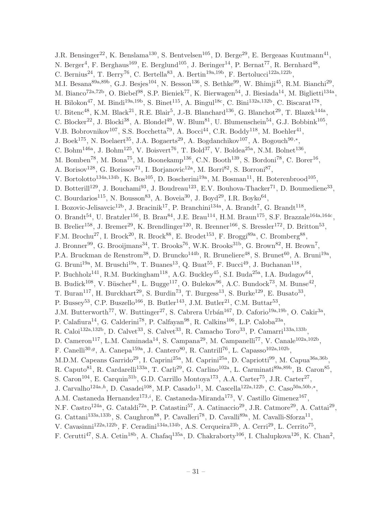J.R. Bensinger<sup>22</sup>, K. Benslama<sup>130</sup>, S. Bentvelsen<sup>105</sup>, D. Berge<sup>29</sup>, E. Bergeaas Kuutmann<sup>41</sup>, N. Berger<sup>4</sup>, F. Berghaus<sup>169</sup>, E. Berglund<sup>105</sup>, J. Beringer<sup>14</sup>, P. Bernat<sup>77</sup>, R. Bernhard<sup>48</sup>, C. Bernius<sup>24</sup>, T. Berry<sup>76</sup>, C. Bertella<sup>83</sup>, A. Bertin<sup>19a,19b</sup>, F. Bertolucci<sup>122a,122b</sup>, M.I. Besana<sup>89a,89b</sup>, G.J. Besjes<sup>104</sup>, N. Besson<sup>136</sup>, S. Bethke<sup>99</sup>, W. Bhimji<sup>45</sup>, R.M. Bianchi<sup>29</sup>, M. Bianco<sup>72a,72b</sup>, O. Biebel<sup>98</sup>, S.P. Bieniek<sup>77</sup>, K. Bierwagen<sup>54</sup>, J. Biesiada<sup>14</sup>, M. Biglietti<sup>134a</sup>, H. Bilokon<sup>47</sup>, M. Bindi<sup>19a,19b</sup>, S. Binet<sup>115</sup>, A. Bingul<sup>18c</sup>, C. Bini<sup>132a,132b</sup>, C. Biscarat<sup>178</sup>, U. Bitenc<sup>48</sup>, K.M. Black<sup>21</sup>, R.E. Blair<sup>5</sup>, J.-B. Blanchard<sup>136</sup>, G. Blanchot<sup>29</sup>, T. Blazek<sup>144a</sup>, C. Blocker<sup>22</sup>, J. Blocki<sup>38</sup>, A. Blondel<sup>49</sup>, W. Blum<sup>81</sup>, U. Blumenschein<sup>54</sup>, G.J. Bobbink<sup>105</sup>, V.B. Bobrovnikov<sup>107</sup>, S.S. Bocchetta<sup>79</sup>, A. Bocci<sup>44</sup>, C.R. Boddy<sup>118</sup>, M. Boehler<sup>41</sup>, J. Boek<sup>175</sup>, N. Boelaert<sup>35</sup>, J.A. Bogaerts<sup>29</sup>, A. Bogdanchikov<sup>107</sup>, A. Bogouch<sup>90,\*</sup>, C. Bohm<sup>146a</sup>, J. Bohm<sup>125</sup>, V. Boisvert<sup>76</sup>, T. Bold<sup>37</sup>, V. Boldea<sup>25a</sup>, N.M. Bolnet<sup>136</sup>, M. Bomben<sup>78</sup>, M. Bona<sup>75</sup>, M. Boonekamp<sup>136</sup>, C.N. Booth<sup>139</sup>, S. Bordoni<sup>78</sup>, C. Borer<sup>16</sup>, A. Borisov<sup>128</sup>, G. Borissov<sup>71</sup>, I. Borjanovic<sup>12a</sup>, M. Borri<sup>82</sup>, S. Borroni<sup>87</sup>, V. Bortolotto<sup>134a,134b</sup>, K. Bos<sup>105</sup>, D. Boscherini<sup>19a</sup>, M. Bosman<sup>11</sup>, H. Boterenbrood<sup>105</sup>, D. Botterill<sup>129</sup>, J. Bouchami<sup>93</sup>, J. Boudreau<sup>123</sup>, E.V. Bouhova-Thacker<sup>71</sup>, D. Boumediene<sup>33</sup>, C. Bourdarios<sup>115</sup>, N. Bousson<sup>83</sup>, A. Boveia<sup>30</sup>, J. Boyd<sup>29</sup>, I.R. Boyko<sup>64</sup>, I. Bozovic-Jelisavcic<sup>12b</sup>, J. Bracinik<sup>17</sup>, P. Branchini<sup>134a</sup>, A. Brandt<sup>7</sup>, G. Brandt<sup>118</sup>, O. Brandt<sup>54</sup>, U. Bratzler<sup>156</sup>, B. Brau<sup>84</sup>, J.E. Brau<sup>114</sup>, H.M. Braun<sup>175</sup>, S.F. Brazzale<sup>164a,164c</sup>, B. Brelier<sup>158</sup>, J. Bremer<sup>29</sup>, K. Brendlinger<sup>120</sup>, R. Brenner<sup>166</sup>, S. Bressler<sup>172</sup>, D. Britton<sup>53</sup>, F.M. Brochu<sup>27</sup>, I. Brock<sup>20</sup>, R. Brock<sup>88</sup>, E. Brodet<sup>153</sup>, F. Broggi<sup>89a</sup>, C. Bromberg<sup>88</sup>, J. Bronner<sup>99</sup>, G. Brooijmans<sup>34</sup>, T. Brooks<sup>76</sup>, W.K. Brooks<sup>31b</sup>, G. Brown<sup>82</sup>, H. Brown<sup>7</sup>, P.A. Bruckman de Renstrom<sup>38</sup>, D. Bruncko<sup>144b</sup>, R. Bruneliere<sup>48</sup>, S. Brunet<sup>60</sup>, A. Bruni<sup>19a</sup>, G. Bruni<sup>19a</sup>, M. Bruschi<sup>19a</sup>, T. Buanes<sup>13</sup>, Q. Buat<sup>55</sup>, F. Bucci<sup>49</sup>, J. Buchanan<sup>118</sup>, P. Buchholz<sup>141</sup>, R.M. Buckingham<sup>118</sup>, A.G. Buckley<sup>45</sup>, S.I. Buda<sup>25a</sup>, I.A. Budagov<sup>64</sup>, B. Budick<sup>108</sup>, V. Büscher<sup>81</sup>, L. Bugge<sup>117</sup>, O. Bulekov<sup>96</sup>, A.C. Bundock<sup>73</sup>, M. Bunse<sup>42</sup>, T. Buran<sup>117</sup>, H. Burckhart<sup>29</sup>, S. Burdin<sup>73</sup>, T. Burgess<sup>13</sup>, S. Burke<sup>129</sup>, E. Busato<sup>33</sup>, P. Bussey<sup>53</sup>, C.P. Buszello<sup>166</sup>, B. Butler<sup>143</sup>, J.M. Butler<sup>21</sup>, C.M. Buttar<sup>53</sup>, J.M. Butterworth<sup>77</sup>, W. Buttinger<sup>27</sup>, S. Cabrera Urbán<sup>167</sup>, D. Caforio<sup>19a,19b</sup>, O. Cakir<sup>3a</sup>, P. Calafiura<sup>14</sup>, G. Calderini<sup>78</sup>, P. Calfayan<sup>98</sup>, R. Calkins<sup>106</sup>, L.P. Caloba<sup>23a</sup>, R. Caloi<sup>132a,132b</sup>, D. Calvet<sup>33</sup>, S. Calvet<sup>33</sup>, R. Camacho Toro<sup>33</sup>, P. Camarri<sup>133a,133b</sup>, D. Cameron<sup>117</sup>, L.M. Caminada<sup>14</sup>, S. Campana<sup>29</sup>, M. Campanelli<sup>77</sup>, V. Canale<sup>102a,102b</sup>, F. Canelli<sup>30,g</sup>, A. Canepa<sup>159a</sup>, J. Cantero<sup>80</sup>, R. Cantrill<sup>76</sup>, L. Capasso<sup>102a,102b</sup>, M.D.M. Capeans Garrido<sup>29</sup>, I. Caprini<sup>25a</sup>, M. Caprini<sup>25a</sup>, D. Capriotti<sup>99</sup>, M. Capua<sup>36a,36b</sup>, R. Caputo<sup>81</sup>, R. Cardarelli<sup>133a</sup>, T. Carli<sup>29</sup>, G. Carlino<sup>102a</sup>, L. Carminati<sup>89a,89b</sup>, B. Caron<sup>85</sup>, S. Caron<sup>104</sup>, E. Carquin<sup>31b</sup>, G.D. Carrillo Montoya<sup>173</sup>, A.A. Carter<sup>75</sup>, J.R. Carter<sup>27</sup>, J. Carvalho<sup>124a,h</sup>, D. Casadei<sup>108</sup>, M.P. Casado<sup>11</sup>, M. Cascella<sup>122a,122b</sup>, C. Caso<sup>50a,50b,\*</sup>, A.M. Castaneda Hernandez<sup>173,*i*</sup>, E. Castaneda-Miranda<sup>173</sup>, V. Castillo Gimenez<sup>167</sup>, N.F. Castro<sup>124a</sup>, G. Cataldi<sup>72a</sup>, P. Catastini<sup>57</sup>, A. Catinaccio<sup>29</sup>, J.R. Catmore<sup>29</sup>, A. Cattai<sup>29</sup>, G. Cattani<sup>133a,133b</sup>, S. Caughron<sup>88</sup>, P. Cavalleri<sup>78</sup>, D. Cavalli<sup>89a</sup>, M. Cavalli-Sforza<sup>11</sup>, V. Cavasinni<sup>122a,122b</sup>, F. Ceradini<sup>134a,134b</sup>, A.S. Cerqueira<sup>23b</sup>, A. Cerri<sup>29</sup>, L. Cerrito<sup>75</sup>, F. Cerutti<sup>47</sup>, S.A. Cetin<sup>18b</sup>, A. Chafaq<sup>135a</sup>, D. Chakraborty<sup>106</sup>, I. Chalupkova<sup>126</sup>, K. Chan<sup>2</sup>,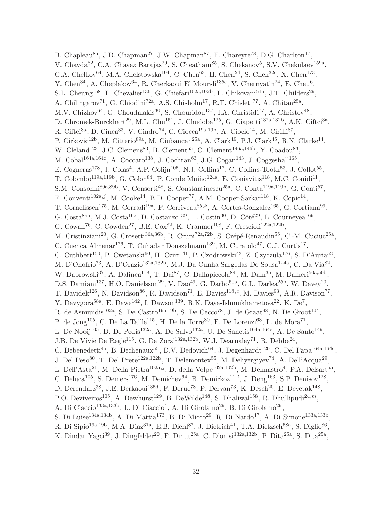B. Chapleau<sup>85</sup>, J.D. Chapman<sup>27</sup>, J.W. Chapman<sup>87</sup>, E. Chareyre<sup>78</sup>, D.G. Charlton<sup>17</sup>, V. Chavda<sup>82</sup>, C.A. Chavez Barajas<sup>29</sup>, S. Cheatham<sup>85</sup>, S. Chekanov<sup>5</sup>, S.V. Chekulaev<sup>159a</sup>, G.A. Chelkov<sup>64</sup>, M.A. Chelstowska<sup>104</sup>, C. Chen<sup>63</sup>, H. Chen<sup>24</sup>, S. Chen<sup>32c</sup>, X. Chen<sup>173</sup>, Y. Chen<sup>34</sup>, A. Cheplakov<sup>64</sup>, R. Cherkaoui El Moursli<sup>135e</sup>, V. Chernyatin<sup>24</sup>, E. Cheu<sup>6</sup>, S.L. Cheung<sup>158</sup>, L. Chevalier<sup>136</sup>, G. Chiefari<sup>102a,102b</sup>, L. Chikovani<sup>51a</sup>, J.T. Childers<sup>29</sup>, A. Chilingarov<sup>71</sup>, G. Chiodini<sup>72a</sup>, A.S. Chisholm<sup>17</sup>, R.T. Chislett<sup>77</sup>, A. Chitan<sup>25a</sup>, M.V. Chizhov<sup>64</sup>, G. Choudalakis<sup>30</sup>, S. Chouridou<sup>137</sup>, I.A. Christidi<sup>77</sup>, A. Christov<sup>48</sup>, D. Chromek-Burckhart<sup>29</sup>, M.L. Chu<sup>151</sup>, J. Chudoba<sup>125</sup>, G. Ciapetti<sup>132a,132b</sup>, A.K. Ciftci<sup>3a</sup>, R. Ciftci<sup>3a</sup>, D. Cinca<sup>33</sup>, V. Cindro<sup>74</sup>, C. Ciocca<sup>19a,19b</sup>, A. Ciocio<sup>14</sup>, M. Cirilli<sup>87</sup>, P. Cirkovic<sup>12b</sup>, M. Citterio<sup>89a</sup>, M. Ciubancan<sup>25a</sup>, A. Clark<sup>49</sup>, P.J. Clark<sup>45</sup>, R.N. Clarke<sup>14</sup>, W. Cleland<sup>123</sup>, J.C. Clemens<sup>83</sup>, B. Clement<sup>55</sup>, C. Clement<sup>146a,146b</sup>, Y. Coadou<sup>83</sup>, M. Cobal<sup>164a,164c</sup>, A. Coccaro<sup>138</sup>, J. Cochran<sup>63</sup>, J.G. Cogan<sup>143</sup>, J. Coggeshall<sup>165</sup>, E. Cogneras<sup>178</sup>, J. Colas<sup>4</sup>, A.P. Colijn<sup>105</sup>, N.J. Collins<sup>17</sup>, C. Collins-Tooth<sup>53</sup>, J. Collot<sup>55</sup>, T. Colombo<sup>119a,119b</sup>, G. Colon<sup>84</sup>, P. Conde Muiño<sup>124a</sup>, E. Coniavitis<sup>118</sup>, M.C. Conidi<sup>11</sup>, S.M. Consonni<sup>89a,89b</sup>, V. Consorti<sup>48</sup>, S. Constantinescu<sup>25a</sup>, C. Conta<sup>119a,119b</sup>, G. Conti<sup>57</sup>, F. Conventi<sup>102a,j</sup>, M. Cooke<sup>14</sup>, B.D. Cooper<sup>77</sup>, A.M. Cooper-Sarkar<sup>118</sup>, K. Copic<sup>14</sup>, T. Cornelissen<sup>175</sup>, M. Corradi<sup>19a</sup>, F. Corriveau<sup>85,k</sup>, A. Cortes-Gonzalez<sup>165</sup>, G. Cortiana<sup>99</sup>, G. Costa<sup>89a</sup>, M.J. Costa<sup>167</sup>, D. Costanzo<sup>139</sup>, T. Costin<sup>30</sup>, D. Côté<sup>29</sup>, L. Courneyea<sup>169</sup>, G. Cowan<sup>76</sup>, C. Cowden<sup>27</sup>, B.E. Cox<sup>82</sup>, K. Cranmer<sup>108</sup>, F. Crescioli<sup>122a,122b</sup>, M. Cristinziani<sup>20</sup>, G. Crosetti<sup>36a,36b</sup>, R. Crupi<sup>72a,72b</sup>, S. Crépé-Renaudin<sup>55</sup>, C.-M. Cuciuc<sup>25a</sup>, C. Cuenca Almenar<sup>176</sup>, T. Cuhadar Donszelmann<sup>139</sup>, M. Curatolo<sup>47</sup>, C.J. Curtis<sup>17</sup>, C. Cuthbert<sup>150</sup>, P. Cwetanski<sup>60</sup>, H. Czirr<sup>141</sup>, P. Czodrowski<sup>43</sup>, Z. Czyczula<sup>176</sup>, S. D'Auria<sup>53</sup>, M. D'Onofrio<sup>73</sup>, A. D'Orazio<sup>132a,132b</sup>, M.J. Da Cunha Sargedas De Sousa<sup>124a</sup>, C. Da Via<sup>82</sup>, W. Dabrowski<sup>37</sup>, A. Dafinca<sup>118</sup>, T. Dai<sup>87</sup>, C. Dallapiccola<sup>84</sup>, M. Dam<sup>35</sup>, M. Dameri<sup>50a,50b</sup>, D.S. Damiani<sup>137</sup>, H.O. Danielsson<sup>29</sup>, V. Dao<sup>49</sup>, G. Darbo<sup>50a</sup>, G.L. Darlea<sup>25b</sup>, W. Davey<sup>20</sup>, T. Davidek<sup>126</sup>, N. Davidson<sup>86</sup>, R. Davidson<sup>71</sup>, E. Davies<sup>118,*c*</sup>, M. Davies<sup>93</sup>, A.R. Davison<sup>77</sup>, Y. Davygora<sup>58a</sup>, E. Dawe<sup>142</sup>, I. Dawson<sup>139</sup>, R.K. Daya-Ishmukhametova<sup>22</sup>, K. De<sup>7</sup>, R. de Asmundis<sup>102a</sup>, S. De Castro<sup>19a, 19b</sup>, S. De Cecco<sup>78</sup>, J. de Graat<sup>98</sup>, N. De Groot<sup>104</sup>, P. de Jong<sup>105</sup>, C. De La Taille<sup>115</sup>, H. De la Torre<sup>80</sup>, F. De Lorenzi<sup>63</sup>, L. de Mora<sup>71</sup>, L. De Nooij<sup>105</sup>, D. De Pedis<sup>132a</sup>, A. De Salvo<sup>132a</sup>, U. De Sanctis<sup>164a,164c</sup>, A. De Santo<sup>149</sup>, J.B. De Vivie De Regie<sup>115</sup>, G. De Zorzi<sup>132a,132b</sup>, W.J. Dearnaley<sup>71</sup>, R. Debbe<sup>24</sup>, C. Debenedetti<sup>45</sup>, B. Dechenaux<sup>55</sup>, D.V. Dedovich<sup>64</sup>, J. Degenhardt<sup>120</sup>, C. Del Papa<sup>164a,164c</sup>, J. Del Peso<sup>80</sup>, T. Del Prete<sup>122a,122b</sup>, T. Delemontex<sup>55</sup>, M. Deliyergiyev<sup>74</sup>, A. Dell'Acqua<sup>29</sup>, L. Dell'Asta<sup>21</sup>, M. Della Pietra<sup>102a,j</sup>, D. della Volpe<sup>102a,102b</sup>, M. Delmastro<sup>4</sup>, P.A. Delsart<sup>55</sup>, C. Deluca<sup>105</sup>, S. Demers<sup>176</sup>, M. Demichev<sup>64</sup>, B. Demirkoz<sup>11,*l*</sup>, J. Deng<sup>163</sup>, S.P. Denisov<sup>128</sup>, D. Derendarz<sup>38</sup>, J.E. Derkaoui<sup>135d</sup>, F. Derue<sup>78</sup>, P. Dervan<sup>73</sup>, K. Desch<sup>20</sup>, E. Devetak<sup>148</sup>, P.O. Deviveiros<sup>105</sup>, A. Dewhurst<sup>129</sup>, B. DeWilde<sup>148</sup>, S. Dhaliwal<sup>158</sup>, R. Dhullipudi<sup>24,*m*</sup>, A. Di Ciaccio<sup>133a,133b</sup>, L. Di Ciaccio<sup>4</sup>, A. Di Girolamo<sup>29</sup>, B. Di Girolamo<sup>29</sup>, S. Di Luise<sup>134a,134b</sup>, A. Di Mattia<sup>173</sup>, B. Di Micco<sup>29</sup>, R. Di Nardo<sup>47</sup>, A. Di Simone<sup>133a,133b</sup>, R. Di Sipio<sup>19a,19b</sup>, M.A. Diaz<sup>31a</sup>, E.B. Diehl<sup>87</sup>, J. Dietrich<sup>41</sup>, T.A. Dietzsch<sup>58a</sup>, S. Diglio<sup>86</sup>, K. Dindar Yagci<sup>39</sup>, J. Dingfelder<sup>20</sup>, F. Dinut<sup>25a</sup>, C. Dionisi<sup>132a,132b</sup>, P. Dita<sup>25a</sup>, S. Dita<sup>25a</sup>,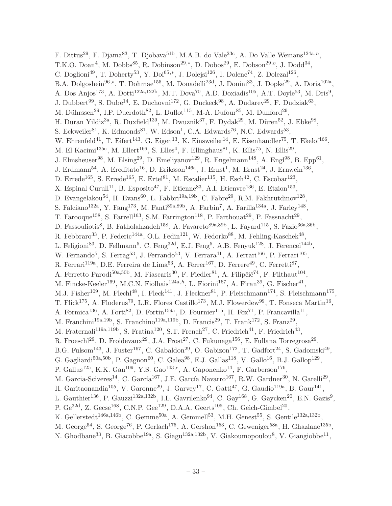F. Dittus<sup>29</sup>, F. Djama<sup>83</sup>, T. Djobava<sup>51b</sup>, M.A.B. do Vale<sup>23c</sup>, A. Do Valle Wemans<sup>124a,n</sup>, T.K.O. Doan<sup>4</sup>, M. Dobbs<sup>85</sup>, R. Dobinson<sup>29,\*</sup>, D. Dobos<sup>29</sup>, E. Dobson<sup>29,*o*</sup>, J. Dodd<sup>34</sup>, C. Doglioni<sup>49</sup>, T. Doherty<sup>53</sup>, Y. Doi<sup>65,\*</sup>, J. Dolejsi<sup>126</sup>, I. Dolenc<sup>74</sup>, Z. Dolezal<sup>126</sup>, B.A. Dolgoshein<sup>96,\*</sup>, T. Dohmae<sup>155</sup>, M. Donadelli<sup>23d</sup>, J. Donini<sup>33</sup>, J. Dopke<sup>29</sup>, A. Doria<sup>102a</sup>, A. Dos Anjos<sup>173</sup>, A. Dotti<sup>122a,122b</sup>, M.T. Dova<sup>70</sup>, A.D. Doxiadis<sup>105</sup>, A.T. Doyle<sup>53</sup>, M. Dris<sup>9</sup>, J. Dubbert<sup>99</sup>, S. Dube<sup>14</sup>, E. Duchovni<sup>172</sup>, G. Duckeck<sup>98</sup>, A. Dudarev<sup>29</sup>, F. Dudziak<sup>63</sup>, M. Dührssen<sup>29</sup>, I.P. Duerdoth<sup>82</sup>, L. Duflot<sup>115</sup>, M-A. Dufour<sup>85</sup>, M. Dunford<sup>29</sup>, H. Duran Yildiz<sup>3a</sup>, R. Duxfield<sup>139</sup>, M. Dwuznik<sup>37</sup>, F. Dydak<sup>29</sup>, M. Düren<sup>52</sup>, J. Ebke<sup>98</sup>, S. Eckweiler<sup>81</sup>, K. Edmonds<sup>81</sup>, W. Edson<sup>1</sup>, C.A. Edwards<sup>76</sup>, N.C. Edwards<sup>53</sup>, W. Ehrenfeld<sup>41</sup>, T. Eifert<sup>143</sup>, G. Eigen<sup>13</sup>, K. Einsweiler<sup>14</sup>, E. Eisenhandler<sup>75</sup>, T. Ekelof<sup>166</sup>, M. El Kacimi<sup>135c</sup>, M. Ellert<sup>166</sup>, S. Elles<sup>4</sup>, F. Ellinghaus<sup>81</sup>, K. Ellis<sup>75</sup>, N. Ellis<sup>29</sup>, J. Elmsheuser<sup>98</sup>, M. Elsing<sup>29</sup>, D. Emeliyanov<sup>129</sup>, R. Engelmann<sup>148</sup>, A. Engl<sup>98</sup>, B. Epp<sup>61</sup>, J. Erdmann<sup>54</sup>, A. Ereditato<sup>16</sup>, D. Eriksson<sup>146a</sup>, J. Ernst<sup>1</sup>, M. Ernst<sup>24</sup>, J. Ernwein<sup>136</sup>, D. Errede<sup>165</sup>, S. Errede<sup>165</sup>, E. Ertel<sup>81</sup>, M. Escalier<sup>115</sup>, H. Esch<sup>42</sup>, C. Escobar<sup>123</sup>, X. Espinal Curull<sup>11</sup>, B. Esposito<sup>47</sup>, F. Etienne<sup>83</sup>, A.I. Etienvre<sup>136</sup>, E. Etzion<sup>153</sup>, D. Evangelakou<sup>54</sup>, H. Evans<sup>60</sup>, L. Fabbri<sup>19a, 19b</sup>, C. Fabre<sup>29</sup>, R.M. Fakhrutdinov<sup>128</sup>, S. Falciano<sup>132a</sup>, Y. Fang<sup>173</sup>, M. Fanti<sup>89a,89b</sup>, A. Farbin<sup>7</sup>, A. Farilla<sup>134a</sup>, J. Farley<sup>148</sup>, T. Farooque<sup>158</sup>, S. Farrell<sup>163</sup>, S.M. Farrington<sup>118</sup>, P. Farthouat<sup>29</sup>, P. Fassnacht<sup>29</sup>, D. Fassouliotis<sup>8</sup>, B. Fatholahzadeh<sup>158</sup>, A. Favareto<sup>89a,89b</sup>, L. Fayard<sup>115</sup>, S. Fazio<sup>36a,36b</sup>, R. Febbraro<sup>33</sup>, P. Federic<sup>144a</sup>, O.L. Fedin<sup>121</sup>, W. Fedorko<sup>88</sup>, M. Fehling-Kaschek<sup>48</sup>, L. Feligioni<sup>83</sup>, D. Fellmann<sup>5</sup>, C. Feng<sup>32d</sup>, E.J. Feng<sup>5</sup>, A.B. Fenyuk<sup>128</sup>, J. Ferencei<sup>144b</sup>, W. Fernando<sup>5</sup>, S. Ferrag<sup>53</sup>, J. Ferrando<sup>53</sup>, V. Ferrara<sup>41</sup>, A. Ferrari<sup>166</sup>, P. Ferrari<sup>105</sup>, R. Ferrari<sup>119a</sup>, D.E. Ferreira de Lima<sup>53</sup>, A. Ferrer<sup>167</sup>, D. Ferrere<sup>49</sup>, C. Ferretti<sup>87</sup>, A. Ferretto Parodi<sup>50a,50b</sup>, M. Fiascaris<sup>30</sup>, F. Fiedler<sup>81</sup>, A. Filipčič<sup>74</sup>, F. Filthaut<sup>104</sup>, M. Fincke-Keeler<sup>169</sup>, M.C.N. Fiolhais<sup>124a,h</sup>, L. Fiorini<sup>167</sup>, A. Firan<sup>39</sup>, G. Fischer<sup>41</sup>, M.J. Fisher<sup>109</sup>, M. Flechl<sup>48</sup>, I. Fleck<sup>141</sup>, J. Fleckner<sup>81</sup>, P. Fleischmann<sup>174</sup>, S. Fleischmann<sup>175</sup>, T. Flick<sup>175</sup>, A. Floderus<sup>79</sup>, L.R. Flores Castillo<sup>173</sup>, M.J. Flowerdew<sup>99</sup>, T. Fonseca Martin<sup>16</sup>, A. Formica<sup>136</sup>, A. Forti<sup>82</sup>, D. Fortin<sup>159a</sup>, D. Fournier<sup>115</sup>, H. Fox<sup>71</sup>, P. Francavilla<sup>11</sup>, M. Franchini<sup>19a,19b</sup>, S. Franchino<sup>119a,119b</sup>, D. Francis<sup>29</sup>, T. Frank<sup>172</sup>, S. Franz<sup>29</sup>, M. Fraternali<sup>119a,119b</sup>, S. Fratina<sup>120</sup>, S.T. French<sup>27</sup>, C. Friedrich<sup>41</sup>, F. Friedrich<sup>43</sup>, R. Froeschl<sup>29</sup>, D. Froidevaux<sup>29</sup>, J.A. Frost<sup>27</sup>, C. Fukunaga<sup>156</sup>, E. Fullana Torregrosa<sup>29</sup>, B.G. Fulsom<sup>143</sup>, J. Fuster<sup>167</sup>, C. Gabaldon<sup>29</sup>, O. Gabizon<sup>172</sup>, T. Gadfort<sup>24</sup>, S. Gadomski<sup>49</sup>, G. Gagliardi<sup>50a, 50b</sup>, P. Gagnon<sup>60</sup>, C. Galea<sup>98</sup>, E.J. Gallas<sup>118</sup>, V. Gallo<sup>16</sup>, B.J. Gallop<sup>129</sup>, P. Gallus<sup>125</sup>, K.K. Gan<sup>109</sup>, Y.S. Gao<sup>143,e</sup>, A. Gaponenko<sup>14</sup>, F. Garberson<sup>176</sup>, M. Garcia-Sciveres<sup>14</sup>, C. García<sup>167</sup>, J.E. García Navarro<sup>167</sup>, R.W. Gardner<sup>30</sup>, N. Garelli<sup>29</sup>, H. Garitaonandia<sup>105</sup>, V. Garonne<sup>29</sup>, J. Garvey<sup>17</sup>, C. Gatti<sup>47</sup>, G. Gaudio<sup>119a</sup>, B. Gaur<sup>141</sup>, L. Gauthier<sup>136</sup>, P. Gauzzi<sup>132a,132b</sup>, I.L. Gavrilenko<sup>94</sup>, C. Gay<sup>168</sup>, G. Gaycken<sup>20</sup>, E.N. Gazis<sup>9</sup>, P.  $\rm{Ge^{32d}}$ , Z.  $\rm{Geese^{168}}$ , C.N.P.  $\rm{Gee^{129}}$ , D.A.A.  $\rm{Geerts^{105}}$ , Ch.  $\rm{Geich\text{-}Gimbel^{20}}$ , K. Gellerstedt<sup>146a,146b</sup>, C. Gemme<sup>50a</sup>, A. Gemmell<sup>53</sup>, M.H. Genest<sup>55</sup>, S. Gentile<sup>132a,132b</sup>, M. George<sup>54</sup>, S. George<sup>76</sup>, P. Gerlach<sup>175</sup>, A. Gershon<sup>153</sup>, C. Geweniger<sup>58a</sup>, H. Ghazlane<sup>135b</sup>, N. Ghodbane<sup>33</sup>, B. Giacobbe<sup>19a</sup>, S. Giagu<sup>132a,132b</sup>, V. Giakoumopoulou<sup>8</sup>, V. Giangiobbe<sup>11</sup>,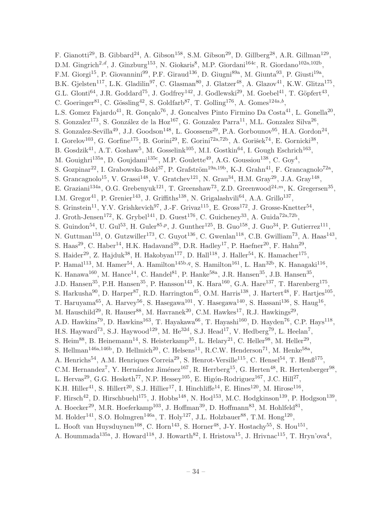F. Gianotti<sup>29</sup>, B. Gibbard<sup>24</sup>, A. Gibson<sup>158</sup>, S.M. Gibson<sup>29</sup>, D. Gillberg<sup>28</sup>, A.R. Gillman<sup>129</sup>, D.M. Gingrich<sup>2,d</sup>, J. Ginzburg<sup>153</sup>, N. Giokaris<sup>8</sup>, M.P. Giordani<sup>164c</sup>, R. Giordano<sup>102a,102b</sup>, F.M. Giorgi<sup>15</sup>, P. Giovannini<sup>99</sup>, P.F. Giraud<sup>136</sup>, D. Giugni<sup>89a</sup>, M. Giunta<sup>93</sup>, P. Giusti<sup>19a</sup>, B.K. Gjelsten<sup>117</sup>, L.K. Gladilin<sup>97</sup>, C. Glasman<sup>80</sup>, J. Glatzer<sup>48</sup>, A. Glazov<sup>41</sup>, K.W. Glitza<sup>175</sup>, G.L. Glonti<sup>64</sup>, J.R. Goddard<sup>75</sup>, J. Godfrey<sup>142</sup>, J. Godlewski<sup>29</sup>, M. Goebel<sup>41</sup>, T. Göpfert<sup>43</sup>, C. Goeringer<sup>81</sup>, C. Gössling<sup>42</sup>, S. Goldfarb<sup>87</sup>, T. Golling<sup>176</sup>, A. Gomes<sup>124a,b</sup>, L.S. Gomez Fajardo<sup>41</sup>, R. Gonçalo<sup>76</sup>, J. Goncalves Pinto Firmino Da Costa<sup>41</sup>, L. Gonella<sup>20</sup>, S. Gonzalez<sup>173</sup>, S. González de la Hoz<sup>167</sup>, G. Gonzalez Parra<sup>11</sup>, M.L. Gonzalez Silva<sup>26</sup>, S. Gonzalez-Sevilla<sup>49</sup>, J.J. Goodson<sup>148</sup>, L. Goossens<sup>29</sup>, P.A. Gorbounov<sup>95</sup>, H.A. Gordon<sup>24</sup>, I. Gorelov<sup>103</sup>, G. Gorfine<sup>175</sup>, B. Gorini<sup>29</sup>, E. Gorini<sup>72a,72b</sup>, A. Gorišek<sup>74</sup>, E. Gornicki<sup>38</sup>, B. Gosdzik<sup>41</sup>, A.T. Goshaw<sup>5</sup>, M. Gosselink<sup>105</sup>, M.I. Gostkin<sup>64</sup>, I. Gough Eschrich<sup>163</sup>, M. Gouighri<sup>135a</sup>, D. Goujdami<sup>135c</sup>, M.P. Goulette<sup>49</sup>, A.G. Goussiou<sup>138</sup>, C. Goy<sup>4</sup>, S. Gozpinar<sup>22</sup>, I. Grabowska-Bold<sup>37</sup>, P. Grafström<sup>19a,19b</sup>, K-J. Grahn<sup>41</sup>, F. Grancagnolo<sup>72a</sup>, S. Grancagnolo<sup>15</sup>, V. Grassi<sup>148</sup>, V. Gratchev<sup>121</sup>, N. Grau<sup>34</sup>, H.M. Gray<sup>29</sup>, J.A. Gray<sup>148</sup>, E. Graziani<sup>134a</sup>, O.G. Grebenyuk<sup>121</sup>, T. Greenshaw<sup>73</sup>, Z.D. Greenwood<sup>24,*m*</sup>, K. Gregersen<sup>35</sup>, I.M. Gregor<sup>41</sup>, P. Grenier<sup>143</sup>, J. Griffiths<sup>138</sup>, N. Grigalashvili<sup>64</sup>, A.A. Grillo<sup>137</sup>, S. Grinstein<sup>11</sup>, Y.V. Grishkevich<sup>97</sup>, J.-F. Grivaz<sup>115</sup>, E. Gross<sup>172</sup>, J. Grosse-Knetter<sup>54</sup>, J. Groth-Jensen<sup>172</sup>, K. Grybel<sup>141</sup>, D. Guest<sup>176</sup>, C. Guicheney<sup>33</sup>, A. Guida<sup>72a,72b</sup>, S. Guindon<sup>54</sup>, U. Gul<sup>53</sup>, H. Guler<sup>85,p</sup>, J. Gunther<sup>125</sup>, B. Guo<sup>158</sup>, J. Guo<sup>34</sup>, P. Gutierrez<sup>111</sup>, N. Guttman<sup>153</sup>, O. Gutzwiller<sup>173</sup>, C. Guyot<sup>136</sup>, C. Gwenlan<sup>118</sup>, C.B. Gwilliam<sup>73</sup>, A. Haas<sup>143</sup>, S. Haas<sup>29</sup>, C. Haber<sup>14</sup>, H.K. Hadavand<sup>39</sup>, D.R. Hadley<sup>17</sup>, P. Haefner<sup>20</sup>, F. Hahn<sup>29</sup>, S. Haider<sup>29</sup>, Z. Hajduk<sup>38</sup>, H. Hakobyan<sup>177</sup>, D. Hall<sup>118</sup>, J. Haller<sup>54</sup>, K. Hamacher<sup>175</sup>, P. Hamal<sup>113</sup>, M. Hamer<sup>54</sup>, A. Hamilton<sup>145b,q</sup>, S. Hamilton<sup>161</sup>, L. Han<sup>32b</sup>, K. Hanagaki<sup>116</sup>, K. Hanawa<sup>160</sup>, M. Hance<sup>14</sup>, C. Handel<sup>81</sup>, P. Hanke<sup>58a</sup>, J.R. Hansen<sup>35</sup>, J.B. Hansen<sup>35</sup>, J.D. Hansen<sup>35</sup>, P.H. Hansen<sup>35</sup>, P. Hansson<sup>143</sup>, K. Hara<sup>160</sup>, G.A. Hare<sup>137</sup>, T. Harenberg<sup>175</sup>, S. Harkusha<sup>90</sup>, D. Harper<sup>87</sup>, R.D. Harrington<sup>45</sup>, O.M. Harris<sup>138</sup>, J. Hartert<sup>48</sup>, F. Hartjes<sup>105</sup>, T. Haruyama<sup>65</sup>, A. Harvey<sup>56</sup>, S. Hasegawa<sup>101</sup>, Y. Hasegawa<sup>140</sup>, S. Hassani<sup>136</sup>, S. Haug<sup>16</sup>, M. Hauschild<sup>29</sup>, R. Hauser<sup>88</sup>, M. Havranek<sup>20</sup>, C.M. Hawkes<sup>17</sup>, R.J. Hawkings<sup>29</sup>, A.D. Hawkins<sup>79</sup>, D. Hawkins<sup>163</sup>, T. Hayakawa<sup>66</sup>, T. Hayashi<sup>160</sup>, D. Hayden<sup>76</sup>, C.P. Hays<sup>118</sup>, H.S. Hayward<sup>73</sup>, S.J. Haywood<sup>129</sup>, M. He<sup>32d</sup>, S.J. Head<sup>17</sup>, V. Hedberg<sup>79</sup>, L. Heelan<sup>7</sup>, S. Heim<sup>88</sup>, B. Heinemann<sup>14</sup>, S. Heisterkamp<sup>35</sup>, L. Helary<sup>21</sup>, C. Heller<sup>98</sup>, M. Heller<sup>29</sup>, S. Hellman<sup>146a,146b</sup>, D. Hellmich<sup>20</sup>, C. Helsens<sup>11</sup>, R.C.W. Henderson<sup>71</sup>, M. Henke<sup>58a</sup>, A. Henrichs<sup>54</sup>, A.M. Henriques Correia<sup>29</sup>, S. Henrot-Versille<sup>115</sup>, C. Hensel<sup>54</sup>, T. Henß<sup>175</sup>, C.M. Hernandez<sup>7</sup>, Y. Hernández Jiménez<sup>167</sup>, R. Herrberg<sup>15</sup>, G. Herten<sup>48</sup>, R. Hertenberger<sup>98</sup>, L. Hervas<sup>29</sup>, G.G. Hesketh<sup>77</sup>, N.P. Hessey<sup>105</sup>, E. Higón-Rodriguez<sup>167</sup>, J.C. Hill<sup>27</sup>, K.H. Hiller<sup>41</sup>, S. Hillert<sup>20</sup>, S.J. Hillier<sup>17</sup>, I. Hinchliffe<sup>14</sup>, E. Hines<sup>120</sup>, M. Hirose<sup>116</sup>, F. Hirsch<sup>42</sup>, D. Hirschbuehl<sup>175</sup>, J. Hobbs<sup>148</sup>, N. Hod<sup>153</sup>, M.C. Hodgkinson<sup>139</sup>, P. Hodgson<sup>139</sup>, A. Hoecker<sup>29</sup>, M.R. Hoeferkamp<sup>103</sup>, J. Hoffman<sup>39</sup>, D. Hoffmann<sup>83</sup>, M. Hohlfeld<sup>81</sup>, M. Holder<sup>141</sup>, S.O. Holmgren<sup>146a</sup>, T. Holy<sup>127</sup>, J.L. Holzbauer<sup>88</sup>, T.M. Hong<sup>120</sup>, L. Hooft van Huysduynen<sup>108</sup>, C. Horn<sup>143</sup>, S. Horner<sup>48</sup>, J-Y. Hostachy<sup>55</sup>, S. Hou<sup>151</sup>, A. Hoummada<sup>135a</sup>, J. Howard<sup>118</sup>, J. Howarth<sup>82</sup>, I. Hristova<sup>15</sup>, J. Hrivnac<sup>115</sup>, T. Hryn'ova<sup>4</sup>,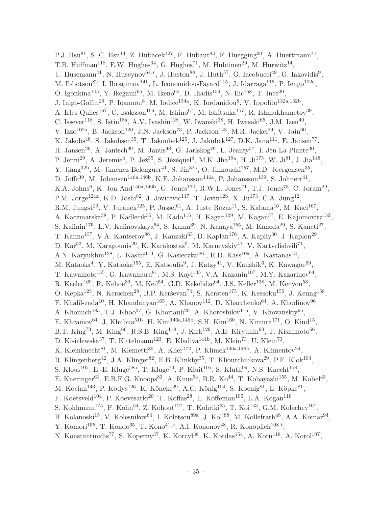P.J. Hsu<sup>81</sup>, S.-C. Hsu<sup>14</sup>, Z. Hubacek<sup>127</sup>, F. Hubaut<sup>83</sup>, F. Huegging<sup>20</sup>, A. Huettmann<sup>41</sup>, T.B. Huffman<sup>118</sup>, E.W. Hughes<sup>34</sup>, G. Hughes<sup>71</sup>, M. Huhtinen<sup>29</sup>, M. Hurwitz<sup>14</sup>, U. Husemann<sup>41</sup>, N. Huseynov<sup>64, $r$ </sup>, J. Huston<sup>88</sup>, J. Huth<sup>57</sup>, G. Iacobucci<sup>49</sup>, G. Iakovidis<sup>9</sup>, M. Ibbotson<sup>82</sup>, I. Ibragimov<sup>141</sup>, L. Iconomidou-Fayard<sup>115</sup>, J. Idarraga<sup>115</sup>, P. Iengo<sup>102a</sup>, O. Igonkina<sup>105</sup>, Y. Ikegami<sup>65</sup>, M. Ikeno<sup>65</sup>, D. Iliadis<sup>154</sup>, N. Ilic<sup>158</sup>, T. Ince<sup>20</sup>, J. Inigo-Golfin<sup>29</sup>, P. Ioannou<sup>8</sup>, M. Iodice<sup>134a</sup>, K. Iordanidou<sup>8</sup>, V. Ippolito<sup>132a,132b</sup>, A. Irles Quiles<sup>167</sup>, C. Isaksson<sup>166</sup>, M. Ishino<sup>67</sup>, M. Ishitsuka<sup>157</sup>, R. Ishmukhametov<sup>39</sup>, C. Issever<sup>118</sup>, S. Istin<sup>18a</sup>, A.V. Ivashin<sup>128</sup>, W. Iwanski<sup>38</sup>, H. Iwasaki<sup>65</sup>, J.M. Izen<sup>40</sup>, V. Izzo<sup>102a</sup>, B. Jackson<sup>120</sup>, J.N. Jackson<sup>73</sup>, P. Jackson<sup>143</sup>, M.R. Jaekel<sup>29</sup>, V. Jain<sup>60</sup>, K. Jakobs<sup>48</sup>, S. Jakobsen<sup>35</sup>, T. Jakoubek<sup>125</sup>, J. Jakubek<sup>127</sup>, D.K. Jana<sup>111</sup>, E. Jansen<sup>77</sup>, H. Jansen<sup>29</sup>, A. Jantsch<sup>99</sup>, M. Janus<sup>48</sup>, G. Jarlskog<sup>79</sup>, L. Jeanty<sup>57</sup>, I. Jen-La Plante<sup>30</sup>, P. Jenni<sup>29</sup>, A. Jeremie<sup>4</sup>, P. Jež<sup>35</sup>, S. Jézéquel<sup>4</sup>, M.K. Jha<sup>19a</sup>, H. Ji<sup>173</sup>, W. Ji<sup>81</sup>, J. Jia<sup>148</sup>, Y. Jiang<sup>32b</sup>, M. Jimenez Belenguer<sup>41</sup>, S. Jin<sup>32a</sup>, O. Jinnouchi<sup>157</sup>, M.D. Joergensen<sup>35</sup>, D. Joffe<sup>39</sup>, M. Johansen<sup>146a,146b</sup>, K.E. Johansson<sup>146a</sup>, P. Johansson<sup>139</sup>, S. Johnert<sup>41</sup>, K.A. Johns<sup>6</sup>, K. Jon-And<sup>146a,146b</sup>, G. Jones<sup>170</sup>, R.W.L. Jones<sup>71</sup>, T.J. Jones<sup>73</sup>, C. Joram<sup>29</sup>, P.M. Jorge<sup>124a</sup>, K.D. Joshi<sup>82</sup>, J. Jovicevic<sup>147</sup>, T. Jovin<sup>12b</sup>, X. Ju<sup>173</sup>, C.A. Jung<sup>42</sup>, R.M. Jungst<sup>29</sup>, V. Juranek<sup>125</sup>, P. Jussel<sup>61</sup>, A. Juste Rozas<sup>11</sup>, S. Kabana<sup>16</sup>, M. Kaci<sup>167</sup>, A. Kaczmarska<sup>38</sup>, P. Kadlecik<sup>35</sup>, M. Kado<sup>115</sup>, H. Kagan<sup>109</sup>, M. Kagan<sup>57</sup>, E. Kajomovitz<sup>152</sup>, S. Kalinin<sup>175</sup>, L.V. Kalinovskaya<sup>64</sup>, S. Kama<sup>39</sup>, N. Kanaya<sup>155</sup>, M. Kaneda<sup>29</sup>, S. Kaneti<sup>27</sup>, T. Kanno<sup>157</sup>, V.A. Kantserov<sup>96</sup>, J. Kanzaki<sup>65</sup>, B. Kaplan<sup>176</sup>, A. Kapliy<sup>30</sup>, J. Kaplon<sup>29</sup>, D. Kar<sup>53</sup>, M. Karagounis<sup>20</sup>, K. Karakostas<sup>9</sup>, M. Karnevskiy<sup>41</sup>, V. Kartvelishvili<sup>71</sup>, A.N. Karyukhin<sup>128</sup>, L. Kashif<sup>173</sup>, G. Kasieczka<sup>58b</sup>, R.D. Kass<sup>109</sup>, A. Kastanas<sup>13</sup>, M. Kataoka<sup>4</sup>, Y. Kataoka<sup>155</sup>, E. Katsoufis<sup>9</sup>, J. Katzy<sup>41</sup>, V. Kaushik<sup>6</sup>, K. Kawagoe<sup>69</sup>, T. Kawamoto<sup>155</sup>, G. Kawamura<sup>81</sup>, M.S. Kayl<sup>105</sup>, V.A. Kazanin<sup>107</sup>, M.Y. Kazarinov<sup>64</sup>, R. Keeler<sup>169</sup>, R. Kehoe<sup>39</sup>, M. Keil<sup>54</sup>, G.D. Kekelidze<sup>64</sup>, J.S. Keller<sup>138</sup>, M. Kenyon<sup>53</sup>, O. Kepka<sup>125</sup>, N. Kerschen<sup>29</sup>, B.P. Kerševan<sup>74</sup>, S. Kersten<sup>175</sup>, K. Kessoku<sup>155</sup>, J. Keung<sup>158</sup>, F. Khalil-zada<sup>10</sup>, H. Khandanyan<sup>165</sup>, A. Khanov<sup>112</sup>, D. Kharchenko<sup>64</sup>, A. Khodinov<sup>96</sup>, A. Khomich<sup>58a</sup>, T.J. Khoo<sup>27</sup>, G. Khoriauli<sup>20</sup>, A. Khoroshilov<sup>175</sup>, V. Khovanskiy<sup>95</sup>, E. Khramov<sup>64</sup>, J. Khubua<sup>51b</sup>, H. Kim<sup>146a,146b</sup>, S.H. Kim<sup>160</sup>, N. Kimura<sup>171</sup>, O. Kind<sup>15</sup>, B.T. King<sup>73</sup>, M. King<sup>66</sup>, R.S.B. King<sup>118</sup>, J. Kirk<sup>129</sup>, A.E. Kiryunin<sup>99</sup>, T. Kishimoto<sup>66</sup>, D. Kisielewska<sup>37</sup>, T. Kittelmann<sup>123</sup>, E. Kladiva<sup>144b</sup>, M. Klein<sup>73</sup>, U. Klein<sup>73</sup>, K. Kleinknecht $^{81}$ , M. Klemetti $^{85}$ , A. Klier<sup>172</sup>, P. Klimek<sup>146a,146b</sup>, A. Klimentov<sup>24</sup>, R. Klingenberg<sup>42</sup>, J.A. Klinger<sup>82</sup>, E.B. Klinkby<sup>35</sup>, T. Klioutchnikova<sup>29</sup>, P.F. Klok<sup>104</sup>, S. Klous<sup>105</sup>, E.-E. Kluge<sup>58a</sup>, T. Kluge<sup>73</sup>, P. Kluit<sup>105</sup>, S. Kluth<sup>99</sup>, N.S. Knecht<sup>158</sup>, E. Kneringer<sup>61</sup>, E.B.F.G. Knoops<sup>83</sup>, A. Knue<sup>54</sup>, B.R. Ko<sup>44</sup>, T. Kobayashi<sup>155</sup>, M. Kobel<sup>43</sup>, M. Kocian<sup>143</sup>, P. Kodys<sup>126</sup>, K. Köneke<sup>29</sup>, A.C. König<sup>104</sup>, S. Koenig<sup>81</sup>, L. Köpke<sup>81</sup>, F. Koetsveld<sup>104</sup>, P. Koevesarki<sup>20</sup>, T. Koffas<sup>28</sup>, E. Koffeman<sup>105</sup>, L.A. Kogan<sup>118</sup>, S. Kohlmann<sup>175</sup>, F. Kohn<sup>54</sup>, Z. Kohout<sup>127</sup>, T. Kohriki<sup>65</sup>, T. Koi<sup>143</sup>, G.M. Kolachev<sup>107</sup>, H. Kolanoski<sup>15</sup>, V. Kolesnikov<sup>64</sup>, I. Koletsou<sup>89a</sup>, J. Koll<sup>88</sup>, M. Kollefrath<sup>48</sup>, A.A. Komar<sup>94</sup>, Y. Komori<sup>155</sup>, T. Kondo<sup>65</sup>, T. Kono<sup>41,s</sup>, A.I. Kononov<sup>48</sup>, R. Konoplich<sup>108,t</sup>,

N. Konstantinidis<sup>77</sup>, S. Koperny<sup>37</sup>, K. Korcyl<sup>38</sup>, K. Kordas<sup>154</sup>, A. Korn<sup>118</sup>, A. Korol<sup>107</sup>,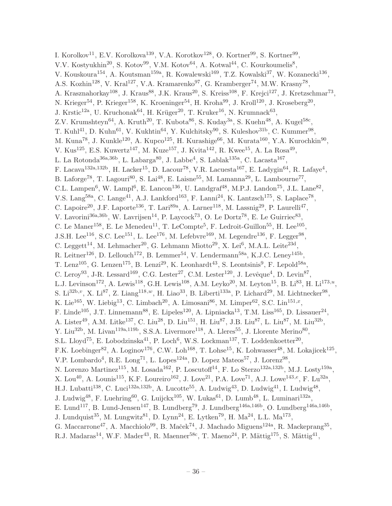I. Korolkov<sup>11</sup>, E.V. Korolkova<sup>139</sup>, V.A. Korotkov<sup>128</sup>, O. Kortner<sup>99</sup>, S. Kortner<sup>99</sup>, V.V. Kostyukhin<sup>20</sup>, S. Kotov<sup>99</sup>, V.M. Kotov<sup>64</sup>, A. Kotwal<sup>44</sup>, C. Kourkoumelis<sup>8</sup>, V. Kouskoura<sup>154</sup>, A. Koutsman<sup>159a</sup>, R. Kowalewski<sup>169</sup>, T.Z. Kowalski<sup>37</sup>, W. Kozanecki<sup>136</sup>, A.S. Kozhin<sup>128</sup>, V. Kral<sup>127</sup>, V.A. Kramarenko<sup>97</sup>, G. Kramberger<sup>74</sup>, M.W. Krasny<sup>78</sup>, A. Krasznahorkay<sup>108</sup>, J. Kraus<sup>88</sup>, J.K. Kraus<sup>20</sup>, S. Kreiss<sup>108</sup>, F. Krejci<sup>127</sup>, J. Kretzschmar<sup>73</sup>, N. Krieger<sup>54</sup>, P. Krieger<sup>158</sup>, K. Kroeninger<sup>54</sup>, H. Kroha<sup>99</sup>, J. Kroll<sup>120</sup>, J. Kroseberg<sup>20</sup>, J. Krstic<sup>12a</sup>, U. Kruchonak<sup>64</sup>, H. Krüger<sup>20</sup>, T. Kruker<sup>16</sup>, N. Krumnack<sup>63</sup>, Z.V. Krumshteyn<sup>64</sup>, A. Kruth<sup>20</sup>, T. Kubota<sup>86</sup>, S. Kuday<sup>3a</sup>, S. Kuehn<sup>48</sup>, A. Kugel<sup>58c</sup>, T. Kuhl<sup>41</sup>, D. Kuhn<sup>61</sup>, V. Kukhtin<sup>64</sup>, Y. Kulchitsky<sup>90</sup>, S. Kuleshov<sup>31b</sup>, C. Kummer<sup>98</sup>, M. Kuna<sup>78</sup>, J. Kunkle<sup>120</sup>, A. Kupco<sup>125</sup>, H. Kurashige<sup>66</sup>, M. Kurata<sup>160</sup>, Y.A. Kurochkin<sup>90</sup>, V. Kus<sup>125</sup>, E.S. Kuwertz<sup>147</sup>, M. Kuze<sup>157</sup>, J. Kvita<sup>142</sup>, R. Kwee<sup>15</sup>, A. La Rosa<sup>49</sup>, L. La Rotonda<sup>36a,36b</sup>, L. Labarga<sup>80</sup>, J. Labbe<sup>4</sup>, S. Lablak<sup>135a</sup>, C. Lacasta<sup>167</sup>, F. Lacava<sup>132a,132b</sup>, H. Lacker<sup>15</sup>, D. Lacour<sup>78</sup>, V.R. Lacuesta<sup>167</sup>, E. Ladygin<sup>64</sup>, R. Lafaye<sup>4</sup>, B. Laforge<sup>78</sup>, T. Lagouri<sup>80</sup>, S. Lai<sup>48</sup>, E. Laisne<sup>55</sup>, M. Lamanna<sup>29</sup>, L. Lambourne<sup>77</sup>, C.L. Lampen<sup>6</sup>, W. Lampl<sup>6</sup>, E. Lancon<sup>136</sup>, U. Landgraf<sup>48</sup>, M.P.J. Landon<sup>75</sup>, J.L. Lane<sup>82</sup>, V.S. Lang<sup>58a</sup>, C. Lange<sup>41</sup>, A.J. Lankford<sup>163</sup>, F. Lanni<sup>24</sup>, K. Lantzsch<sup>175</sup>, S. Laplace<sup>78</sup>, C. Lapoire<sup>20</sup>, J.F. Laporte<sup>136</sup>, T. Lari<sup>89a</sup>, A. Larner<sup>118</sup>, M. Lassnig<sup>29</sup>, P. Laurelli<sup>47</sup>, V. Lavorini<sup>36a, 36b</sup>, W. Lavrijsen<sup>14</sup>, P. Laycock<sup>73</sup>, O. Le Dortz<sup>78</sup>, E. Le Guirriec<sup>83</sup>, C. Le Maner<sup>158</sup>, E. Le Menedeu<sup>11</sup>, T. LeCompte<sup>5</sup>, F. Ledroit-Guillon<sup>55</sup>, H. Lee<sup>105</sup>, J.S.H. Lee<sup>116</sup>, S.C. Lee<sup>151</sup>, L. Lee<sup>176</sup>, M. Lefebvre<sup>169</sup>, M. Legendre<sup>136</sup>, F. Legger<sup>98</sup>, C. Leggett<sup>14</sup>, M. Lehmacher<sup>20</sup>, G. Lehmann Miotto<sup>29</sup>, X. Lei<sup>6</sup>, M.A.L. Leite<sup>23d</sup>, R. Leitner<sup>126</sup>, D. Lellouch<sup>172</sup>, B. Lemmer<sup>54</sup>, V. Lendermann<sup>58a</sup>, K.J.C. Leney<sup>145b</sup>, T. Lenz<sup>105</sup>, G. Lenzen<sup>175</sup>, B. Lenzi<sup>29</sup>, K. Leonhardt<sup>43</sup>, S. Leontsinis<sup>9</sup>, F. Lepold<sup>58a</sup>, C. Leroy<sup>93</sup>, J-R. Lessard<sup>169</sup>, C.G. Lester<sup>27</sup>, C.M. Lester<sup>120</sup>, J. Levêque<sup>4</sup>, D. Levin<sup>87</sup>, L.J. Levinson<sup>172</sup>, A. Lewis<sup>118</sup>, G.H. Lewis<sup>108</sup>, A.M. Leyko<sup>20</sup>, M. Leyton<sup>15</sup>, B. Li<sup>83</sup>, H. Li<sup>173,*u*</sup>, S. Li<sup>32b,v</sup>, X. Li<sup>87</sup>, Z. Liang<sup>118,w</sup>, H. Liao<sup>33</sup>, B. Liberti<sup>133a</sup>, P. Lichard<sup>29</sup>, M. Lichtnecker<sup>98</sup>, K. Lie<sup>165</sup>, W. Liebig<sup>13</sup>, C. Limbach<sup>20</sup>, A. Limosani<sup>86</sup>, M. Limper<sup>62</sup>, S.C. Lin<sup>151,x</sup>, F. Linde<sup>105</sup>, J.T. Linnemann<sup>88</sup>, E. Lipeles<sup>120</sup>, A. Lipniacka<sup>13</sup>, T.M. Liss<sup>165</sup>, D. Lissauer<sup>24</sup>, A. Lister<sup>49</sup>, A.M. Litke<sup>137</sup>, C. Liu<sup>28</sup>, D. Liu<sup>151</sup>, H. Liu<sup>87</sup>, J.B. Liu<sup>87</sup>, L. Liu<sup>87</sup>, M. Liu<sup>32b</sup>, Y. Liu<sup>32b</sup>, M. Livan<sup>119a,119b</sup>, S.S.A. Livermore<sup>118</sup>, A. Lleres<sup>55</sup>, J. Llorente Merino<sup>80</sup>, S.L. Lloyd<sup>75</sup>, E. Lobodzinska<sup>41</sup>, P. Loch<sup>6</sup>, W.S. Lockman<sup>137</sup>, T. Loddenkoetter<sup>20</sup>, F.K. Loebinger<sup>82</sup>, A. Loginov<sup>176</sup>, C.W. Loh<sup>168</sup>, T. Lohse<sup>15</sup>, K. Lohwasser<sup>48</sup>, M. Lokajicek<sup>125</sup>, V.P. Lombardo<sup>4</sup>, R.E. Long<sup>71</sup>, L. Lopes<sup>124a</sup>, D. Lopez Mateos<sup>57</sup>, J. Lorenz<sup>98</sup>, N. Lorenzo Martinez<sup>115</sup>, M. Losada<sup>162</sup>, P. Loscutoff<sup>14</sup>, F. Lo Sterzo<sup>132a,132b</sup>, M.J. Losty<sup>159a</sup>, X. Lou<sup>40</sup>, A. Lounis<sup>115</sup>, K.F. Loureiro<sup>162</sup>, J. Love<sup>21</sup>, P.A. Love<sup>71</sup>, A.J. Lowe<sup>143,e</sup>, F. Lu<sup>32a</sup>, H.J. Lubatti<sup>138</sup>, C. Luci<sup>132a,132b</sup>, A. Lucotte<sup>55</sup>, A. Ludwig<sup>43</sup>, D. Ludwig<sup>41</sup>, I. Ludwig<sup>48</sup>, J. Ludwig<sup>48</sup>, F. Luehring<sup>60</sup>, G. Luijckx<sup>105</sup>, W. Lukas<sup>61</sup>, D. Lumb<sup>48</sup>, L. Luminari<sup>132a</sup>, E. Lund<sup>117</sup>, B. Lund-Jensen<sup>147</sup>, B. Lundberg<sup>79</sup>, J. Lundberg<sup>146a,146b</sup>, O. Lundberg<sup>146a,146b</sup>, J. Lundquist<sup>35</sup>, M. Lungwitz<sup>81</sup>, D. Lynn<sup>24</sup>, E. Lytken<sup>79</sup>, H. Ma<sup>24</sup>, L.L. Ma<sup>173</sup>, G. Maccarrone<sup>47</sup>, A. Macchiolo<sup>99</sup>, B. Maček<sup>74</sup>, J. Machado Miguens<sup>124a</sup>, R. Mackeprang<sup>35</sup>, R.J. Madaras<sup>14</sup>, W.F. Mader<sup>43</sup>, R. Maenner<sup>58c</sup>, T. Maeno<sup>24</sup>, P. Mättig<sup>175</sup>, S. Mättig<sup>41</sup>,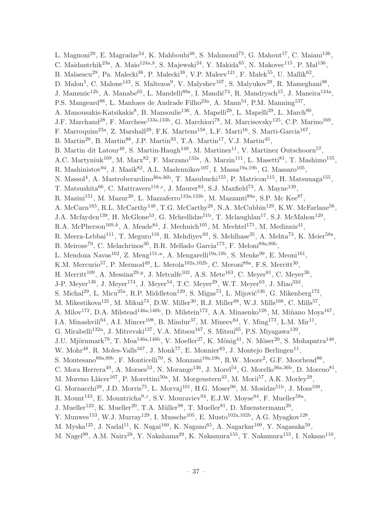L. Magnoni<sup>29</sup>, E. Magradze<sup>54</sup>, K. Mahboubi<sup>48</sup>, S. Mahmoud<sup>73</sup>, G. Mahout<sup>17</sup>, C. Maiani<sup>136</sup>, C. Maidantchik<sup>23a</sup>, A. Maio<sup>124a,b</sup>, S. Majewski<sup>24</sup>, Y. Makida<sup>65</sup>, N. Makovec<sup>115</sup>, P. Mal<sup>136</sup>, B. Malaescu<sup>29</sup>, Pa. Malecki<sup>38</sup>, P. Malecki<sup>38</sup>, V.P. Maleev<sup>121</sup>, F. Malek<sup>55</sup>, U. Mallik<sup>62</sup>, D. Malon<sup>5</sup>, C. Malone<sup>143</sup>, S. Maltezos<sup>9</sup>, V. Malyshev<sup>107</sup>, S. Malyukov<sup>29</sup>, R. Mameghani<sup>98</sup>, J. Mamuzic<sup>12b</sup>, A. Manabe<sup>65</sup>, L. Mandelli<sup>89a</sup>, I. Mandić<sup>74</sup>, R. Mandrysch<sup>15</sup>, J. Maneira<sup>124a</sup>, P.S. Mangeard<sup>88</sup>, L. Manhaes de Andrade Filho<sup>23a</sup>, A. Mann<sup>54</sup>, P.M. Manning<sup>137</sup>, A. Manousakis-Katsikakis<sup>8</sup>, B. Mansoulie<sup>136</sup>, A. Mapelli<sup>29</sup>, L. Mapelli<sup>29</sup>, L. March<sup>80</sup>, J.F. Marchand<sup>28</sup>, F. Marchese<sup>133a,133b</sup>, G. Marchiori<sup>78</sup>, M. Marcisovsky<sup>125</sup>, C.P. Marino<sup>169</sup>, F. Marroquim<sup>23a</sup>, Z. Marshall<sup>29</sup>, F.K. Martens<sup>158</sup>, L.F. Marti<sup>16</sup>, S. Marti-Garcia<sup>167</sup>, B. Martin<sup>29</sup>, B. Martin<sup>88</sup>, J.P. Martin<sup>93</sup>, T.A. Martin<sup>17</sup>, V.J. Martin<sup>45</sup>, B. Martin dit Latour<sup>49</sup>, S. Martin-Haugh<sup>149</sup>, M. Martinez<sup>11</sup>, V. Martinez Outschoorn<sup>57</sup>, A.C. Martyniuk<sup>169</sup>, M. Marx<sup>82</sup>, F. Marzano<sup>132a</sup>, A. Marzin<sup>111</sup>, L. Masetti<sup>81</sup>, T. Mashimo<sup>155</sup>, R. Mashinistov $94$ , J. Masik $82$ , A.L. Maslennikov $107$ , I. Massa $19a,19b$ , G. Massaro $105$ , N. Massol<sup>4</sup>, A. Mastroberardino<sup>36a, 36b</sup>, T. Masubuchi<sup>155</sup>, P. Matricon<sup>115</sup>, H. Matsunaga<sup>155</sup>, T. Matsushita<sup>66</sup>, C. Mattravers<sup>118,c</sup>, J. Maurer<sup>83</sup>, S.J. Maxfield<sup>73</sup>, A. Mayne<sup>139</sup>, R. Mazini<sup>151</sup>, M. Mazur<sup>20</sup>, L. Mazzaferro<sup>133a,133b</sup>, M. Mazzanti<sup>89a</sup>, S.P. Mc Kee<sup>87</sup>, A. McCarn<sup>165</sup>, R.L. McCarthy<sup>148</sup>, T.G. McCarthy<sup>28</sup>, N.A. McCubbin<sup>129</sup>, K.W. McFarlane<sup>56</sup>, J.A. Mcfayden<sup>139</sup>, H. McGlone<sup>53</sup>, G. Mchedlidze<sup>51b</sup>, T. Mclaughlan<sup>17</sup>, S.J. McMahon<sup>129</sup>, R.A. McPherson<sup>169,k</sup>, A. Meade<sup>84</sup>, J. Mechnich<sup>105</sup>, M. Mechtel<sup>175</sup>, M. Medinnis<sup>41</sup>, R. Meera-Lebbai<sup>111</sup>, T. Meguro<sup>116</sup>, R. Mehdiyev<sup>93</sup>, S. Mehlhase<sup>35</sup>, A. Mehta<sup>73</sup>, K. Meier<sup>58a</sup>, B. Meirose<sup>79</sup>, C. Melachrinos<sup>30</sup>, B.R. Mellado Garcia<sup>173</sup>, F. Meloni<sup>89a,89b</sup>, L. Mendoza Navas<sup>162</sup>, Z. Meng<sup>151,*u*</sup>, A. Mengarelli<sup>19a,19b</sup>, S. Menke<sup>99</sup>, E. Meoni<sup>161</sup>, K.M. Mercurio<sup>57</sup>, P. Mermod<sup>49</sup>, L. Merola<sup>102a,102b</sup>, C. Meroni<sup>89a</sup>, F.S. Merritt<sup>30</sup>, H. Merritt<sup>109</sup>, A. Messina<sup>29,*y*</sup>, J. Metcalfe<sup>103</sup>, A.S. Mete<sup>163</sup>, C. Meyer<sup>81</sup>, C. Meyer<sup>30</sup>, J-P. Meyer<sup>136</sup>, J. Meyer<sup>174</sup>, J. Meyer<sup>54</sup>, T.C. Meyer<sup>29</sup>, W.T. Meyer<sup>63</sup>, J. Miao<sup>32d</sup>, S. Michal<sup>29</sup>, L. Micu<sup>25a</sup>, R.P. Middleton<sup>129</sup>, S. Migas<sup>73</sup>, L. Mijović<sup>136</sup>, G. Mikenberg<sup>172</sup>, M. Mikestikova<sup>125</sup>, M. Mikuž<sup>74</sup>, D.W. Miller<sup>30</sup>, R.J. Miller<sup>88</sup>, W.J. Mills<sup>168</sup>, C. Mills<sup>57</sup>, A. Milov<sup>172</sup>, D.A. Milstead<sup>146a,146b</sup>, D. Milstein<sup>172</sup>, A.A. Minaenko<sup>128</sup>, M. Miñano Moya<sup>167</sup>, I.A. Minashvili<sup>64</sup>, A.I. Mincer<sup>108</sup>, B. Mindur<sup>37</sup>, M. Mineev<sup>64</sup>, Y. Ming<sup>173</sup>, L.M. Mir<sup>11</sup>, G. Mirabelli<sup>132a</sup>, J. Mitrevski<sup>137</sup>, V.A. Mitsou<sup>167</sup>, S. Mitsui<sup>65</sup>, P.S. Miyagawa<sup>139</sup>, J.U. Mjörnmark<sup>79</sup>, T. Moa<sup>146a,146b</sup>, V. Moeller<sup>27</sup>, K. Mönig<sup>41</sup>, N. Möser<sup>20</sup>, S. Mohapatra<sup>148</sup>, W. Mohr<sup>48</sup>, R. Moles-Valls<sup>167</sup>, J. Monk<sup>77</sup>, E. Monnier<sup>83</sup>, J. Montejo Berlingen<sup>11</sup>, S. Montesano<sup>89a,89b</sup>, F. Monticelli<sup>70</sup>, S. Monzani<sup>19a,19b</sup>, R.W. Moore<sup>2</sup>, G.F. Moorhead<sup>86</sup>, C. Mora Herrera<sup>49</sup>, A. Moraes<sup>53</sup>, N. Morange<sup>136</sup>, J. Morel<sup>54</sup>, G. Morello<sup>36a,36b</sup>, D. Moreno<sup>81</sup>, M. Moreno Llácer<sup>167</sup>, P. Morettini<sup>50a</sup>, M. Morgenstern<sup>43</sup>, M. Morii<sup>57</sup>, A.K. Morley<sup>29</sup>, G. Mornacchi<sup>29</sup>, J.D. Morris<sup>75</sup>, L. Morvaj<sup>101</sup>, H.G. Moser<sup>99</sup>, M. Mosidze<sup>51b</sup>, J. Moss<sup>109</sup>, R. Mount<sup>143</sup>, E. Mountricha<sup>9, z</sup>, S.V. Mouraviev<sup>94</sup>, E.J.W. Moyse<sup>84</sup>, F. Mueller<sup>58a</sup>, J. Mueller<sup>123</sup>, K. Mueller<sup>20</sup>, T.A. Müller<sup>98</sup>, T. Mueller<sup>81</sup>, D. Muenstermann<sup>29</sup>, Y. Munwes<sup>153</sup>, W.J. Murray<sup>129</sup>, I. Mussche<sup>105</sup>, E. Musto<sup>102a,102b</sup>, A.G. Myagkov<sup>128</sup>, M. Myska $^{125}$ , J. Nadal $^{11}$ , K. Nagai $^{160}$ , K. Nagano $^{65}$ , A. Nagarkar $^{109}$ , Y. Nagasaka $^{59}$ , M. Nagel<sup>99</sup>, A.M. Nairz<sup>29</sup>, Y. Nakahama<sup>29</sup>, K. Nakamura<sup>155</sup>, T. Nakamura<sup>155</sup>, I. Nakano<sup>110</sup>,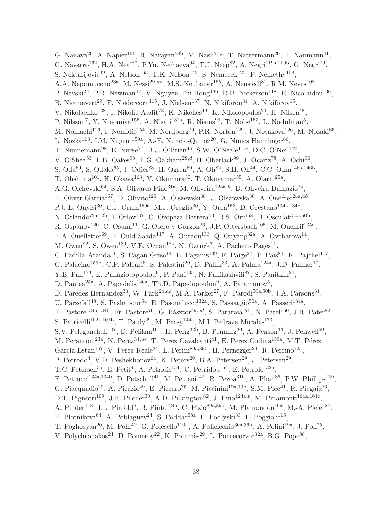G. Nanava<sup>20</sup>, A. Napier<sup>161</sup>, R. Narayan<sup>58b</sup>, M. Nash<sup>77,c</sup>, T. Nattermann<sup>20</sup>, T. Naumann<sup>41</sup>, G. Navarro<sup>162</sup>, H.A. Neal<sup>87</sup>, P.Yu. Nechaeva<sup>94</sup>, T.J. Neep<sup>82</sup>, A. Negri<sup>119a,119b</sup>, G. Negri<sup>29</sup>, S. Nektarijevic<sup>49</sup>, A. Nelson<sup>163</sup>, T.K. Nelson<sup>143</sup>, S. Nemecek<sup>125</sup>, P. Nemethy<sup>108</sup>, A.A. Nepomuceno<sup>23a</sup>, M. Nessi<sup>29,aa</sup>, M.S. Neubauer<sup>165</sup>, A. Neusiedl<sup>81</sup>, R.M. Neves<sup>108</sup>, P. Nevski<sup>24</sup>, P.R. Newman<sup>17</sup>, V. Nguyen Thi Hong<sup>136</sup>, R.B. Nickerson<sup>118</sup>, R. Nicolaidou<sup>136</sup>, B. Nicquevert<sup>29</sup>, F. Niedercorn<sup>115</sup>, J. Nielsen<sup>137</sup>, N. Nikiforou<sup>34</sup>, A. Nikiforov<sup>15</sup>, V. Nikolaenko<sup>128</sup>, I. Nikolic-Audit<sup>78</sup>, K. Nikolics<sup>49</sup>, K. Nikolopoulos<sup>24</sup>, H. Nilsen<sup>48</sup>, P. Nilsson<sup>7</sup>, Y. Ninomiya<sup>155</sup>, A. Nisati<sup>132a</sup>, R. Nisius<sup>99</sup>, T. Nobe<sup>157</sup>, L. Nodulman<sup>5</sup>, M. Nomachi<sup>116</sup>, I. Nomidis<sup>154</sup>, M. Nordberg<sup>29</sup>, P.R. Norton<sup>129</sup>, J. Novakova<sup>126</sup>, M. Nozaki<sup>65</sup>, L. Nozka<sup>113</sup>, I.M. Nugent<sup>159a</sup>, A.-E. Nuncio-Quiroz<sup>20</sup>, G. Nunes Hanninger<sup>86</sup>, T. Nunnemann<sup>98</sup>, E. Nurse<sup>77</sup>, B.J. O'Brien<sup>45</sup>, S.W. O'Neale<sup>17,\*</sup>, D.C. O'Neil<sup>142</sup>, V. O'Shea<sup>53</sup>, L.B. Oakes<sup>98</sup>, F.G. Oakham<sup>28,d</sup>, H. Oberlack<sup>99</sup>, J. Ocariz<sup>78</sup>, A. Ochi<sup>66</sup>, S. Oda<sup>69</sup>, S. Odaka<sup>65</sup>, J. Odier<sup>83</sup>, H. Ogren<sup>60</sup>, A. Oh<sup>82</sup>, S.H. Oh<sup>44</sup>, C.C. Ohm<sup>146a,146b</sup>, T. Ohshima<sup>101</sup>, H. Okawa<sup>163</sup>, Y. Okumura<sup>30</sup>, T. Okuyama<sup>155</sup>, A. Olariu<sup>25a</sup>, A.G. Olchevski<sup>64</sup>, S.A. Olivares Pino<sup>31a</sup>, M. Oliveira<sup>124a,h</sup>, D. Oliveira Damazio<sup>24</sup>, E. Oliver Garcia<sup>167</sup>, D. Olivito<sup>120</sup>, A. Olszewski<sup>38</sup>, J. Olszowska<sup>38</sup>, A. Onofre<sup>124a,ab</sup>, P.U.E. Onyisi<sup>30</sup>, C.J. Oram<sup>159a</sup>, M.J. Oreglia<sup>30</sup>, Y. Oren<sup>153</sup>, D. Orestano<sup>134a,134b</sup>, N. Orlando<sup>72a,72b</sup>, I. Orlov<sup>107</sup>, C. Oropeza Barrera<sup>53</sup>, R.S. Orr<sup>158</sup>, B. Osculati<sup>50a,50b</sup>, R. Ospanov<sup>120</sup>, C. Osuna<sup>11</sup>, G. Otero y Garzon<sup>26</sup>, J.P. Ottersbach<sup>105</sup>, M. Ouchrif<sup>135d</sup>, E.A. Ouellette<sup>169</sup>, F. Ould-Saada<sup>117</sup>, A. Ouraou<sup>136</sup>, Q. Ouyang<sup>32a</sup>, A. Ovcharova<sup>14</sup>, M. Owen<sup>82</sup>, S. Owen<sup>139</sup>, V.E. Ozcan<sup>18a</sup>, N. Ozturk<sup>7</sup>, A. Pacheco Pages<sup>11</sup>, C. Padilla Aranda<sup>11</sup>, S. Pagan Griso<sup>14</sup>, E. Paganis<sup>139</sup>, F. Paige<sup>24</sup>, P. Pais<sup>84</sup>, K. Pajchel<sup>117</sup>, G. Palacino<sup>159b</sup>, C.P. Paleari<sup>6</sup>, S. Palestini<sup>29</sup>, D. Pallin<sup>33</sup>, A. Palma<sup>124a</sup>, J.D. Palmer<sup>17</sup>, Y.B. Pan<sup>173</sup>, E. Panagiotopoulou<sup>9</sup>, P. Pani<sup>105</sup>, N. Panikashvili<sup>87</sup>, S. Panitkin<sup>24</sup>, D. Pantea<sup>25a</sup>, A. Papadelis<sup>146a</sup>, Th.D. Papadopoulou<sup>9</sup>, A. Paramonov<sup>5</sup>, D. Paredes Hernandez<sup>33</sup>, W. Park<sup>24,ac</sup>, M.A. Parker<sup>27</sup>, F. Parodi<sup>50a,50b</sup>, J.A. Parsons<sup>34</sup>, U. Parzefall<sup>48</sup>, S. Pashapour<sup>54</sup>, E. Pasqualucci<sup>132a</sup>, S. Passaggio<sup>50a</sup>, A. Passeri<sup>134a</sup>, F. Pastore<sup>134a,134b</sup>, Fr. Pastore<sup>76</sup>, G. Pásztor<sup>49,ad</sup>, S. Pataraia<sup>175</sup>, N. Patel<sup>150</sup>, J.R. Pater<sup>82</sup>, S. Patricelli<sup>102a,102b</sup>, T. Pauly<sup>29</sup>, M. Pecsy<sup>144a</sup>, M.I. Pedraza Morales<sup>173</sup>, S.V. Peleganchuk<sup>107</sup>, D. Pelikan<sup>166</sup>, H. Peng<sup>32b</sup>, B. Penning<sup>30</sup>, A. Penson<sup>34</sup>, J. Penwell<sup>60</sup>, M. Perantoni<sup>23a</sup>, K. Perez<sup>34,ae</sup>, T. Perez Cavalcanti<sup>41</sup>, E. Perez Codina<sup>159a</sup>, M.T. Pérez García-Estañ<sup>167</sup>, V. Perez Reale<sup>34</sup>, L. Perini<sup>89a,89b</sup>, H. Pernegger<sup>29</sup>, R. Perrino<sup>72a</sup>, P. Perrodo<sup>4</sup>, V.D. Peshekhonov<sup>64</sup>, K. Peters<sup>29</sup>, B.A. Petersen<sup>29</sup>, J. Petersen<sup>29</sup>, T.C. Petersen<sup>35</sup>, E. Petit<sup>4</sup>, A. Petridis<sup>154</sup>, C. Petridou<sup>154</sup>, E. Petrolo<sup>132a</sup>, F. Petrucci<sup>134a,134b</sup>, D. Petschull<sup>41</sup>, M. Petteni<sup>142</sup>, R. Pezoa<sup>31b</sup>, A. Phan<sup>86</sup>, P.W. Phillips<sup>129</sup>, G. Piacquadio<sup>29</sup>, A. Picazio<sup>49</sup>, E. Piccaro<sup>75</sup>, M. Piccinini<sup>19a,19b</sup>, S.M. Piec<sup>41</sup>, R. Piegaia<sup>26</sup>, D.T. Pignotti<sup>109</sup>, J.E. Pilcher<sup>30</sup>, A.D. Pilkington<sup>82</sup>, J. Pina<sup>124a,b</sup>, M. Pinamonti<sup>164a,164c</sup>, A. Pinder<sup>118</sup>, J.L. Pinfold<sup>2</sup>, B. Pinto<sup>124a</sup>, C. Pizio<sup>89a,89b</sup>, M. Plamondon<sup>169</sup>, M.-A. Pleier<sup>24</sup>, E. Plotnikova<sup>64</sup>, A. Poblaguev<sup>24</sup>, S. Poddar<sup>58a</sup>, F. Podlyski<sup>33</sup>, L. Poggioli<sup>115</sup>, T. Poghosyan<sup>20</sup>, M. Pohl<sup>49</sup>, G. Polesello<sup>119a</sup>, A. Policicchio<sup>36a,36b</sup>, A. Polini<sup>19a</sup>, J. Poll<sup>75</sup>,

V. Polychronakos<sup>24</sup>, D. Pomeroy<sup>22</sup>, K. Pommès<sup>29</sup>, L. Pontecorvo<sup>132a</sup>, B.G. Pope<sup>88</sup>,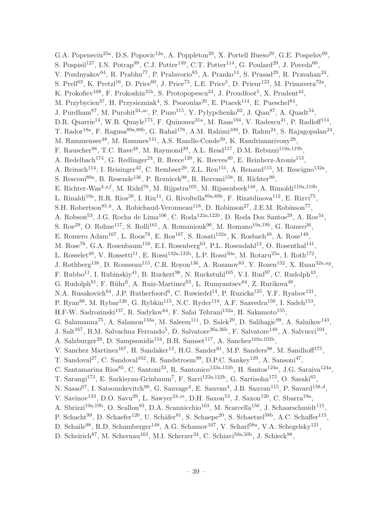G.A. Popeneciu<sup>25a</sup>, D.S. Popovic<sup>12a</sup>, A. Poppleton<sup>29</sup>, X. Portell Bueso<sup>29</sup>, G.E. Pospelov<sup>99</sup>, S. Pospisil<sup>127</sup>, I.N. Potrap<sup>99</sup>, C.J. Potter<sup>149</sup>, C.T. Potter<sup>114</sup>, G. Poulard<sup>29</sup>, J. Poveda<sup>60</sup>, V. Pozdnyakov $^{64}$ , R. Prabhu<sup>77</sup>, P. Pralavorio<sup>83</sup>, A. Pranko<sup>14</sup>, S. Prasad<sup>29</sup>, R. Pravahan<sup>24</sup>, S. Prell<sup>63</sup>, K. Pretzl<sup>16</sup>, D. Price<sup>60</sup>, J. Price<sup>73</sup>, L.E. Price<sup>5</sup>, D. Prieur<sup>123</sup>, M. Primavera<sup>72a</sup>, K. Prokofiev<sup>108</sup>, F. Prokoshin<sup>31b</sup>, S. Protopopescu<sup>24</sup>, J. Proudfoot<sup>5</sup>, X. Prudent<sup>43</sup>, M. Przybycien<sup>37</sup>, H. Przysiezniak<sup>4</sup>, S. Psoroulas<sup>20</sup>, E. Ptacek<sup>114</sup>, E. Pueschel<sup>84</sup>, J. Purdham<sup>87</sup>, M. Purohit<sup>24,ac</sup>, P. Puzo<sup>115</sup>, Y. Pylypchenko<sup>62</sup>, J. Qian<sup>87</sup>, A. Quadt<sup>54</sup>, D.R. Quarrie<sup>14</sup>, W.B. Quayle<sup>173</sup>, F. Quinonez<sup>31a</sup>, M. Raas<sup>104</sup>, V. Radescu<sup>41</sup>, P. Radloff<sup>114</sup>, T. Rador<sup>18a</sup>, F. Ragusa<sup>89a,89b</sup>, G. Rahal<sup>178</sup>, A.M. Rahimi<sup>109</sup>, D. Rahm<sup>24</sup>, S. Rajagopalan<sup>24</sup>, M. Rammensee<sup>48</sup>, M. Rammes<sup>141</sup>, A.S. Randle-Conde<sup>39</sup>, K. Randrianarivony<sup>28</sup>, F. Rauscher<sup>98</sup>, T.C. Rave<sup>48</sup>, M. Raymond<sup>29</sup>, A.L. Read<sup>117</sup>, D.M. Rebuzzi<sup>119a,119b</sup>, A. Redelbach<sup>174</sup>, G. Redlinger<sup>24</sup>, R. Reece<sup>120</sup>, K. Reeves<sup>40</sup>, E. Reinherz-Aronis<sup>153</sup>, A. Reinsch<sup>114</sup>, I. Reisinger<sup>42</sup>, C. Rembser<sup>29</sup>, Z.L. Ren<sup>151</sup>, A. Renaud<sup>115</sup>, M. Rescigno<sup>132a</sup>, S. Resconi<sup>89a</sup>, B. Resende<sup>136</sup>, P. Reznicek<sup>98</sup>, R. Rezvani<sup>158</sup>, R. Richter<sup>99</sup>, E. Richter-Was<sup>4,af</sup>, M. Ridel<sup>78</sup>, M. Rijpstra<sup>105</sup>, M. Rijssenbeek<sup>148</sup>, A. Rimoldi<sup>119a,119b</sup>, L. Rinaldi<sup>19a</sup>, R.R. Rios<sup>39</sup>, I. Riu<sup>11</sup>, G. Rivoltella<sup>89a,89b</sup>, F. Rizatdinova<sup>112</sup>, E. Rizvi<sup>75</sup>, S.H. Robertson<sup>85,k</sup>, A. Robichaud-Veronneau<sup>118</sup>, D. Robinson<sup>27</sup>, J.E.M. Robinson<sup>77</sup>, A. Robson<sup>53</sup>, J.G. Rocha de Lima<sup>106</sup>, C. Roda<sup>122a,122b</sup>, D. Roda Dos Santos<sup>29</sup>, A. Roe<sup>54</sup>, S. Roe<sup>29</sup>, O. Røhne<sup>117</sup>, S. Rolli<sup>161</sup>, A. Romaniouk<sup>96</sup>, M. Romano<sup>19a,19b</sup>, G. Romeo<sup>26</sup>, E. Romero Adam<sup>167</sup>, L. Roos<sup>78</sup>, E. Ros<sup>167</sup>, S. Rosati<sup>132a</sup>, K. Rosbach<sup>49</sup>, A. Rose<sup>149</sup>, M. Rose<sup>76</sup>, G.A. Rosenbaum<sup>158</sup>, E.I. Rosenberg<sup>63</sup>, P.L. Rosendahl<sup>13</sup>, O. Rosenthal<sup>141</sup>, L. Rosselet<sup>49</sup>, V. Rossetti<sup>11</sup>, E. Rossi<sup>132a,132b</sup>, L.P. Rossi<sup>50a</sup>, M. Rotaru<sup>25a</sup>, I. Roth<sup>172</sup>, J. Rothberg<sup>138</sup>, D. Rousseau<sup>115</sup>, C.R. Royon<sup>136</sup>, A. Rozanov<sup>83</sup>, Y. Rozen<sup>152</sup>, X. Ruan<sup>32a,ag</sup>, F. Rubbo<sup>11</sup>, I. Rubinskiy<sup>41</sup>, B. Ruckert<sup>98</sup>, N. Ruckstuhl<sup>105</sup>, V.I. Rud<sup>97</sup>, C. Rudolph<sup>43</sup>, G. Rudolph<sup>61</sup>, F. Rühr<sup>6</sup>, A. Ruiz-Martinez<sup>63</sup>, L. Rumyantsev<sup>64</sup>, Z. Rurikova<sup>48</sup>, N.A. Rusakovich<sup>64</sup>, J.P. Rutherfoord<sup>6</sup>, C. Ruwiedel<sup>14</sup>, P. Ruzicka<sup>125</sup>, Y.F. Ryabov<sup>121</sup>, P. Ryan<sup>88</sup>, M. Rybar<sup>126</sup>, G. Rybkin<sup>115</sup>, N.C. Ryder<sup>118</sup>, A.F. Saavedra<sup>150</sup>, I. Sadeh<sup>153</sup>, H.F-W. Sadrozinski<sup>137</sup>, R. Sadykov<sup>64</sup>, F. Safai Tehrani<sup>132a</sup>, H. Sakamoto<sup>155</sup>, G. Salamanna<sup>75</sup>, A. Salamon<sup>133a</sup>, M. Saleem<sup>111</sup>, D. Salek<sup>29</sup>, D. Salihagic<sup>99</sup>, A. Salnikov<sup>143</sup>, J. Salt<sup>167</sup>, B.M. Salvachua Ferrando<sup>5</sup>, D. Salvatore<sup>36a,36b</sup>, F. Salvatore<sup>149</sup>, A. Salvucci<sup>104</sup>, A. Salzburger<sup>29</sup>, D. Sampsonidis<sup>154</sup>, B.H. Samset<sup>117</sup>, A. Sanchez<sup>102a,102b</sup>, V. Sanchez Martinez<sup>167</sup>, H. Sandaker<sup>13</sup>, H.G. Sander<sup>81</sup>, M.P. Sanders<sup>98</sup>, M. Sandhoff<sup>175</sup>, T. Sandoval<sup>27</sup>, C. Sandoval<sup>162</sup>, R. Sandstroem<sup>99</sup>, D.P.C. Sankey<sup>129</sup>, A. Sansoni<sup>47</sup>, C. Santamarina Rios<sup>85</sup>, C. Santoni<sup>33</sup>, R. Santonico<sup>133a,133b</sup>, H. Santos<sup>124a</sup>, J.G. Saraiva<sup>124a</sup>, T. Sarangi<sup>173</sup>, E. Sarkisyan-Grinbaum<sup>7</sup>, F. Sarri<sup>122a,122b</sup>, G. Sartisohn<sup>175</sup>, O. Sasaki<sup>65</sup>, N. Sasao<sup>67</sup>, I. Satsounkevitch<sup>90</sup>, G. Sauvage<sup>4</sup>, E. Sauvan<sup>4</sup>, J.B. Sauvan<sup>115</sup>, P. Savard<sup>158,d</sup>, V. Savinov<sup>123</sup>, D.O. Savu<sup>29</sup>, L. Sawyer<sup>24,*m*</sup>, D.H. Saxon<sup>53</sup>, J. Saxon<sup>120</sup>, C. Sbarra<sup>19a</sup>, A. Sbrizzi<sup>19a,19b</sup>, O. Scallon<sup>93</sup>, D.A. Scannicchio<sup>163</sup>, M. Scarcella<sup>150</sup>, J. Schaarschmidt<sup>115</sup>, P. Schacht<sup>99</sup>, D. Schaefer<sup>120</sup>, U. Schäfer<sup>81</sup>, S. Schaepe<sup>20</sup>, S. Schaetzel<sup>58b</sup>, A.C. Schaffer<sup>115</sup>, D. Schaile<sup>98</sup>, R.D. Schamberger<sup>148</sup>, A.G. Schamov<sup>107</sup>, V. Scharf<sup>58a</sup>, V.A. Schegelsky<sup>121</sup>, D. Scheirich<sup>87</sup>, M. Schernau<sup>163</sup>, M.I. Scherzer<sup>34</sup>, C. Schiavi<sup>50a,50b</sup>, J. Schieck<sup>98</sup>,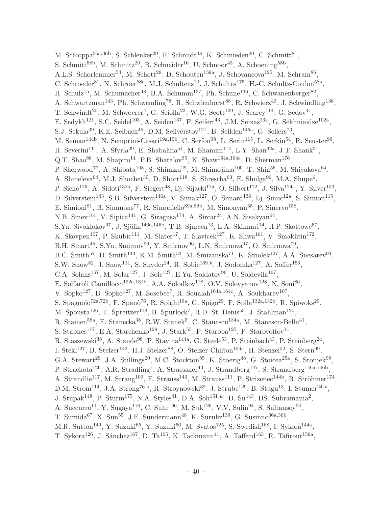M. Schioppa<sup>36a,36b</sup>, S. Schlenker<sup>29</sup>, E. Schmidt<sup>48</sup>, K. Schmieden<sup>20</sup>, C. Schmitt<sup>81</sup>, S. Schmitt<sup>58b</sup>, M. Schmitz<sup>20</sup>, B. Schneider<sup>16</sup>, U. Schnoor<sup>43</sup>, A. Schoening<sup>58b</sup>, A.L.S. Schorlemmer<sup>54</sup>, M. Schott<sup>29</sup>, D. Schouten<sup>159a</sup>, J. Schovancova<sup>125</sup>, M. Schram<sup>85</sup>, C. Schroeder<sup>81</sup>, N. Schroer<sup>58c</sup>, M.J. Schultens<sup>20</sup>, J. Schultes<sup>175</sup>, H.-C. Schultz-Coulon<sup>58a</sup>, H. Schulz<sup>15</sup>, M. Schumacher<sup>48</sup>, B.A. Schumm<sup>137</sup>, Ph. Schune<sup>136</sup>, C. Schwanenberger<sup>82</sup>, A. Schwartzman<sup>143</sup>, Ph. Schwemling<sup>78</sup>, R. Schwienhorst<sup>88</sup>, R. Schwierz<sup>43</sup>, J. Schwindling<sup>136</sup>, T. Schwindt<sup>20</sup>, M. Schwoerer<sup>4</sup>, G. Sciolla<sup>22</sup>, W.G. Scott<sup>129</sup>, J. Searcy<sup>114</sup>, G. Sedov<sup>41</sup>, E. Sedykh<sup>121</sup>, S.C. Seidel<sup>103</sup>, A. Seiden<sup>137</sup>, F. Seifert<sup>43</sup>, J.M. Seixas<sup>23a</sup>, G. Sekhniaidze<sup>102a</sup>, S.J. Sekula<sup>39</sup>, K.E. Selbach<sup>45</sup>, D.M. Seliverstov<sup>121</sup>, B. Sellden<sup>146a</sup>, G. Sellers<sup>73</sup>, M. Seman<sup>144b</sup>, N. Semprini-Cesari<sup>19a,19b</sup>, C. Serfon<sup>98</sup>, L. Serin<sup>115</sup>, L. Serkin<sup>54</sup>, R. Seuster<sup>99</sup>, H. Severini<sup>111</sup>, A. Sfyrla<sup>29</sup>, E. Shabalina<sup>54</sup>, M. Shamim<sup>114</sup>, L.Y. Shan<sup>32a</sup>, J.T. Shank<sup>21</sup>, Q.T. Shao<sup>86</sup>, M. Shapiro<sup>14</sup>, P.B. Shatalov<sup>95</sup>, K. Shaw<sup>164a, 164c</sup>, D. Sherman<sup>176</sup>, P. Sherwood<sup>77</sup>, A. Shibata<sup>108</sup>, S. Shimizu<sup>29</sup>, M. Shimojima<sup>100</sup>, T. Shin<sup>56</sup>, M. Shiyakova<sup>64</sup>, A. Shmeleva<sup>94</sup>, M.J. Shochet<sup>30</sup>, D. Short<sup>118</sup>, S. Shrestha<sup>63</sup>, E. Shulga<sup>96</sup>, M.A. Shupe<sup>6</sup>, P. Sicho<sup>125</sup>, A. Sidoti<sup>132a</sup>, F. Siegert<sup>48</sup>, Dj. Sijacki<sup>12a</sup>, O. Silbert<sup>172</sup>, J. Silva<sup>124a</sup>, Y. Silver<sup>153</sup>, D. Silverstein<sup>143</sup>, S.B. Silverstein<sup>146a</sup>, V. Simak<sup>127</sup>, O. Simard<sup>136</sup>, Lj. Simic<sup>12a</sup>, S. Simion<sup>115</sup>, E. Simioni<sup>81</sup>, B. Simmons<sup>77</sup>, R. Simoniello<sup>89a,89b</sup>, M. Simonyan<sup>35</sup>, P. Sinervo<sup>158</sup>, N.B. Sinev<sup>114</sup>, V. Sipica<sup>141</sup>, G. Siragusa<sup>174</sup>, A. Sircar<sup>24</sup>, A.N. Sisakyan<sup>64</sup>, S.Yu. Sivoklokov<sup>97</sup>, J. Sjölin<sup>146a,146b</sup>, T.B. Sjursen<sup>13</sup>, L.A. Skinnari<sup>14</sup>, H.P. Skottowe<sup>57</sup>, K. Skovpen<sup>107</sup>, P. Skubic<sup>111</sup>, M. Slater<sup>17</sup>, T. Slavicek<sup>127</sup>, K. Sliwa<sup>161</sup>, V. Smakhtin<sup>172</sup>, B.H. Smart<sup>45</sup>, S.Yu. Smirnov<sup>96</sup>, Y. Smirnov<sup>96</sup>, L.N. Smirnova<sup>97</sup>, O. Smirnova<sup>79</sup>, B.C. Smith<sup>57</sup>, D. Smith<sup>143</sup>, K.M. Smith<sup>53</sup>, M. Smizanska<sup>71</sup>, K. Smolek<sup>127</sup>, A.A. Snesarev<sup>94</sup>, S.W. Snow<sup>82</sup>, J. Snow<sup>111</sup>, S. Snyder<sup>24</sup>, R. Sobie<sup>169,k</sup>, J. Sodomka<sup>127</sup>, A. Soffer<sup>153</sup>, C.A. Solans<sup>167</sup>, M. Solar<sup>127</sup>, J. Solc<sup>127</sup>, E.Yu. Soldatov<sup>96</sup>, U. Soldevila<sup>167</sup>, E. Solfaroli Camillocci<sup>132a,132b</sup>, A.A. Solodkov<sup>128</sup>, O.V. Solovyanov<sup>128</sup>, N. Soni<sup>86</sup>, V. Sopko<sup>127</sup>, B. Sopko<sup>127</sup>, M. Sosebee<sup>7</sup>, R. Soualah<sup>164a,164c</sup>, A. Soukharev<sup>107</sup>, S. Spagnolo<sup>72a,72b</sup>, F. Spanò<sup>76</sup>, R. Spighi<sup>19a</sup>, G. Spigo<sup>29</sup>, F. Spila<sup>132a,132b</sup>, R. Spiwoks<sup>29</sup>, M. Spousta<sup>126</sup>, T. Spreitzer<sup>158</sup>, B. Spurlock<sup>7</sup>, R.D. St. Denis<sup>53</sup>, J. Stahlman<sup>120</sup>, R. Stamen<sup>58a</sup>, E. Stanecka<sup>38</sup>, R.W. Stanek<sup>5</sup>, C. Stanescu<sup>134a</sup>, M. Stanescu-Bellu<sup>41</sup>, S. Stapnes<sup>117</sup>, E.A. Starchenko<sup>128</sup>, J. Stark<sup>55</sup>, P. Staroba<sup>125</sup>, P. Starovoitov<sup>41</sup>, R. Staszewski<sup>38</sup>, A. Staude<sup>98</sup>, P. Stavina<sup>144a</sup>, G. Steele<sup>53</sup>, P. Steinbach<sup>43</sup>, P. Steinberg<sup>24</sup>, I. Stekl<sup>127</sup>, B. Stelzer<sup>142</sup>, H.J. Stelzer<sup>88</sup>, O. Stelzer-Chilton<sup>159a</sup>, H. Stenzel<sup>52</sup>, S. Stern<sup>99</sup>, G.A. Stewart<sup>29</sup>, J.A. Stillings<sup>20</sup>, M.C. Stockton<sup>85</sup>, K. Stoerig<sup>48</sup>, G. Stoicea<sup>25a</sup>, S. Stonjek<sup>99</sup>, P. Strachota<sup>126</sup>, A.R. Stradling<sup>7</sup>, A. Straessner<sup>43</sup>, J. Strandberg<sup>147</sup>, S. Strandberg<sup>146a,146b</sup>, A. Strandlie<sup>117</sup>, M. Strang<sup>109</sup>, E. Strauss<sup>143</sup>, M. Strauss<sup>111</sup>, P. Strizenec<sup>144b</sup>, R. Ströhmer<sup>174</sup>, D.M. Strom<sup>114</sup>, J.A. Strong<sup>76,\*</sup>, R. Stroynowski<sup>39</sup>, J. Strube<sup>129</sup>, B. Stugu<sup>13</sup>, I. Stumer<sup>24,\*</sup>, J. Stupak<sup>148</sup>, P. Sturm<sup>175</sup>, N.A. Styles<sup>41</sup>, D.A. Soh<sup>151,w</sup>, D. Su<sup>143</sup>, HS. Subramania<sup>2</sup>, A. Succurro<sup>11</sup>, Y. Sugaya<sup>116</sup>, C. Suhr<sup>106</sup>, M. Suk<sup>126</sup>, V.V. Sulin<sup>94</sup>, S. Sultansoy<sup>3d</sup>, T. Sumida<sup>67</sup>, X. Sun<sup>55</sup>, J.E. Sundermann<sup>48</sup>, K. Suruliz<sup>139</sup>, G. Susinno<sup>36a,36b</sup>, M.R. Sutton<sup>149</sup>, Y. Suzuki<sup>65</sup>, Y. Suzuki<sup>66</sup>, M. Svatos<sup>125</sup>, S. Swedish<sup>168</sup>, I. Sykora<sup>144a</sup>, T. Sykora<sup>126</sup>, J. Sánchez<sup>167</sup>, D. Ta<sup>105</sup>, K. Tackmann<sup>41</sup>, A. Taffard<sup>163</sup>, R. Tafirout<sup>159a</sup>,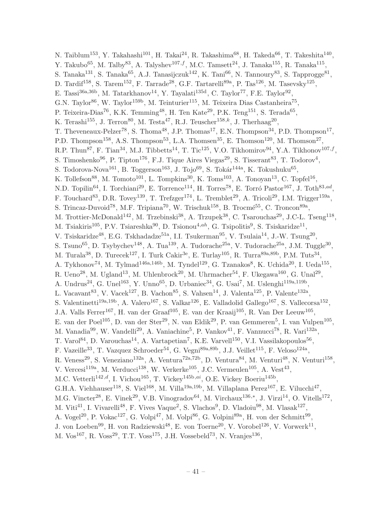N. Taiblum<sup>153</sup>, Y. Takahashi<sup>101</sup>, H. Takai<sup>24</sup>, R. Takashima<sup>68</sup>, H. Takeda<sup>66</sup>, T. Takeshita<sup>140</sup>, Y. Takubo<sup>65</sup>, M. Talby<sup>83</sup>, A. Talyshev<sup>107,f</sup>, M.C. Tamsett<sup>24</sup>, J. Tanaka<sup>155</sup>, R. Tanaka<sup>115</sup>, S. Tanaka<sup>131</sup>, S. Tanaka<sup>65</sup>, A.J. Tanasijczuk<sup>142</sup>, K. Tani<sup>66</sup>, N. Tannoury<sup>83</sup>, S. Tapprogge<sup>81</sup>, D. Tardif<sup>158</sup>, S. Tarem<sup>152</sup>, F. Tarrade<sup>28</sup>, G.F. Tartarelli<sup>89a</sup>, P. Tas<sup>126</sup>, M. Tasevsky<sup>125</sup>, E. Tassi<sup>36a,36b</sup>, M. Tatarkhanov<sup>14</sup>, Y. Tayalati<sup>135d</sup>, C. Taylor<sup>77</sup>, F.E. Taylor<sup>92</sup>, G.N. Taylor<sup>86</sup>, W. Taylor<sup>159b</sup>, M. Teinturier<sup>115</sup>, M. Teixeira Dias Castanheira<sup>75</sup>, P. Teixeira-Dias<sup>76</sup>, K.K. Temming<sup>48</sup>, H. Ten Kate<sup>29</sup>, P.K. Teng<sup>151</sup>, S. Terada<sup>65</sup>, K. Terashi<sup>155</sup>, J. Terron<sup>80</sup>, M. Testa<sup>47</sup>, R.J. Teuscher<sup>158,k</sup>, J. Therhaag<sup>20</sup>, T. Theveneaux-Pelzer<sup>78</sup>, S. Thoma<sup>48</sup>, J.P. Thomas<sup>17</sup>, E.N. Thompson<sup>34</sup>, P.D. Thompson<sup>17</sup>, P.D. Thompson<sup>158</sup>, A.S. Thompson<sup>53</sup>, L.A. Thomsen<sup>35</sup>, E. Thomson<sup>120</sup>, M. Thomson<sup>27</sup>, R.P. Thun<sup>87</sup>, F. Tian<sup>34</sup>, M.J. Tibbetts<sup>14</sup>, T. Tic<sup>125</sup>, V.O. Tikhomirov<sup>94</sup>, Y.A. Tikhonov<sup>107,f</sup>, S. Timoshenko $^{96}$ , P. Tipton<sup>176</sup>, F.J. Tique Aires Viegas<sup>29</sup>, S. Tisserant<sup>83</sup>, T. Todorov<sup>4</sup>, S. Todorova-Nova<sup>161</sup>, B. Toggerson<sup>163</sup>, J. Tojo<sup>69</sup>, S. Tokár<sup>144a</sup>, K. Tokushuku<sup>65</sup>, K. Tollefson<sup>88</sup>, M. Tomoto<sup>101</sup>, L. Tompkins<sup>30</sup>, K. Toms<sup>103</sup>, A. Tonoyan<sup>13</sup>, C. Topfel<sup>16</sup>, N.D. Topilin<sup>64</sup>, I. Torchiani<sup>29</sup>, E. Torrence<sup>114</sup>, H. Torres<sup>78</sup>, E. Torró Pastor<sup>167</sup>, J. Toth<sup>83,ad</sup>, F. Touchard<sup>83</sup>, D.R. Tovey<sup>139</sup>, T. Trefzger<sup>174</sup>, L. Tremblet<sup>29</sup>, A. Tricoli<sup>29</sup>, I.M. Trigger<sup>159a</sup>, S. Trincaz-Duvoid<sup>78</sup>, M.F. Tripiana<sup>70</sup>, W. Trischuk<sup>158</sup>, B. Trocmé<sup>55</sup>, C. Troncon<sup>89a</sup>, M. Trottier-McDonald<sup>142</sup>, M. Trzebinski<sup>38</sup>, A. Trzupek<sup>38</sup>, C. Tsarouchas<sup>29</sup>, J.C-L. Tseng<sup>118</sup>, M. Tsiakiris<sup>105</sup>, P.V. Tsiareshka<sup>90</sup>, D. Tsionou<sup>4,ah</sup>, G. Tsipolitis<sup>9</sup>, S. Tsiskaridze<sup>11</sup>, V. Tsiskaridze<sup>48</sup>, E.G. Tskhadadze<sup>51a</sup>, I.I. Tsukerman<sup>95</sup>, V. Tsulaia<sup>14</sup>, J.-W. Tsung<sup>20</sup>, S. Tsuno<sup>65</sup>, D. Tsybychev<sup>148</sup>, A. Tua<sup>139</sup>, A. Tudorache<sup>25a</sup>, V. Tudorache<sup>25a</sup>, J.M. Tuggle<sup>30</sup>, M. Turala<sup>38</sup>, D. Turecek<sup>127</sup>, I. Turk Cakir<sup>3e</sup>, E. Turlay<sup>105</sup>, R. Turra<sup>89a,89b</sup>, P.M. Tuts<sup>34</sup>, A. Tykhonov<sup>74</sup>, M. Tylmad<sup>146a,146b</sup>, M. Tyndel<sup>129</sup>, G. Tzanakos<sup>8</sup>, K. Uchida<sup>20</sup>, I. Ueda<sup>155</sup>, R. Ueno<sup>28</sup>, M. Ugland<sup>13</sup>, M. Uhlenbrock<sup>20</sup>, M. Uhrmacher<sup>54</sup>, F. Ukegawa<sup>160</sup>, G. Unal<sup>29</sup>, A. Undrus<sup>24</sup>, G. Unel<sup>163</sup>, Y. Unno<sup>65</sup>, D. Urbaniec<sup>34</sup>, G. Usai<sup>7</sup>, M. Uslenghi<sup>119a,119b</sup>, L. Vacavant<sup>83</sup>, V. Vacek<sup>127</sup>, B. Vachon<sup>85</sup>, S. Vahsen<sup>14</sup>, J. Valenta<sup>125</sup>, P. Valente<sup>132a</sup>, S. Valentinetti<sup>19a,19b</sup>, A. Valero<sup>167</sup>, S. Valkar<sup>126</sup>, E. Valladolid Gallego<sup>167</sup>, S. Vallecorsa<sup>152</sup>, J.A. Valls Ferrer<sup>167</sup>, H. van der Graaf<sup>105</sup>, E. van der Kraaij<sup>105</sup>, R. Van Der Leeuw<sup>105</sup>, E. van der Poel<sup>105</sup>, D. van der Ster<sup>29</sup>, N. van Eldik<sup>29</sup>, P. van Gemmeren<sup>5</sup>, I. van Vulpen<sup>105</sup>, M. Vanadia<sup>99</sup>, W. Vandelli<sup>29</sup>, A. Vaniachine<sup>5</sup>, P. Vankov<sup>41</sup>, F. Vannucci<sup>78</sup>, R. Vari<sup>132a</sup>, T. Varol<sup>84</sup>, D. Varouchas<sup>14</sup>, A. Vartapetian<sup>7</sup>, K.E. Varvell<sup>150</sup>, V.I. Vassilakopoulos<sup>56</sup>, F. Vazeille<sup>33</sup>, T. Vazquez Schroeder<sup>54</sup>, G. Vegni<sup>89a,89b</sup>, J.J. Veillet<sup>115</sup>, F. Veloso<sup>124a</sup>, R. Veness<sup>29</sup>, S. Veneziano<sup>132a</sup>, A. Ventura<sup>72a,72b</sup>, D. Ventura<sup>84</sup>, M. Venturi<sup>48</sup>, N. Venturi<sup>158</sup>, V. Vercesi<sup>119a</sup>, M. Verducci<sup>138</sup>, W. Verkerke<sup>105</sup>, J.C. Vermeulen<sup>105</sup>, A. Vest<sup>43</sup>, M.C. Vetterli<sup>142,d</sup>, I. Vichou<sup>165</sup>, T. Vickey<sup>145b,ai</sup>, O.E. Vickey Boeriu<sup>145b</sup>, G.H.A. Viehhauser<sup>118</sup>, S. Viel<sup>168</sup>, M. Villa<sup>19a,19b</sup>, M. Villaplana Perez<sup>167</sup>, E. Vilucchi<sup>47</sup>, M.G. Vincter<sup>28</sup>, E. Vinek<sup>29</sup>, V.B. Vinogradov<sup>64</sup>, M. Virchaux<sup>136,\*</sup>, J. Virzi<sup>14</sup>, O. Vitells<sup>172</sup>, M. Viti<sup>41</sup>, I. Vivarelli<sup>48</sup>, F. Vives Vaque<sup>2</sup>, S. Vlachos<sup>9</sup>, D. Vladoiu<sup>98</sup>, M. Vlasak<sup>127</sup>, A. Vogel<sup>20</sup>, P. Vokac<sup>127</sup>, G. Volpi<sup>47</sup>, M. Volpi<sup>86</sup>, G. Volpini<sup>89a</sup>, H. von der Schmitt<sup>99</sup>, J. von Loeben<sup>99</sup>, H. von Radziewski<sup>48</sup>, E. von Toerne<sup>20</sup>, V. Vorobel<sup>126</sup>, V. Vorwerk<sup>11</sup>, M. Vos<sup>167</sup>, R. Voss<sup>29</sup>, T.T. Voss<sup>175</sup>, J.H. Vossebeld<sup>73</sup>, N. Vranjes<sup>136</sup>,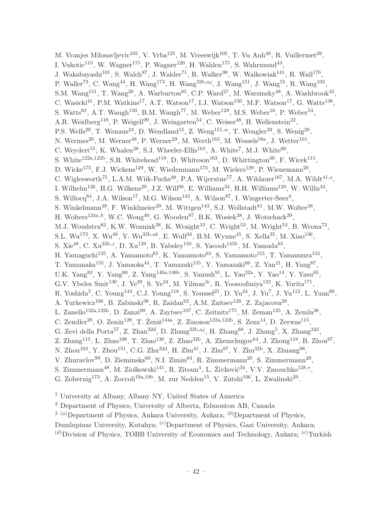M. Vranjes Milosavljevic<sup>105</sup>, V. Vrba<sup>125</sup>, M. Vreeswijk<sup>105</sup>, T. Vu Anh<sup>48</sup>, R. Vuillermet<sup>29</sup>, I. Vukotic<sup>115</sup>, W. Wagner<sup>175</sup>, P. Wagner<sup>120</sup>, H. Wahlen<sup>175</sup>, S. Wahrmund<sup>43</sup>, J. Wakabayashi<sup>101</sup>, S. Walch<sup>87</sup>, J. Walder<sup>71</sup>, R. Walker<sup>98</sup>, W. Walkowiak<sup>141</sup>, R. Wall<sup>176</sup>, P. Waller<sup>73</sup>, C. Wang<sup>44</sup>, H. Wang<sup>173</sup>, H. Wang<sup>32b,aj</sup>, J. Wang<sup>151</sup>, J. Wang<sup>55</sup>, R. Wang<sup>103</sup>, S.M. Wang<sup>151</sup>, T. Wang<sup>20</sup>, A. Warburton<sup>85</sup>, C.P. Ward<sup>27</sup>, M. Warsinsky<sup>48</sup>, A. Washbrook<sup>45</sup>, C. Wasicki<sup>41</sup>, P.M. Watkins<sup>17</sup>, A.T. Watson<sup>17</sup>, I.J. Watson<sup>150</sup>, M.F. Watson<sup>17</sup>, G. Watts<sup>138</sup>, S. Watts<sup>82</sup>, A.T. Waugh<sup>150</sup>, B.M. Waugh<sup>77</sup>, M. Weber<sup>129</sup>, M.S. Weber<sup>16</sup>, P. Weber<sup>54</sup>, A.R. Weidberg<sup>118</sup>, P. Weigell<sup>99</sup>, J. Weingarten<sup>54</sup>, C. Weiser<sup>48</sup>, H. Wellenstein<sup>22</sup>, P.S. Wells<sup>29</sup>, T. Wenaus<sup>24</sup>, D. Wendland<sup>15</sup>, Z. Weng<sup>151,*w*</sup>, T. Wengler<sup>29</sup>, S. Wenig<sup>29</sup>, N. Wermes<sup>20</sup>, M. Werner<sup>48</sup>, P. Werner<sup>29</sup>, M. Werth<sup>163</sup>, M. Wessels<sup>58a</sup>, J. Wetter<sup>161</sup>, C. Weydert<sup>55</sup>, K. Whalen<sup>28</sup>, S.J. Wheeler-Ellis<sup>163</sup>, A. White<sup>7</sup>, M.J. White<sup>86</sup>, S. White<sup>122a,122b</sup>, S.R. Whitehead<sup>118</sup>, D. Whiteson<sup>163</sup>, D. Whittington<sup>60</sup>, F. Wicek<sup>115</sup>, D. Wicke<sup>175</sup>, F.J. Wickens<sup>129</sup>, W. Wiedenmann<sup>173</sup>, M. Wielers<sup>129</sup>, P. Wienemann<sup>20</sup>, C. Wiglesworth<sup>75</sup>, L.A.M. Wiik-Fuchs<sup>48</sup>, P.A. Wijeratne<sup>77</sup>, A. Wildauer<sup>167</sup>, M.A. Wildt<sup>41,s</sup>, I. Wilhelm<sup>126</sup>, H.G. Wilkens<sup>29</sup>, J.Z. Will<sup>98</sup>, E. Williams<sup>34</sup>, H.H. Williams<sup>120</sup>, W. Willis<sup>34</sup>, S. Willocq<sup>84</sup>, J.A. Wilson<sup>17</sup>, M.G. Wilson<sup>143</sup>, A. Wilson<sup>87</sup>, I. Wingerter-Seez<sup>4</sup>, S. Winkelmann<sup>48</sup>, F. Winklmeier<sup>29</sup>, M. Wittgen<sup>143</sup>, S.J. Wollstadt<sup>81</sup>, M.W. Wolter<sup>38</sup>, H. Wolters<sup>124a,h</sup>, W.C. Wong<sup>40</sup>, G. Wooden<sup>87</sup>, B.K. Wosiek<sup>38</sup>, J. Wotschack<sup>29</sup>, M.J. Woudstra $^{82}$ , K.W. Wozniak $^{38}$ , K. Wraight $^{53}$ , C. Wright $^{53}$ , M. Wright $^{53}$ , B. Wrona $^{73}$ , S.L. Wu<sup>173</sup>, X. Wu<sup>49</sup>, Y. Wu<sup>32b,ak</sup>, E. Wulf<sup>34</sup>, B.M. Wynne<sup>45</sup>, S. Xella<sup>35</sup>, M. Xiao<sup>136</sup>, S. Xie<sup>48</sup>, C. Xu<sup>32b, z</sup>, D. Xu<sup>139</sup>, B. Yabsley<sup>150</sup>, S. Yacoob<sup>145b</sup>, M. Yamada<sup>65</sup>, H. Yamaguchi<sup>155</sup>, A. Yamamoto<sup>65</sup>, K. Yamamoto<sup>63</sup>, S. Yamamoto<sup>155</sup>, T. Yamamura<sup>155</sup>, T. Yamanaka<sup>155</sup>, J. Yamaoka<sup>44</sup>, T. Yamazaki<sup>155</sup>, Y. Yamazaki<sup>66</sup>, Z. Yan<sup>21</sup>, H. Yang<sup>87</sup>, U.K. Yang<sup>82</sup>, Y. Yang<sup>60</sup>, Z. Yang<sup>146a,146b</sup>, S. Yanush<sup>91</sup>, L. Yao<sup>32a</sup>, Y. Yao<sup>14</sup>, Y. Yasu<sup>65</sup>, G.V. Ybeles Smit<sup>130</sup>, J. Ye<sup>39</sup>, S. Ye<sup>24</sup>, M. Yilmaz<sup>3c</sup>, R. Yoosoofmiya<sup>123</sup>, K. Yorita<sup>171</sup>, R. Yoshida<sup>5</sup>, C. Young<sup>143</sup>, C.J. Young<sup>118</sup>, S. Youssef<sup>21</sup>, D. Yu<sup>24</sup>, J. Yu<sup>7</sup>, J. Yu<sup>112</sup>, L. Yuan<sup>66</sup>, A. Yurkewicz<sup>106</sup>, B. Zabinski<sup>38</sup>, R. Zaidan<sup>62</sup>, A.M. Zaitsev<sup>128</sup>, Z. Zajacova<sup>29</sup>, L. Zanello<sup>132a,132b</sup>, D. Zanzi<sup>99</sup>, A. Zaytsev<sup>107</sup>, C. Zeitnitz<sup>175</sup>, M. Zeman<sup>125</sup>, A. Zemla<sup>38</sup>, C. Zendler<sup>20</sup>, O. Zenin<sup>128</sup>, T. Ženiš<sup>144a</sup>, Z. Zinonos<sup>122a,122b</sup>, S. Zenz<sup>14</sup>, D. Zerwas<sup>115</sup>, G. Zevi della Porta<sup>57</sup>, Z. Zhan<sup>32d</sup>, D. Zhang<sup>32b,aj</sup>, H. Zhang<sup>88</sup>, J. Zhang<sup>5</sup>, X. Zhang<sup>32d</sup>, Z. Zhang<sup>115</sup>, L. Zhao<sup>108</sup>, T. Zhao<sup>138</sup>, Z. Zhao<sup>32b</sup>, A. Zhemchugov<sup>64</sup>, J. Zhong<sup>118</sup>, B. Zhou<sup>87</sup>, N. Zhou<sup>163</sup>, Y. Zhou<sup>151</sup>, C.G. Zhu<sup>32d</sup>, H. Zhu<sup>41</sup>, J. Zhu<sup>87</sup>, Y. Zhu<sup>32b</sup>, X. Zhuang<sup>98</sup>, V. Zhuravlov<sup>99</sup>, D. Zieminska<sup>60</sup>, N.I. Zimin<sup>64</sup>, R. Zimmermann<sup>20</sup>, S. Zimmermann<sup>20</sup>, S. Zimmermann<sup>48</sup>, M. Ziolkowski<sup>141</sup>, R. Zitoun<sup>4</sup>, L. Živković<sup>34</sup>, V.V. Zmouchko<sup>128,\*</sup>, G. Zobernig<sup>173</sup>, A. Zoccoli<sup>19a,19b</sup>, M. zur Nedden<sup>15</sup>, V. Zutshi<sup>106</sup>, L. Zwalinski<sup>29</sup>.

<sup>1</sup> University at Albany, Albany NY, United States of America

<sup>2</sup> Department of Physics, University of Alberta, Edmonton AB, Canada

 $3^{(a)}$ Department of Physics, Ankara University, Ankara;  $^{(b)}$ Department of Physics,

Dumlupinar University, Kutahya;  $^{(c)}$ Department of Physics, Gazi University, Ankara;

 $(d)$ Division of Physics, TOBB University of Economics and Technology, Ankara;  $(e)$ Turkish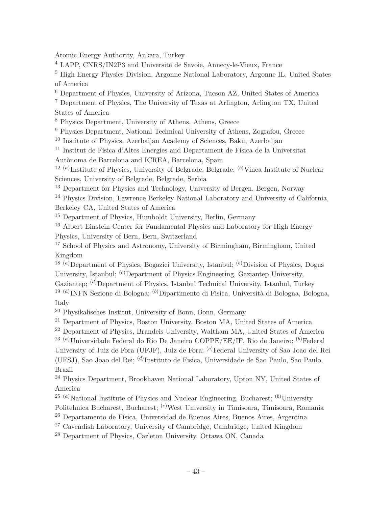Atomic Energy Authority, Ankara, Turkey

<sup>4</sup> LAPP, CNRS/IN2P3 and Université de Savoie, Annecy-le-Vieux, France

<sup>5</sup> High Energy Physics Division, Argonne National Laboratory, Argonne IL, United States of America

<sup>6</sup> Department of Physics, University of Arizona, Tucson AZ, United States of America

<sup>7</sup> Department of Physics, The University of Texas at Arlington, Arlington TX, United States of America

<sup>8</sup> Physics Department, University of Athens, Athens, Greece

<sup>9</sup> Physics Department, National Technical University of Athens, Zografou, Greece

<sup>10</sup> Institute of Physics, Azerbaijan Academy of Sciences, Baku, Azerbaijan

 $11$  Institut de Física d'Altes Energies and Departament de Física de la Universitat

Autònoma de Barcelona and ICREA, Barcelona, Spain

<sup>12 (a)</sup>Institute of Physics, University of Belgrade, Belgrade; <sup>(b)</sup>Vinca Institute of Nuclear Sciences, University of Belgrade, Belgrade, Serbia

<sup>13</sup> Department for Physics and Technology, University of Bergen, Bergen, Norway

<sup>14</sup> Physics Division, Lawrence Berkeley National Laboratory and University of California, Berkeley CA, United States of America

<sup>15</sup> Department of Physics, Humboldt University, Berlin, Germany

<sup>16</sup> Albert Einstein Center for Fundamental Physics and Laboratory for High Energy Physics, University of Bern, Bern, Switzerland

<sup>17</sup> School of Physics and Astronomy, University of Birmingham, Birmingham, United Kingdom

<sup>18 (a)</sup>Department of Physics, Bogazici University, Istanbul; <sup>(b)</sup>Division of Physics, Dogus University, Istanbul; <sup>(c)</sup>Department of Physics Engineering, Gaziantep University,

Gaziantep; (d)Department of Physics, Istanbul Technical University, Istanbul, Turkey

<sup>19 (a)</sup> INFN Sezione di Bologna; <sup>(b)</sup> Dipartimento di Fisica, Università di Bologna, Bologna, Italy

<sup>20</sup> Physikalisches Institut, University of Bonn, Bonn, Germany

<sup>21</sup> Department of Physics, Boston University, Boston MA, United States of America

<sup>22</sup> Department of Physics, Brandeis University, Waltham MA, United States of America

<sup>23 (a)</sup>Universidade Federal do Rio De Janeiro COPPE/EE/IF, Rio de Janeiro; <sup>(b)</sup>Federal University of Juiz de Fora (UFJF), Juiz de Fora; (c)Federal University of Sao Joao del Rei (UFSJ), Sao Joao del Rei; <sup>(d)</sup>Instituto de Fisica, Universidade de Sao Paulo, Sao Paulo, Brazil

<sup>24</sup> Physics Department, Brookhaven National Laboratory, Upton NY, United States of America

<sup>25 (a)</sup>National Institute of Physics and Nuclear Engineering, Bucharest;  $(b)$ University

Politehnica Bucharest, Bucharest; <sup>(c)</sup>West University in Timisoara, Timisoara, Romania

<sup>26</sup> Departamento de Física, Universidad de Buenos Aires, Buenos Aires, Argentina

<sup>27</sup> Cavendish Laboratory, University of Cambridge, Cambridge, United Kingdom

<sup>28</sup> Department of Physics, Carleton University, Ottawa ON, Canada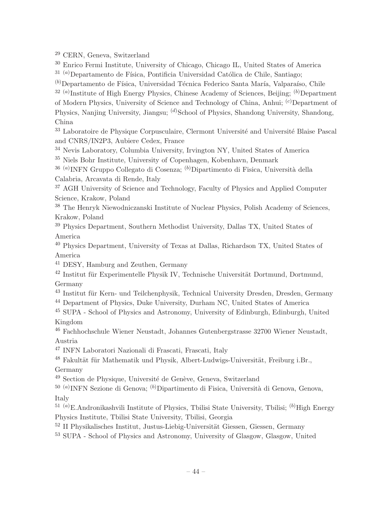<sup>29</sup> CERN, Geneva, Switzerland

<sup>30</sup> Enrico Fermi Institute, University of Chicago, Chicago IL, United States of America

 $31$ <sup>(a)</sup>Departamento de Física, Pontificia Universidad Católica de Chile, Santiago;

 $^{(b)}$ Departamento de Física, Universidad Técnica Federico Santa María, Valparaíso, Chile

 $32(a)$ Institute of High Energy Physics, Chinese Academy of Sciences, Beijing;  $(b)$ Department

of Modern Physics, University of Science and Technology of China, Anhui; <sup>(c)</sup>Department of Physics, Nanjing University, Jiangsu;  $\frac{d}{s}$ School of Physics, Shandong University, Shandong, China

<sup>33</sup> Laboratoire de Physique Corpusculaire, Clermont Université and Université Blaise Pascal and CNRS/IN2P3, Aubiere Cedex, France

<sup>34</sup> Nevis Laboratory, Columbia University, Irvington NY, United States of America

<sup>35</sup> Niels Bohr Institute, University of Copenhagen, Kobenhavn, Denmark

<sup>36 (a)</sup>INFN Gruppo Collegato di Cosenza; <sup>(b)</sup>Dipartimento di Fisica, Università della Calabria, Arcavata di Rende, Italy

<sup>37</sup> AGH University of Science and Technology, Faculty of Physics and Applied Computer Science, Krakow, Poland

<sup>38</sup> The Henryk Niewodniczanski Institute of Nuclear Physics, Polish Academy of Sciences, Krakow, Poland

<sup>39</sup> Physics Department, Southern Methodist University, Dallas TX, United States of America

<sup>40</sup> Physics Department, University of Texas at Dallas, Richardson TX, United States of America

<sup>41</sup> DESY, Hamburg and Zeuthen, Germany

 $42$  Institut für Experimentelle Physik IV, Technische Universität Dortmund, Dortmund, Germany

<sup>43</sup> Institut für Kern- und Teilchenphysik, Technical University Dresden, Dresden, Germany

<sup>44</sup> Department of Physics, Duke University, Durham NC, United States of America

<sup>45</sup> SUPA - School of Physics and Astronomy, University of Edinburgh, Edinburgh, United Kingdom

<sup>46</sup> Fachhochschule Wiener Neustadt, Johannes Gutenbergstrasse 32700 Wiener Neustadt, Austria

<sup>47</sup> INFN Laboratori Nazionali di Frascati, Frascati, Italy

<sup>48</sup> Fakultät für Mathematik und Physik, Albert-Ludwigs-Universität, Freiburg i.Br., Germany

 $49$  Section de Physique, Université de Genève, Geneva, Switzerland

<sup>50 (a)</sup>INFN Sezione di Genova; <sup>(b)</sup>Dipartimento di Fisica, Università di Genova, Genova, Italy

<sup>51 (a)</sup>E.Andronikashvili Institute of Physics, Tbilisi State University, Tbilisi; <sup>(b)</sup>High Energy Physics Institute, Tbilisi State University, Tbilisi, Georgia

 $52$  II Physikalisches Institut, Justus-Liebig-Universität Giessen, Giessen, Germany

<sup>53</sup> SUPA - School of Physics and Astronomy, University of Glasgow, Glasgow, United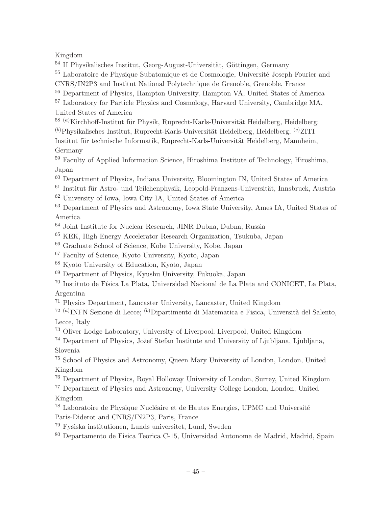### Kingdom

 $54$  II Physikalisches Institut, Georg-August-Universität, Göttingen, Germany

<sup>55</sup> Laboratoire de Physique Subatomique et de Cosmologie, Université Joseph Fourier and

CNRS/IN2P3 and Institut National Polytechnique de Grenoble, Grenoble, France

<sup>56</sup> Department of Physics, Hampton University, Hampton VA, United States of America

<sup>57</sup> Laboratory for Particle Physics and Cosmology, Harvard University, Cambridge MA, United States of America

 $^{58}$  (a) Kirchhoff-Institut für Physik, Ruprecht-Karls-Universität Heidelberg, Heidelberg;

 $(b)$ Physikalisches Institut, Ruprecht-Karls-Universität Heidelberg, Heidelberg;  $(c)$ ZITI Institut für technische Informatik, Ruprecht-Karls-Universität Heidelberg, Mannheim,

Germany

<sup>59</sup> Faculty of Applied Information Science, Hiroshima Institute of Technology, Hiroshima, Japan

<sup>60</sup> Department of Physics, Indiana University, Bloomington IN, United States of America

- $61$  Institut für Astro- und Teilchenphysik, Leopold-Franzens-Universität, Innsbruck, Austria
- <sup>62</sup> University of Iowa, Iowa City IA, United States of America

<sup>63</sup> Department of Physics and Astronomy, Iowa State University, Ames IA, United States of America

<sup>64</sup> Joint Institute for Nuclear Research, JINR Dubna, Dubna, Russia

<sup>65</sup> KEK, High Energy Accelerator Research Organization, Tsukuba, Japan

<sup>66</sup> Graduate School of Science, Kobe University, Kobe, Japan

<sup>67</sup> Faculty of Science, Kyoto University, Kyoto, Japan

<sup>68</sup> Kyoto University of Education, Kyoto, Japan

<sup>69</sup> Department of Physics, Kyushu University, Fukuoka, Japan

<sup>70</sup> Instituto de Física La Plata, Universidad Nacional de La Plata and CONICET, La Plata, Argentina

<sup>71</sup> Physics Department, Lancaster University, Lancaster, United Kingdom

<sup>72 (a)</sup>INFN Sezione di Lecce; <sup>(b)</sup>Dipartimento di Matematica e Fisica, Università del Salento, Lecce, Italy

<sup>73</sup> Oliver Lodge Laboratory, University of Liverpool, Liverpool, United Kingdom

<sup>74</sup> Department of Physics, Jožef Stefan Institute and University of Ljubljana, Ljubljana, Slovenia

<sup>75</sup> School of Physics and Astronomy, Queen Mary University of London, London, United Kingdom

<sup>76</sup> Department of Physics, Royal Holloway University of London, Surrey, United Kingdom

<sup>77</sup> Department of Physics and Astronomy, University College London, London, United Kingdom

 $78$  Laboratoire de Physique Nucléaire et de Hautes Energies, UPMC and Université Paris-Diderot and CNRS/IN2P3, Paris, France

<sup>79</sup> Fysiska institutionen, Lunds universitet, Lund, Sweden

<sup>80</sup> Departamento de Fisica Teorica C-15, Universidad Autonoma de Madrid, Madrid, Spain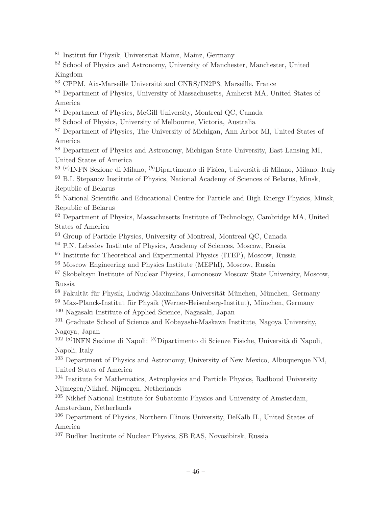$81$  Institut für Physik, Universität Mainz, Mainz, Germany

<sup>82</sup> School of Physics and Astronomy, University of Manchester, Manchester, United Kingdom

<sup>83</sup> CPPM, Aix-Marseille Université and CNRS/IN2P3, Marseille, France

<sup>84</sup> Department of Physics, University of Massachusetts, Amherst MA, United States of America

<sup>85</sup> Department of Physics, McGill University, Montreal QC, Canada

<sup>86</sup> School of Physics, University of Melbourne, Victoria, Australia

<sup>87</sup> Department of Physics, The University of Michigan, Ann Arbor MI, United States of America

<sup>88</sup> Department of Physics and Astronomy, Michigan State University, East Lansing MI, United States of America

<sup>89 (a)</sup>INFN Sezione di Milano; <sup>(b)</sup>Dipartimento di Fisica, Università di Milano, Milano, Italy

<sup>90</sup> B.I. Stepanov Institute of Physics, National Academy of Sciences of Belarus, Minsk, Republic of Belarus

<sup>91</sup> National Scientific and Educational Centre for Particle and High Energy Physics, Minsk, Republic of Belarus

<sup>92</sup> Department of Physics, Massachusetts Institute of Technology, Cambridge MA, United States of America

<sup>93</sup> Group of Particle Physics, University of Montreal, Montreal QC, Canada

<sup>94</sup> P.N. Lebedev Institute of Physics, Academy of Sciences, Moscow, Russia

<sup>95</sup> Institute for Theoretical and Experimental Physics (ITEP), Moscow, Russia

<sup>96</sup> Moscow Engineering and Physics Institute (MEPhI), Moscow, Russia

<sup>97</sup> Skobeltsyn Institute of Nuclear Physics, Lomonosov Moscow State University, Moscow, Russia

<sup>98</sup> Fakultät für Physik, Ludwig-Maximilians-Universität München, München, Germany

 $99$  Max-Planck-Institut für Physik (Werner-Heisenberg-Institut), München, Germany

<sup>100</sup> Nagasaki Institute of Applied Science, Nagasaki, Japan

<sup>101</sup> Graduate School of Science and Kobayashi-Maskawa Institute, Nagoya University, Nagoya, Japan

<sup>102 (a)</sup>INFN Sezione di Napoli; <sup>(b)</sup>Dipartimento di Scienze Fisiche, Università di Napoli, Napoli, Italy

<sup>103</sup> Department of Physics and Astronomy, University of New Mexico, Albuquerque NM, United States of America

<sup>104</sup> Institute for Mathematics, Astrophysics and Particle Physics, Radboud University Nijmegen/Nikhef, Nijmegen, Netherlands

<sup>105</sup> Nikhef National Institute for Subatomic Physics and University of Amsterdam, Amsterdam, Netherlands

<sup>106</sup> Department of Physics, Northern Illinois University, DeKalb IL, United States of America

<sup>107</sup> Budker Institute of Nuclear Physics, SB RAS, Novosibirsk, Russia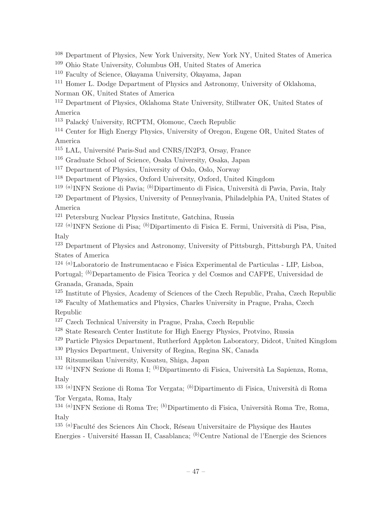<sup>108</sup> Department of Physics, New York University, New York NY, United States of America

<sup>109</sup> Ohio State University, Columbus OH, United States of America

<sup>110</sup> Faculty of Science, Okayama University, Okayama, Japan

<sup>111</sup> Homer L. Dodge Department of Physics and Astronomy, University of Oklahoma,

Norman OK, United States of America

<sup>112</sup> Department of Physics, Oklahoma State University, Stillwater OK, United States of America

<sup>113</sup> Palacký University, RCPTM, Olomouc, Czech Republic

<sup>114</sup> Center for High Energy Physics, University of Oregon, Eugene OR, United States of America

<sup>115</sup> LAL, Université Paris-Sud and CNRS/IN2P3, Orsay, France

<sup>116</sup> Graduate School of Science, Osaka University, Osaka, Japan

<sup>117</sup> Department of Physics, University of Oslo, Oslo, Norway

<sup>118</sup> Department of Physics, Oxford University, Oxford, United Kingdom

<sup>119 (a)</sup>INFN Sezione di Pavia; <sup>(b)</sup>Dipartimento di Fisica, Università di Pavia, Pavia, Italy

<sup>120</sup> Department of Physics, University of Pennsylvania, Philadelphia PA, United States of America

<sup>121</sup> Petersburg Nuclear Physics Institute, Gatchina, Russia

<sup>122 (a)</sup>INFN Sezione di Pisa; <sup>(b)</sup>Dipartimento di Fisica E. Fermi, Università di Pisa, Pisa,

Italy

<sup>123</sup> Department of Physics and Astronomy, University of Pittsburgh, Pittsburgh PA, United States of America

124 (a)Laboratorio de Instrumentacao e Fisica Experimental de Particulas - LIP, Lisboa, Portugal; <sup>(b)</sup>Departamento de Fisica Teorica y del Cosmos and CAFPE, Universidad de Granada, Granada, Spain

<sup>125</sup> Institute of Physics, Academy of Sciences of the Czech Republic, Praha, Czech Republic <sup>126</sup> Faculty of Mathematics and Physics, Charles University in Prague, Praha, Czech

Republic

 $127$  Czech Technical University in Prague, Praha, Czech Republic

<sup>128</sup> State Research Center Institute for High Energy Physics, Protvino, Russia

<sup>129</sup> Particle Physics Department, Rutherford Appleton Laboratory, Didcot, United Kingdom

<sup>130</sup> Physics Department, University of Regina, Regina SK, Canada

<sup>131</sup> Ritsumeikan University, Kusatsu, Shiga, Japan

<sup>132 (a)</sup>INFN Sezione di Roma I; <sup>(b)</sup>Dipartimento di Fisica, Università La Sapienza, Roma, Italy

<sup>133 (a)</sup>INFN Sezione di Roma Tor Vergata; <sup>(b)</sup>Dipartimento di Fisica, Università di Roma Tor Vergata, Roma, Italy

<sup>134 (a)</sup>INFN Sezione di Roma Tre; <sup>(b)</sup>Dipartimento di Fisica, Università Roma Tre, Roma, Italy

<sup>135 (a)</sup>Faculté des Sciences Ain Chock, Réseau Universitaire de Physique des Hautes Energies - Université Hassan II, Casablanca; <sup>(b)</sup>Centre National de l'Energie des Sciences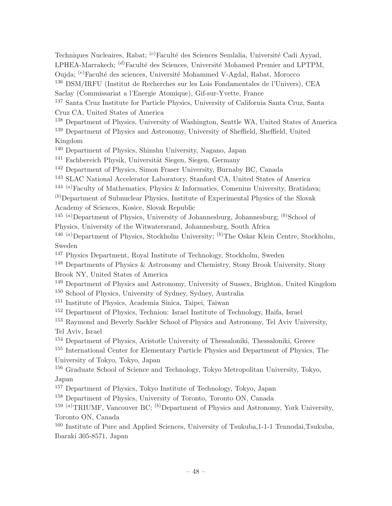Techniques Nucleaires, Rabat; <sup>(c)</sup>Faculté des Sciences Semlalia, Université Cadi Ayyad, LPHEA-Marrakech;  $^{(d)}$ Faculté des Sciences, Université Mohamed Premier and LPTPM, Oujda; <sup>(e)</sup>Faculté des sciences, Université Mohammed V-Agdal, Rabat, Morocco

<sup>136</sup> DSM/IRFU (Institut de Recherches sur les Lois Fondamentales de l'Univers), CEA Saclay (Commissariat a l'Energie Atomique), Gif-sur-Yvette, France

<sup>137</sup> Santa Cruz Institute for Particle Physics, University of California Santa Cruz, Santa Cruz CA, United States of America

<sup>138</sup> Department of Physics, University of Washington, Seattle WA, United States of America

<sup>139</sup> Department of Physics and Astronomy, University of Sheffield, Sheffield, United Kingdom

<sup>140</sup> Department of Physics, Shinshu University, Nagano, Japan

 $141$  Fachbereich Physik, Universität Siegen, Siegen, Germany

<sup>142</sup> Department of Physics, Simon Fraser University, Burnaby BC, Canada

<sup>143</sup> SLAC National Accelerator Laboratory, Stanford CA, United States of America

<sup>144 (a)</sup>Faculty of Mathematics, Physics & Informatics, Comenius University, Bratislava;

 $(b)$ Department of Subnuclear Physics, Institute of Experimental Physics of the Slovak Academy of Sciences, Kosice, Slovak Republic

<sup>145 (a)</sup>Department of Physics, University of Johannesburg, Johannesburg; <sup>(b)</sup>School of Physics, University of the Witwatersrand, Johannesburg, South Africa

<sup>146 (a)</sup>Department of Physics, Stockholm University; <sup>(b)</sup>The Oskar Klein Centre, Stockholm, Sweden

<sup>147</sup> Physics Department, Royal Institute of Technology, Stockholm, Sweden

<sup>148</sup> Departments of Physics & Astronomy and Chemistry, Stony Brook University, Stony Brook NY, United States of America

<sup>149</sup> Department of Physics and Astronomy, University of Sussex, Brighton, United Kingdom

<sup>150</sup> School of Physics, University of Sydney, Sydney, Australia

<sup>151</sup> Institute of Physics, Academia Sinica, Taipei, Taiwan

<sup>152</sup> Department of Physics, Technion: Israel Institute of Technology, Haifa, Israel

<sup>153</sup> Raymond and Beverly Sackler School of Physics and Astronomy, Tel Aviv University, Tel Aviv, Israel

<sup>154</sup> Department of Physics, Aristotle University of Thessaloniki, Thessaloniki, Greece

<sup>155</sup> International Center for Elementary Particle Physics and Department of Physics, The University of Tokyo, Tokyo, Japan

<sup>156</sup> Graduate School of Science and Technology, Tokyo Metropolitan University, Tokyo, Japan

<sup>157</sup> Department of Physics, Tokyo Institute of Technology, Tokyo, Japan

<sup>158</sup> Department of Physics, University of Toronto, Toronto ON, Canada

<sup>159 (a)</sup>TRIUMF, Vancouver BC; <sup>(b)</sup>Department of Physics and Astronomy, York University, Toronto ON, Canada

<sup>160</sup> Institute of Pure and Applied Sciences, University of Tsukuba,1-1-1 Tennodai,Tsukuba, Ibaraki 305-8571, Japan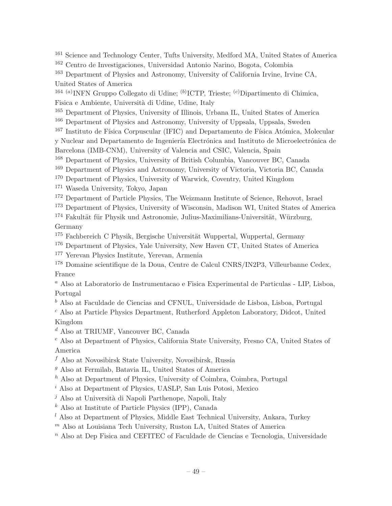<sup>161</sup> Science and Technology Center, Tufts University, Medford MA, United States of America <sup>162</sup> Centro de Investigaciones, Universidad Antonio Narino, Bogota, Colombia

<sup>163</sup> Department of Physics and Astronomy, University of California Irvine, Irvine CA, United States of America

<sup>164 (a)</sup>INFN Gruppo Collegato di Udine; <sup>(b)</sup>ICTP, Trieste; <sup>(c)</sup>Dipartimento di Chimica, Fisica e Ambiente, Università di Udine, Udine, Italy

<sup>165</sup> Department of Physics, University of Illinois, Urbana IL, United States of America

<sup>166</sup> Department of Physics and Astronomy, University of Uppsala, Uppsala, Sweden

 $167$  Instituto de Física Corpuscular (IFIC) and Departamento de Física Atómica, Molecular

y Nuclear and Departamento de Ingeniería Electrónica and Instituto de Microelectrónica de Barcelona (IMB-CNM), University of Valencia and CSIC, Valencia, Spain

<sup>168</sup> Department of Physics, University of British Columbia, Vancouver BC, Canada

<sup>169</sup> Department of Physics and Astronomy, University of Victoria, Victoria BC, Canada

<sup>170</sup> Department of Physics, University of Warwick, Coventry, United Kingdom

<sup>171</sup> Waseda University, Tokyo, Japan

<sup>172</sup> Department of Particle Physics, The Weizmann Institute of Science, Rehovot, Israel

<sup>173</sup> Department of Physics, University of Wisconsin, Madison WI, United States of America

 $174$  Fakultät für Physik und Astronomie, Julius-Maximilians-Universität, Würzburg, Germany

 $175$  Fachbereich C Physik, Bergische Universität Wuppertal, Wuppertal, Germany

<sup>176</sup> Department of Physics, Yale University, New Haven CT, United States of America

<sup>177</sup> Yerevan Physics Institute, Yerevan, Armenia

<sup>178</sup> Domaine scientifique de la Doua, Centre de Calcul CNRS/IN2P3, Villeurbanne Cedex, France

<sup>a</sup> Also at Laboratorio de Instrumentacao e Fisica Experimental de Particulas - LIP, Lisboa, Portugal

 $<sup>b</sup>$  Also at Faculdade de Ciencias and CFNUL, Universidade de Lisboa, Lisboa, Portugal</sup>

<sup>c</sup> Also at Particle Physics Department, Rutherford Appleton Laboratory, Didcot, United Kingdom

<sup>d</sup> Also at TRIUMF, Vancouver BC, Canada

<sup>e</sup> Also at Department of Physics, California State University, Fresno CA, United States of America

 $f$  Also at Novosibirsk State University, Novosibirsk, Russia

 $g$  Also at Fermilab, Batavia IL, United States of America

 $h$  Also at Department of Physics, University of Coimbra, Coimbra, Portugal

<sup>i</sup> Also at Department of Physics, UASLP, San Luis Potosi, Mexico

 $j$  Also at Università di Napoli Parthenope, Napoli, Italy

 $k$  Also at Institute of Particle Physics (IPP), Canada

 $l$  Also at Department of Physics, Middle East Technical University, Ankara, Turkey

 $<sup>m</sup>$  Also at Louisiana Tech University, Ruston LA, United States of America</sup>

 $n$  Also at Dep Fisica and CEFITEC of Faculdade de Ciencias e Tecnologia, Universidade